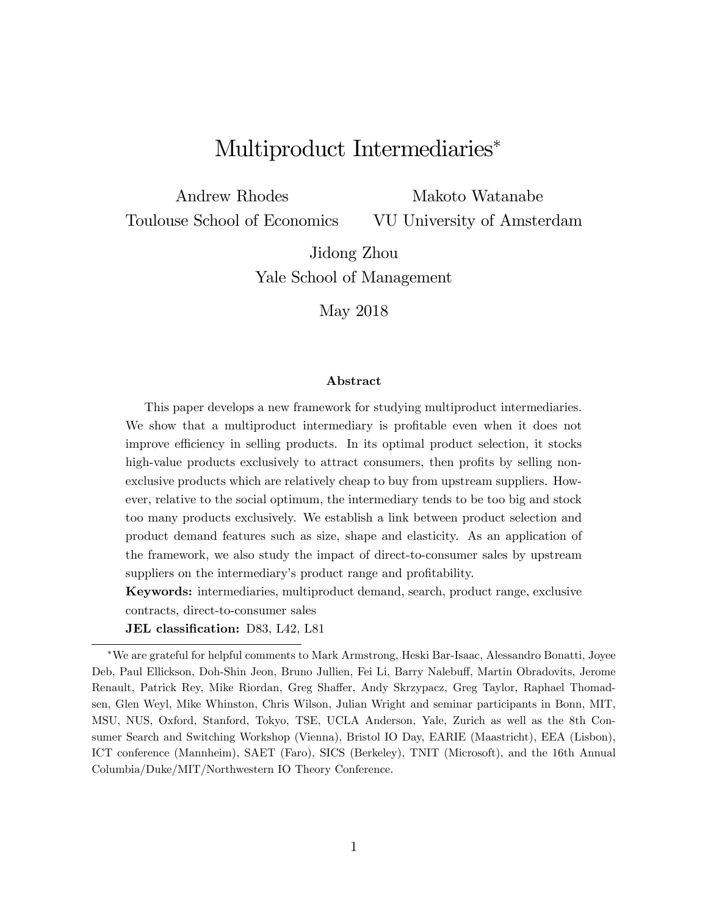# Multiproduct Intermediaries

Andrew Rhodes Toulouse School of Economics Makoto Watanabe

VU University of Amsterdam

Jidong Zhou Yale School of Management

May 2018

#### Abstract

This paper develops a new framework for studying multiproduct intermediaries. We show that a multiproduct intermediary is profitable even when it does not improve efficiency in selling products. In its optimal product selection, it stocks high-value products exclusively to attract consumers, then profits by selling nonexclusive products which are relatively cheap to buy from upstream suppliers. However, relative to the social optimum, the intermediary tends to be too big and stock too many products exclusively. We establish a link between product selection and product demand features such as size, shape and elasticity. As an application of the framework, we also study the impact of direct-to-consumer sales by upstream suppliers on the intermediary's product range and profitability.

Keywords: intermediaries, multiproduct demand, search, product range, exclusive contracts, direct-to-consumer sales

JEL classification: D83, L42, L81

We are grateful for helpful comments to Mark Armstrong, Heski Bar-Isaac, Alessandro Bonatti, Joyee Deb, Paul Ellickson, Doh-Shin Jeon, Bruno Jullien, Fei Li, Barry Nalebuff, Martin Obradovits, Jerome Renault, Patrick Rey, Mike Riordan, Greg Shaffer, Andy Skrzypacz, Greg Taylor, Raphael Thomadsen, Glen Weyl, Mike Whinston, Chris Wilson, Julian Wright and seminar participants in Bonn, MIT, MSU, NUS, Oxford, Stanford, Tokyo, TSE, UCLA Anderson, Yale, Zurich as well as the 8th Consumer Search and Switching Workshop (Vienna), Bristol IO Day, EARIE (Maastricht), EEA (Lisbon), ICT conference (Mannheim), SAET (Faro), SICS (Berkeley), TNIT (Microsoft), and the 16th Annual Columbia/Duke/MIT/Northwestern IO Theory Conference.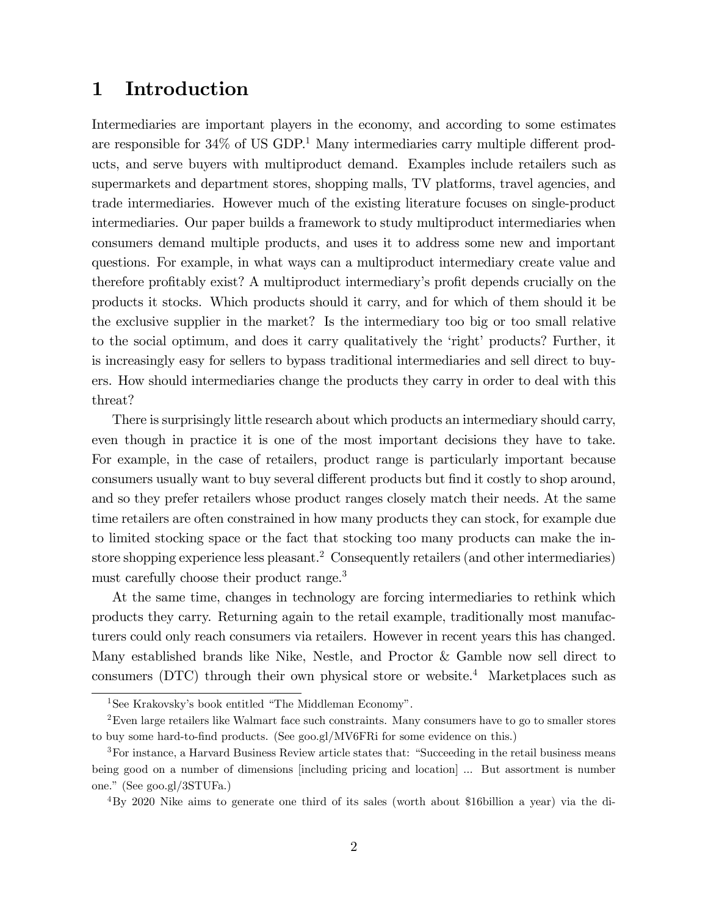### 1 Introduction

Intermediaries are important players in the economy, and according to some estimates are responsible for  $34\%$  of US GDP.<sup>1</sup> Many intermediaries carry multiple different products, and serve buyers with multiproduct demand. Examples include retailers such as supermarkets and department stores, shopping malls, TV platforms, travel agencies, and trade intermediaries. However much of the existing literature focuses on single-product intermediaries. Our paper builds a framework to study multiproduct intermediaries when consumers demand multiple products, and uses it to address some new and important questions. For example, in what ways can a multiproduct intermediary create value and therefore profitably exist? A multiproduct intermediary's profit depends crucially on the products it stocks. Which products should it carry, and for which of them should it be the exclusive supplier in the market? Is the intermediary too big or too small relative to the social optimum, and does it carry qualitatively the 'right' products? Further, it is increasingly easy for sellers to bypass traditional intermediaries and sell direct to buyers. How should intermediaries change the products they carry in order to deal with this threat?

There is surprisingly little research about which products an intermediary should carry, even though in practice it is one of the most important decisions they have to take. For example, in the case of retailers, product range is particularly important because consumers usually want to buy several different products but find it costly to shop around, and so they prefer retailers whose product ranges closely match their needs. At the same time retailers are often constrained in how many products they can stock, for example due to limited stocking space or the fact that stocking too many products can make the instore shopping experience less pleasant.<sup>2</sup> Consequently retailers (and other intermediaries) must carefully choose their product range.<sup>3</sup>

At the same time, changes in technology are forcing intermediaries to rethink which products they carry. Returning again to the retail example, traditionally most manufacturers could only reach consumers via retailers. However in recent years this has changed. Many established brands like Nike, Nestle, and Proctor & Gamble now sell direct to consumers (DTC) through their own physical store or website.<sup>4</sup> Marketplaces such as

<sup>&</sup>lt;sup>1</sup>See Krakovsky's book entitled "The Middleman Economy".

<sup>&</sup>lt;sup>2</sup>Even large retailers like Walmart face such constraints. Many consumers have to go to smaller stores to buy some hard-to-find products. (See goo.gl/MV6FRi for some evidence on this.)

<sup>&</sup>lt;sup>3</sup>For instance, a Harvard Business Review article states that: "Succeeding in the retail business means being good on a number of dimensions [including pricing and location] ... But assortment is number one.î (See goo.gl/3STUFa.)

<sup>4</sup>By 2020 Nike aims to generate one third of its sales (worth about \$16billion a year) via the di-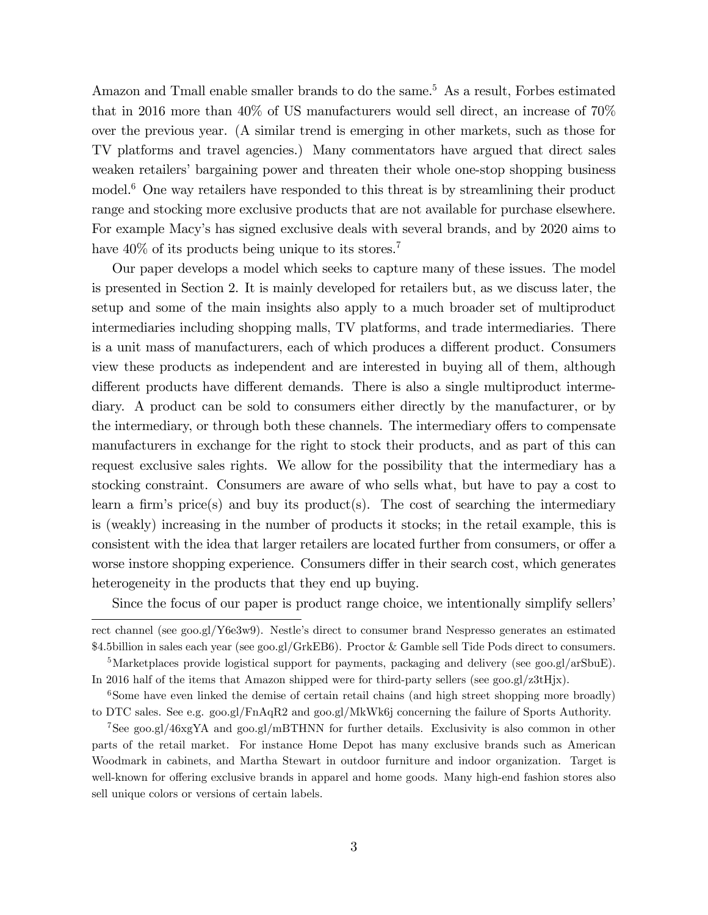Amazon and Tmall enable smaller brands to do the same.<sup>5</sup> As a result, Forbes estimated that in 2016 more than 40% of US manufacturers would sell direct, an increase of 70% over the previous year. (A similar trend is emerging in other markets, such as those for TV platforms and travel agencies.) Many commentators have argued that direct sales weaken retailers' bargaining power and threaten their whole one-stop shopping business model.<sup>6</sup> One way retailers have responded to this threat is by streamlining their product range and stocking more exclusive products that are not available for purchase elsewhere. For example Macyís has signed exclusive deals with several brands, and by 2020 aims to have  $40\%$  of its products being unique to its stores.<sup>7</sup>

Our paper develops a model which seeks to capture many of these issues. The model is presented in Section 2. It is mainly developed for retailers but, as we discuss later, the setup and some of the main insights also apply to a much broader set of multiproduct intermediaries including shopping malls, TV platforms, and trade intermediaries. There is a unit mass of manufacturers, each of which produces a different product. Consumers view these products as independent and are interested in buying all of them, although different products have different demands. There is also a single multiproduct intermediary. A product can be sold to consumers either directly by the manufacturer, or by the intermediary, or through both these channels. The intermediary offers to compensate manufacturers in exchange for the right to stock their products, and as part of this can request exclusive sales rights. We allow for the possibility that the intermediary has a stocking constraint. Consumers are aware of who sells what, but have to pay a cost to learn a firm's price(s) and buy its product(s). The cost of searching the intermediary is (weakly) increasing in the number of products it stocks; in the retail example, this is consistent with the idea that larger retailers are located further from consumers, or offer a worse instore shopping experience. Consumers differ in their search cost, which generates heterogeneity in the products that they end up buying.

Since the focus of our paper is product range choice, we intentionally simplify sellers'

rect channel (see goo.gl/Y6e3w9). Nestle's direct to consumer brand Nespresso generates an estimated \$4.5billion in sales each year (see goo.gl/GrkEB6). Proctor & Gamble sell Tide Pods direct to consumers.

<sup>&</sup>lt;sup>5</sup>Marketplaces provide logistical support for payments, packaging and delivery (see goo.gl/arSbuE). In 2016 half of the items that Amazon shipped were for third-party sellers (see goo.gl/z3tHjx).

<sup>&</sup>lt;sup>6</sup>Some have even linked the demise of certain retail chains (and high street shopping more broadly) to DTC sales. See e.g. goo.gl/FnAqR2 and goo.gl/MkWk6j concerning the failure of Sports Authority.

<sup>7</sup>See goo.gl/46xgYA and goo.gl/mBTHNN for further details. Exclusivity is also common in other parts of the retail market. For instance Home Depot has many exclusive brands such as American Woodmark in cabinets, and Martha Stewart in outdoor furniture and indoor organization. Target is well-known for offering exclusive brands in apparel and home goods. Many high-end fashion stores also sell unique colors or versions of certain labels.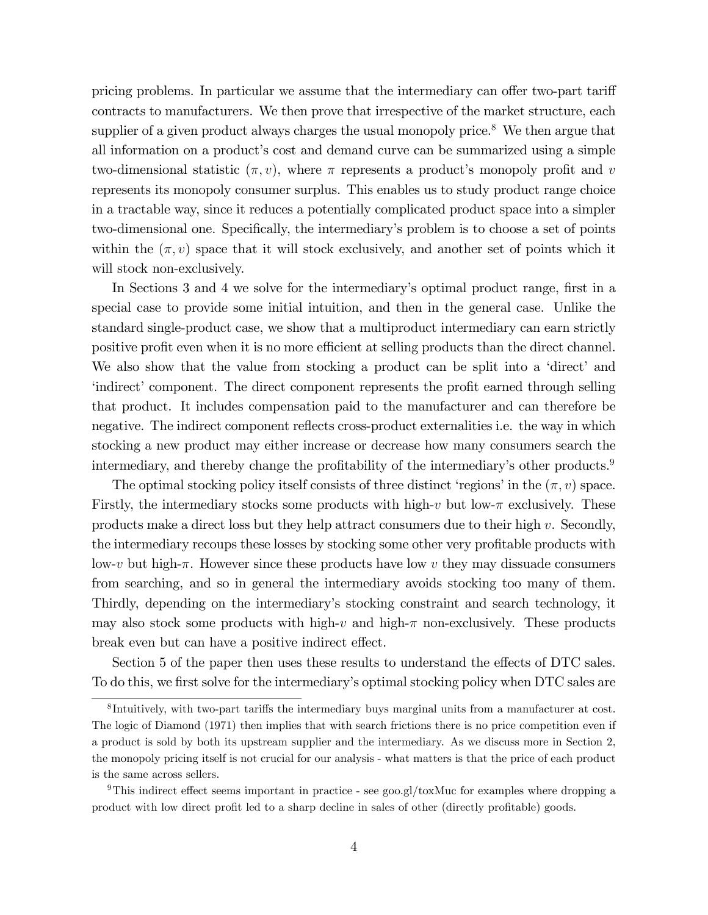pricing problems. In particular we assume that the intermediary can offer two-part tariff contracts to manufacturers. We then prove that irrespective of the market structure, each supplier of a given product always charges the usual monopoly price.<sup>8</sup> We then argue that all information on a product's cost and demand curve can be summarized using a simple two-dimensional statistic  $(\pi, v)$ , where  $\pi$  represents a product's monopoly profit and v represents its monopoly consumer surplus. This enables us to study product range choice in a tractable way, since it reduces a potentially complicated product space into a simpler two-dimensional one. Specifically, the intermediary's problem is to choose a set of points within the  $(\pi, v)$  space that it will stock exclusively, and another set of points which it will stock non-exclusively.

In Sections 3 and 4 we solve for the intermediary's optimal product range, first in a special case to provide some initial intuition, and then in the general case. Unlike the standard single-product case, we show that a multiproduct intermediary can earn strictly positive profit even when it is no more efficient at selling products than the direct channel. We also show that the value from stocking a product can be split into a 'direct' and 'indirect' component. The direct component represents the profit earned through selling that product. It includes compensation paid to the manufacturer and can therefore be negative. The indirect component reflects cross-product externalities i.e. the way in which stocking a new product may either increase or decrease how many consumers search the intermediary, and thereby change the profitability of the intermediary's other products.<sup>9</sup>

The optimal stocking policy itself consists of three distinct 'regions' in the  $(\pi, v)$  space. Firstly, the intermediary stocks some products with high-v but low- $\pi$  exclusively. These products make a direct loss but they help attract consumers due to their high  $v$ . Secondly, the intermediary recoups these losses by stocking some other very profitable products with low-v but high- $\pi$ . However since these products have low v they may dissuade consumers from searching, and so in general the intermediary avoids stocking too many of them. Thirdly, depending on the intermediaryís stocking constraint and search technology, it may also stock some products with high-v and high- $\pi$  non-exclusively. These products break even but can have a positive indirect effect.

Section 5 of the paper then uses these results to understand the effects of DTC sales. To do this, we first solve for the intermediary's optimal stocking policy when DTC sales are

<sup>&</sup>lt;sup>8</sup>Intuitively, with two-part tariffs the intermediary buys marginal units from a manufacturer at cost. The logic of Diamond (1971) then implies that with search frictions there is no price competition even if a product is sold by both its upstream supplier and the intermediary. As we discuss more in Section 2, the monopoly pricing itself is not crucial for our analysis - what matters is that the price of each product is the same across sellers.

 $9$ This indirect effect seems important in practice - see goo.gl/toxMuc for examples where dropping a product with low direct profit led to a sharp decline in sales of other (directly profitable) goods.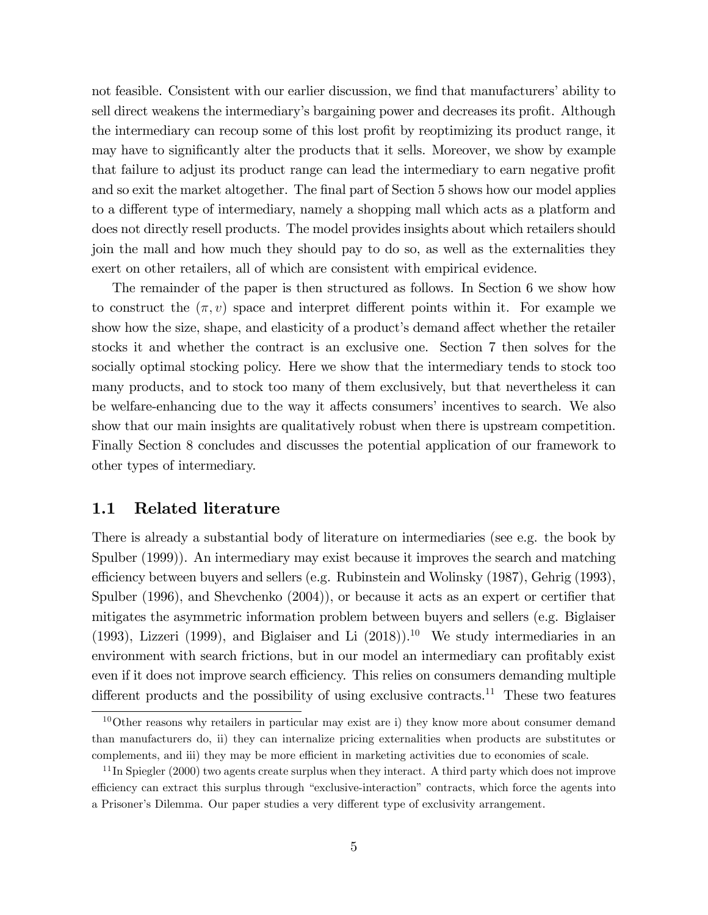not feasible. Consistent with our earlier discussion, we find that manufacturers' ability to sell direct weakens the intermediary's bargaining power and decreases its profit. Although the intermediary can recoup some of this lost profit by reoptimizing its product range, it may have to significantly alter the products that it sells. Moreover, we show by example that failure to adjust its product range can lead the intermediary to earn negative profit and so exit the market altogether. The final part of Section 5 shows how our model applies to a different type of intermediary, namely a shopping mall which acts as a platform and does not directly resell products. The model provides insights about which retailers should join the mall and how much they should pay to do so, as well as the externalities they exert on other retailers, all of which are consistent with empirical evidence.

The remainder of the paper is then structured as follows. In Section 6 we show how to construct the  $(\pi, v)$  space and interpret different points within it. For example we show how the size, shape, and elasticity of a product's demand affect whether the retailer stocks it and whether the contract is an exclusive one. Section 7 then solves for the socially optimal stocking policy. Here we show that the intermediary tends to stock too many products, and to stock too many of them exclusively, but that nevertheless it can be welfare-enhancing due to the way it affects consumers' incentives to search. We also show that our main insights are qualitatively robust when there is upstream competition. Finally Section 8 concludes and discusses the potential application of our framework to other types of intermediary.

#### 1.1 Related literature

There is already a substantial body of literature on intermediaries (see e.g. the book by Spulber (1999)). An intermediary may exist because it improves the search and matching efficiency between buyers and sellers (e.g. Rubinstein and Wolinsky (1987), Gehrig (1993), Spulber  $(1996)$ , and Shevchenko  $(2004)$ , or because it acts as an expert or certifier that mitigates the asymmetric information problem between buyers and sellers (e.g. Biglaiser (1993), Lizzeri (1999), and Biglaiser and Li  $(2018)$ <sup>10</sup> We study intermediaries in an environment with search frictions, but in our model an intermediary can profitably exist even if it does not improve search efficiency. This relies on consumers demanding multiple different products and the possibility of using exclusive contracts.<sup>11</sup> These two features

 $10$ Other reasons why retailers in particular may exist are i) they know more about consumer demand than manufacturers do, ii) they can internalize pricing externalities when products are substitutes or complements, and iii) they may be more efficient in marketing activities due to economies of scale.

 $11$ In Spiegler (2000) two agents create surplus when they interact. A third party which does not improve efficiency can extract this surplus through "exclusive-interaction" contracts, which force the agents into a Prisoner's Dilemma. Our paper studies a very different type of exclusivity arrangement.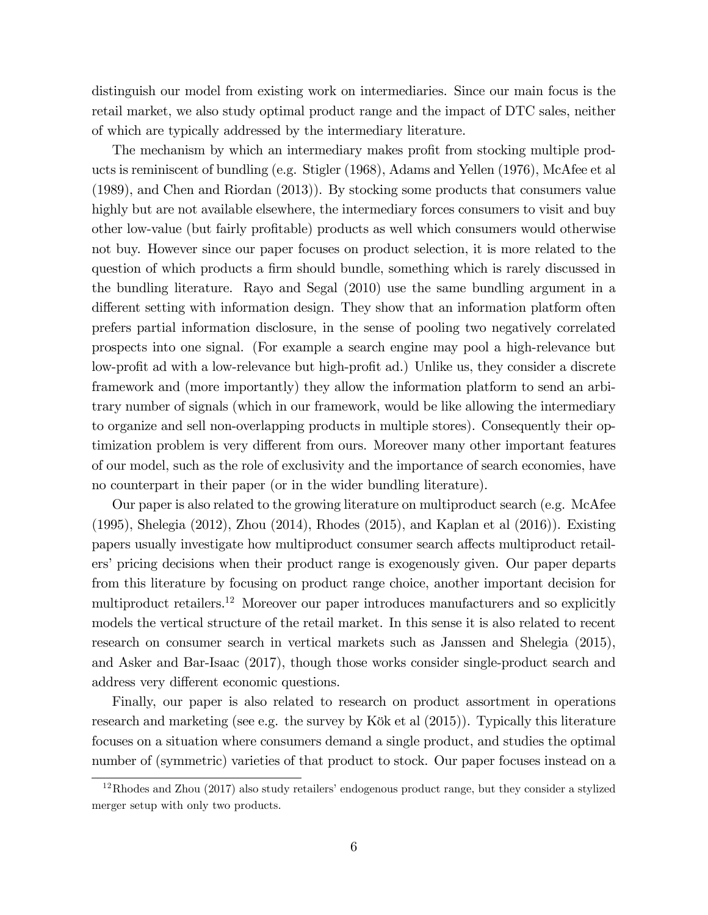distinguish our model from existing work on intermediaries. Since our main focus is the retail market, we also study optimal product range and the impact of DTC sales, neither of which are typically addressed by the intermediary literature.

The mechanism by which an intermediary makes profit from stocking multiple products is reminiscent of bundling (e.g. Stigler (1968), Adams and Yellen (1976), McAfee et al (1989), and Chen and Riordan (2013)). By stocking some products that consumers value highly but are not available elsewhere, the intermediary forces consumers to visit and buy other low-value (but fairly profitable) products as well which consumers would otherwise not buy. However since our paper focuses on product selection, it is more related to the question of which products a firm should bundle, something which is rarely discussed in the bundling literature. Rayo and Segal (2010) use the same bundling argument in a different setting with information design. They show that an information platform often prefers partial information disclosure, in the sense of pooling two negatively correlated prospects into one signal. (For example a search engine may pool a high-relevance but low-profit ad with a low-relevance but high-profit ad.) Unlike us, they consider a discrete framework and (more importantly) they allow the information platform to send an arbitrary number of signals (which in our framework, would be like allowing the intermediary to organize and sell non-overlapping products in multiple stores). Consequently their optimization problem is very different from ours. Moreover many other important features of our model, such as the role of exclusivity and the importance of search economies, have no counterpart in their paper (or in the wider bundling literature).

Our paper is also related to the growing literature on multiproduct search (e.g. McAfee (1995), Shelegia (2012), Zhou (2014), Rhodes (2015), and Kaplan et al (2016)). Existing papers usually investigate how multiproduct consumer search affects multiproduct retailers' pricing decisions when their product range is exogenously given. Our paper departs from this literature by focusing on product range choice, another important decision for multiproduct retailers.<sup>12</sup> Moreover our paper introduces manufacturers and so explicitly models the vertical structure of the retail market. In this sense it is also related to recent research on consumer search in vertical markets such as Janssen and Shelegia (2015), and Asker and Bar-Isaac (2017), though those works consider single-product search and address very different economic questions.

Finally, our paper is also related to research on product assortment in operations research and marketing (see e.g. the survey by Kök et al  $(2015)$ ). Typically this literature focuses on a situation where consumers demand a single product, and studies the optimal number of (symmetric) varieties of that product to stock. Our paper focuses instead on a

 $12$ Rhodes and Zhou (2017) also study retailers' endogenous product range, but they consider a stylized merger setup with only two products.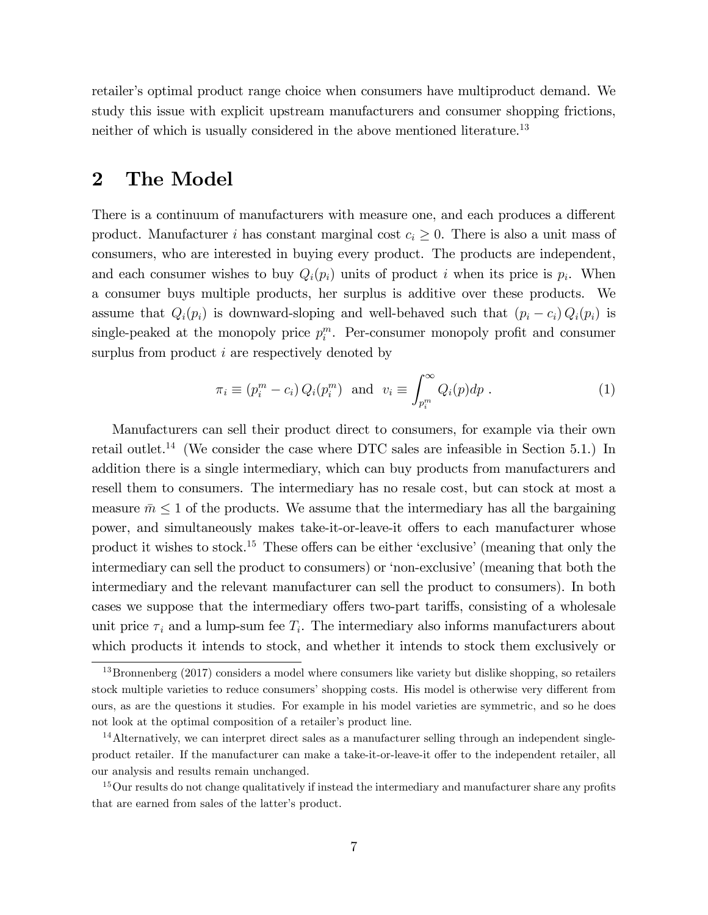retailer's optimal product range choice when consumers have multiproduct demand. We study this issue with explicit upstream manufacturers and consumer shopping frictions, neither of which is usually considered in the above mentioned literature.<sup>13</sup>

### 2 The Model

There is a continuum of manufacturers with measure one, and each produces a different product. Manufacturer i has constant marginal cost  $c_i \geq 0$ . There is also a unit mass of consumers, who are interested in buying every product. The products are independent, and each consumer wishes to buy  $Q_i(p_i)$  units of product i when its price is  $p_i$ . When a consumer buys multiple products, her surplus is additive over these products. We assume that  $Q_i(p_i)$  is downward-sloping and well-behaved such that  $(p_i - c_i) Q_i(p_i)$  is single-peaked at the monopoly price  $p_i^m$ . Per-consumer monopoly profit and consumer surplus from product *i* are respectively denoted by

$$
\pi_i \equiv (p_i^m - c_i) Q_i(p_i^m) \text{ and } v_i \equiv \int_{p_i^m}^{\infty} Q_i(p) dp . \qquad (1)
$$

Manufacturers can sell their product direct to consumers, for example via their own retail outlet.<sup>14</sup> (We consider the case where DTC sales are infeasible in Section 5.1.) In addition there is a single intermediary, which can buy products from manufacturers and resell them to consumers. The intermediary has no resale cost, but can stock at most a measure  $\bar{m} \leq 1$  of the products. We assume that the intermediary has all the bargaining power, and simultaneously makes take-it-or-leave-it offers to each manufacturer whose product it wishes to stock.<sup>15</sup> These offers can be either 'exclusive' (meaning that only the intermediary can sell the product to consumers) or 'non-exclusive' (meaning that both the intermediary and the relevant manufacturer can sell the product to consumers). In both cases we suppose that the intermediary offers two-part tariffs, consisting of a wholesale unit price  $\tau_i$  and a lump-sum fee  $T_i$ . The intermediary also informs manufacturers about which products it intends to stock, and whether it intends to stock them exclusively or

<sup>&</sup>lt;sup>13</sup>Bronnenberg (2017) considers a model where consumers like variety but dislike shopping, so retailers stock multiple varieties to reduce consumers' shopping costs. His model is otherwise very different from ours, as are the questions it studies. For example in his model varieties are symmetric, and so he does not look at the optimal composition of a retailer's product line.

<sup>14</sup>Alternatively, we can interpret direct sales as a manufacturer selling through an independent singleproduct retailer. If the manufacturer can make a take-it-or-leave-it offer to the independent retailer, all our analysis and results remain unchanged.

<sup>&</sup>lt;sup>15</sup>Our results do not change qualitatively if instead the intermediary and manufacturer share any profits that are earned from sales of the latter's product.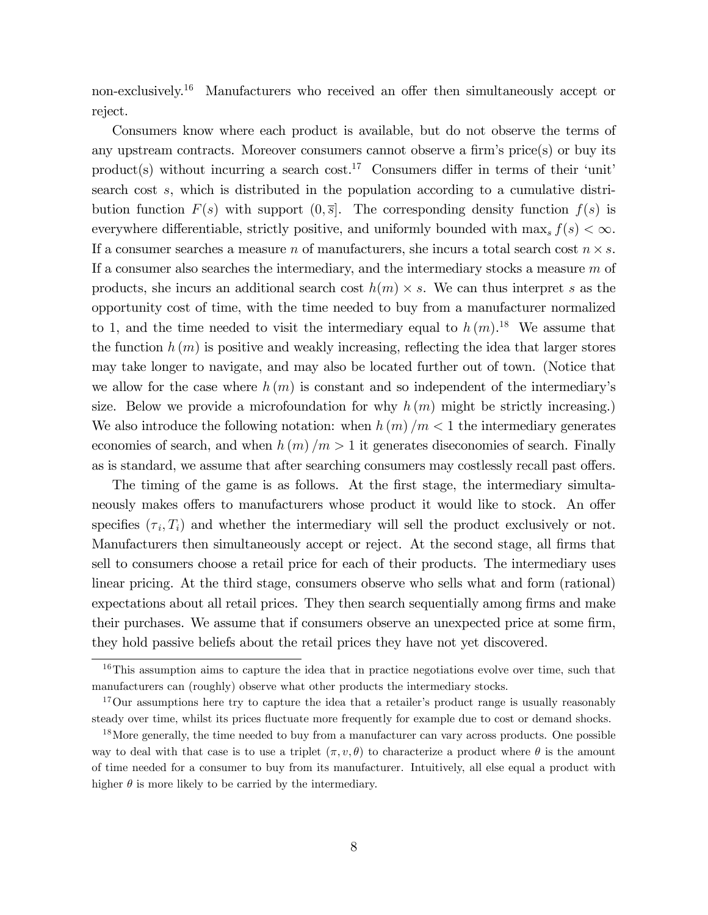non-exclusively.<sup>16</sup> Manufacturers who received an offer then simultaneously accept or reject.

Consumers know where each product is available, but do not observe the terms of any upstream contracts. Moreover consumers cannot observe a firm's price(s) or buy its product(s) without incurring a search cost.<sup>17</sup> Consumers differ in terms of their 'unit' search cost s, which is distributed in the population according to a cumulative distribution function  $F(s)$  with support  $(0, \overline{s}]$ . The corresponding density function  $f(s)$  is everywhere differentiable, strictly positive, and uniformly bounded with  $\max_s f(s) < \infty$ . If a consumer searches a measure n of manufacturers, she incurs a total search cost  $n \times s$ . If a consumer also searches the intermediary, and the intermediary stocks a measure  $m$  of products, she incurs an additional search cost  $h(m) \times s$ . We can thus interpret s as the opportunity cost of time, with the time needed to buy from a manufacturer normalized to 1, and the time needed to visit the intermediary equal to  $h(m)$ .<sup>18</sup> We assume that the function  $h(m)$  is positive and weakly increasing, reflecting the idea that larger stores may take longer to navigate, and may also be located further out of town. (Notice that we allow for the case where  $h(m)$  is constant and so independent of the intermediary's size. Below we provide a microfoundation for why  $h(m)$  might be strictly increasing.) We also introduce the following notation: when  $h(m)/m < 1$  the intermediary generates economies of search, and when  $h(m)/m > 1$  it generates diseconomies of search. Finally as is standard, we assume that after searching consumers may costlessly recall past offers.

The timing of the game is as follows. At the first stage, the intermediary simultaneously makes offers to manufacturers whose product it would like to stock. An offer specifies  $(\tau_i, T_i)$  and whether the intermediary will sell the product exclusively or not. Manufacturers then simultaneously accept or reject. At the second stage, all firms that sell to consumers choose a retail price for each of their products. The intermediary uses linear pricing. At the third stage, consumers observe who sells what and form (rational) expectations about all retail prices. They then search sequentially among firms and make their purchases. We assume that if consumers observe an unexpected price at some firm, they hold passive beliefs about the retail prices they have not yet discovered.

<sup>&</sup>lt;sup>16</sup>This assumption aims to capture the idea that in practice negotiations evolve over time, such that manufacturers can (roughly) observe what other products the intermediary stocks.

 $17$ Our assumptions here try to capture the idea that a retailer's product range is usually reasonably steady over time, whilst its prices fluctuate more frequently for example due to cost or demand shocks.

<sup>&</sup>lt;sup>18</sup>More generally, the time needed to buy from a manufacturer can vary across products. One possible way to deal with that case is to use a triplet  $(\pi, v, \theta)$  to characterize a product where  $\theta$  is the amount of time needed for a consumer to buy from its manufacturer. Intuitively, all else equal a product with higher  $\theta$  is more likely to be carried by the intermediary.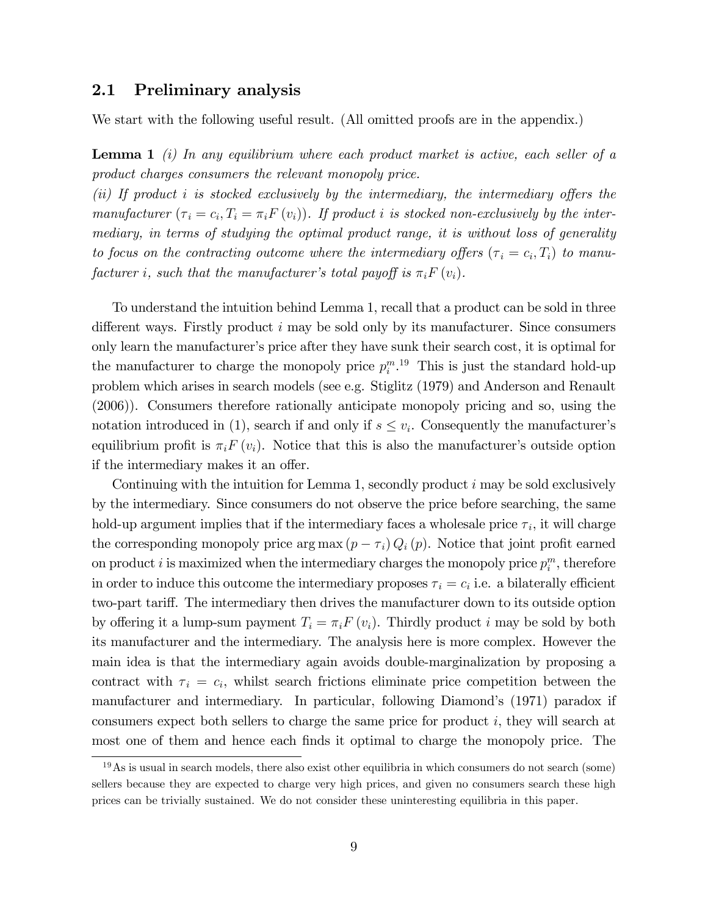#### 2.1 Preliminary analysis

We start with the following useful result. (All omitted proofs are in the appendix.)

**Lemma 1** (i) In any equilibrium where each product market is active, each seller of a product charges consumers the relevant monopoly price.

 $(ii)$  If product i is stocked exclusively by the intermediary, the intermediary offers the manufacturer  $(\tau_i = c_i, T_i = \pi_i F(v_i))$ . If product i is stocked non-exclusively by the intermediary, in terms of studying the optimal product range, it is without loss of generality to focus on the contracting outcome where the intermediary offers  $(\tau_i = c_i, T_i)$  to manufacturer i, such that the manufacturer's total payoff is  $\pi_i F(v_i)$ .

To understand the intuition behind Lemma 1, recall that a product can be sold in three different ways. Firstly product  $i$  may be sold only by its manufacturer. Since consumers only learn the manufacturer's price after they have sunk their search cost, it is optimal for the manufacturer to charge the monopoly price  $p_i^{m}$ .<sup>19</sup> This is just the standard hold-up problem which arises in search models (see e.g. Stiglitz (1979) and Anderson and Renault (2006)). Consumers therefore rationally anticipate monopoly pricing and so, using the notation introduced in (1), search if and only if  $s \leq v_i$ . Consequently the manufacturer's equilibrium profit is  $\pi_i F(v_i)$ . Notice that this is also the manufacturer's outside option if the intermediary makes it an offer.

Continuing with the intuition for Lemma 1, secondly product  $i$  may be sold exclusively by the intermediary. Since consumers do not observe the price before searching, the same hold-up argument implies that if the intermediary faces a wholesale price  $\tau_i$ , it will charge the corresponding monopoly price  $\arg \max (p - \tau_i) Q_i(p)$ . Notice that joint profit earned on product i is maximized when the intermediary charges the monopoly price  $p_i^m$ , therefore in order to induce this outcome the intermediary proposes  $\tau_i = c_i$  i.e. a bilaterally efficient two-part tariff. The intermediary then drives the manufacturer down to its outside option by offering it a lump-sum payment  $T_i = \pi_i F(v_i)$ . Thirdly product i may be sold by both its manufacturer and the intermediary. The analysis here is more complex. However the main idea is that the intermediary again avoids double-marginalization by proposing a contract with  $\tau_i = c_i$ , whilst search frictions eliminate price competition between the manufacturer and intermediary. In particular, following Diamondís (1971) paradox if consumers expect both sellers to charge the same price for product i, they will search at most one of them and hence each finds it optimal to charge the monopoly price. The

 $19\,\text{As}$  is usual in search models, there also exist other equilibria in which consumers do not search (some) sellers because they are expected to charge very high prices, and given no consumers search these high prices can be trivially sustained. We do not consider these uninteresting equilibria in this paper.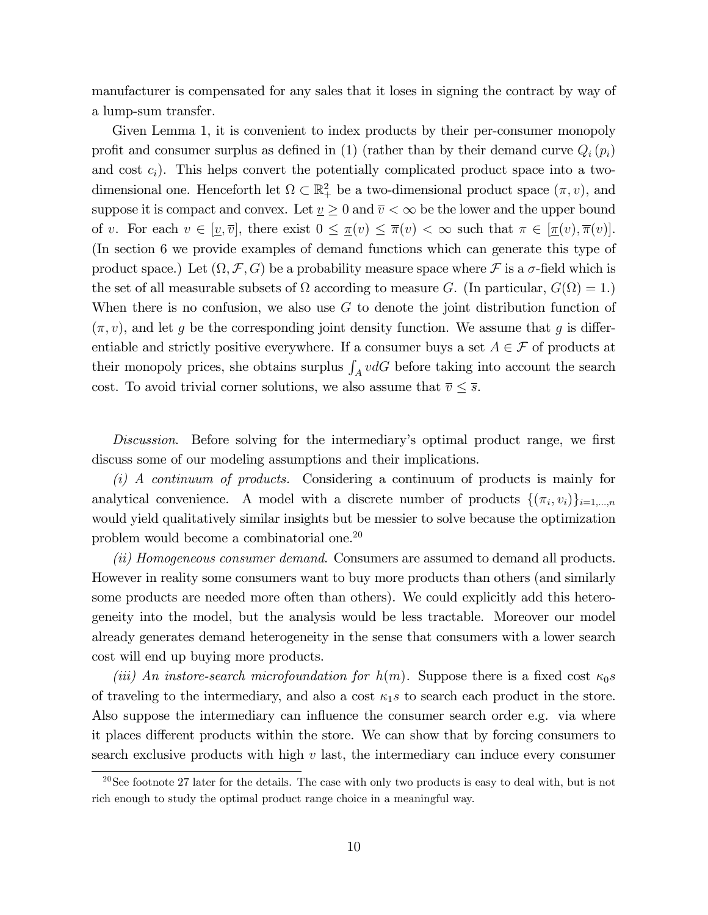manufacturer is compensated for any sales that it loses in signing the contract by way of a lump-sum transfer.

Given Lemma 1, it is convenient to index products by their per-consumer monopoly profit and consumer surplus as defined in (1) (rather than by their demand curve  $Q_i(p_i)$ and cost  $c_i$ ). This helps convert the potentially complicated product space into a twodimensional one. Henceforth let  $\Omega \subset \mathbb{R}^2_+$  be a two-dimensional product space  $(\pi, v)$ , and suppose it is compact and convex. Let  $\underline{v} \geq 0$  and  $\overline{v} < \infty$  be the lower and the upper bound of v. For each  $v \in [\underline{v}, \overline{v}]$ , there exist  $0 \leq \pi(v) \leq \overline{\pi}(v) < \infty$  such that  $\pi \in [\pi(v), \overline{\pi}(v)]$ . (In section 6 we provide examples of demand functions which can generate this type of product space.) Let  $(\Omega, \mathcal{F}, G)$  be a probability measure space where  $\mathcal{F}$  is a  $\sigma$ -field which is the set of all measurable subsets of  $\Omega$  according to measure G. (In particular,  $G(\Omega) = 1$ .) When there is no confusion, we also use  $G$  to denote the joint distribution function of  $(\pi, v)$ , and let g be the corresponding joint density function. We assume that g is differentiable and strictly positive everywhere. If a consumer buys a set  $A \in \mathcal{F}$  of products at their monopoly prices, she obtains surplus  $\int_A v dG$  before taking into account the search cost. To avoid trivial corner solutions, we also assume that  $\overline{v} \leq \overline{s}$ .

Discussion. Before solving for the intermediary's optimal product range, we first discuss some of our modeling assumptions and their implications.

(i) A continuum of products. Considering a continuum of products is mainly for analytical convenience. A model with a discrete number of products  $\{(\pi_i, v_i)\}_{i=1,\dots,n}$ would yield qualitatively similar insights but be messier to solve because the optimization problem would become a combinatorial one.<sup>20</sup>

(ii) Homogeneous consumer demand. Consumers are assumed to demand all products. However in reality some consumers want to buy more products than others (and similarly some products are needed more often than others). We could explicitly add this heterogeneity into the model, but the analysis would be less tractable. Moreover our model already generates demand heterogeneity in the sense that consumers with a lower search cost will end up buying more products.

(iii) An instore-search microfoundation for  $h(m)$ . Suppose there is a fixed cost  $\kappa_0 s$ of traveling to the intermediary, and also a cost  $\kappa_1 s$  to search each product in the store. Also suppose the intermediary can influence the consumer search order e.g. via where it places different products within the store. We can show that by forcing consumers to search exclusive products with high  $v$  last, the intermediary can induce every consumer

<sup>&</sup>lt;sup>20</sup>See footnote 27 later for the details. The case with only two products is easy to deal with, but is not rich enough to study the optimal product range choice in a meaningful way.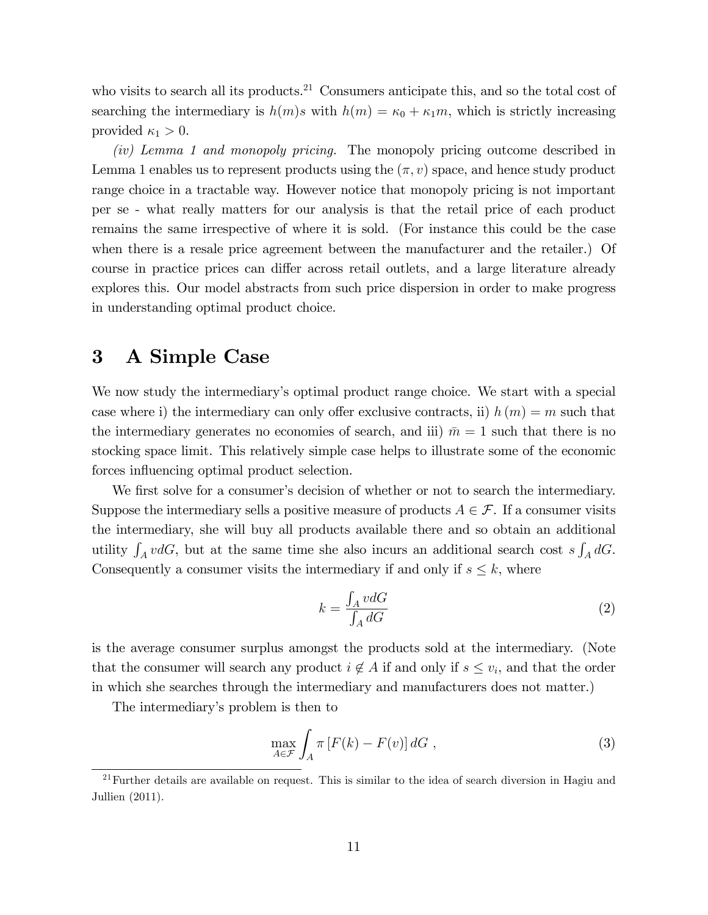who visits to search all its products.<sup>21</sup> Consumers anticipate this, and so the total cost of searching the intermediary is  $h(m)s$  with  $h(m) = \kappa_0 + \kappa_1 m$ , which is strictly increasing provided  $\kappa_1 > 0$ .

(iv) Lemma 1 and monopoly pricing. The monopoly pricing outcome described in Lemma 1 enables us to represent products using the  $(\pi, v)$  space, and hence study product range choice in a tractable way. However notice that monopoly pricing is not important per se - what really matters for our analysis is that the retail price of each product remains the same irrespective of where it is sold. (For instance this could be the case when there is a resale price agreement between the manufacturer and the retailer.) Of course in practice prices can differ across retail outlets, and a large literature already explores this. Our model abstracts from such price dispersion in order to make progress in understanding optimal product choice.

### 3 A Simple Case

We now study the intermediary's optimal product range choice. We start with a special case where i) the intermediary can only offer exclusive contracts, ii)  $h(m) = m$  such that the intermediary generates no economies of search, and iii)  $\bar{m} = 1$  such that there is no stocking space limit. This relatively simple case helps to illustrate some of the economic forces influencing optimal product selection.

We first solve for a consumer's decision of whether or not to search the intermediary. Suppose the intermediary sells a positive measure of products  $A \in \mathcal{F}$ . If a consumer visits the intermediary, she will buy all products available there and so obtain an additional utility  $\int_A v dG$ , but at the same time she also incurs an additional search cost  $s \int_A dG$ . Consequently a consumer visits the intermediary if and only if  $s \leq k$ , where

$$
k = \frac{\int_{A} v dG}{\int_{A} dG} \tag{2}
$$

is the average consumer surplus amongst the products sold at the intermediary. (Note that the consumer will search any product  $i \notin A$  if and only if  $s \leq v_i$ , and that the order in which she searches through the intermediary and manufacturers does not matter.)

The intermediary's problem is then to

$$
\max_{A \in \mathcal{F}} \int_{A} \pi \left[ F(k) - F(v) \right] dG , \qquad (3)
$$

 $21$  Further details are available on request. This is similar to the idea of search diversion in Hagiu and Jullien (2011).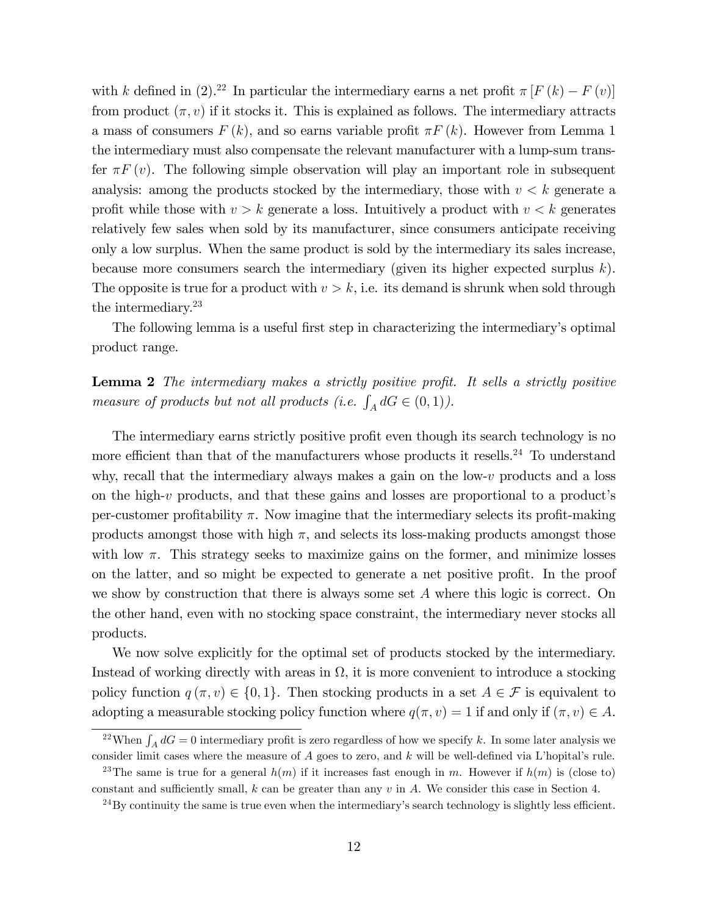with k defined in (2).<sup>22</sup> In particular the intermediary earns a net profit  $\pi [F(k) - F(v)]$ from product  $(\pi, v)$  if it stocks it. This is explained as follows. The intermediary attracts a mass of consumers  $F(k)$ , and so earns variable profit  $\pi F(k)$ . However from Lemma 1 the intermediary must also compensate the relevant manufacturer with a lump-sum transfer  $\pi F(v)$ . The following simple observation will play an important role in subsequent analysis: among the products stocked by the intermediary, those with  $v < k$  generate a profit while those with  $v > k$  generate a loss. Intuitively a product with  $v < k$  generates relatively few sales when sold by its manufacturer, since consumers anticipate receiving only a low surplus. When the same product is sold by the intermediary its sales increase, because more consumers search the intermediary (given its higher expected surplus  $k$ ). The opposite is true for a product with  $v > k$ , i.e. its demand is shrunk when sold through the intermediary.<sup>23</sup>

The following lemma is a useful first step in characterizing the intermediary's optimal product range.

**Lemma 2** The intermediary makes a strictly positive profit. It sells a strictly positive measure of products but not all products (i.e.  $\int_A dG \in (0,1)$ ).

The intermediary earns strictly positive profit even though its search technology is no more efficient than that of the manufacturers whose products it resells.<sup>24</sup> To understand why, recall that the intermediary always makes a gain on the low-v products and a loss on the high- $v$  products, and that these gains and losses are proportional to a product's per-customer profitability  $\pi$ . Now imagine that the intermediary selects its profit-making products amongst those with high  $\pi$ , and selects its loss-making products amongst those with low  $\pi$ . This strategy seeks to maximize gains on the former, and minimize losses on the latter, and so might be expected to generate a net positive profit. In the proof we show by construction that there is always some set A where this logic is correct. On the other hand, even with no stocking space constraint, the intermediary never stocks all products.

We now solve explicitly for the optimal set of products stocked by the intermediary. Instead of working directly with areas in  $\Omega$ , it is more convenient to introduce a stocking policy function  $q(\pi, v) \in \{0, 1\}$ . Then stocking products in a set  $A \in \mathcal{F}$  is equivalent to adopting a measurable stocking policy function where  $q(\pi, v) = 1$  if and only if  $(\pi, v) \in A$ .

<sup>&</sup>lt;sup>22</sup>When  $\int_A dG = 0$  intermediary profit is zero regardless of how we specify k. In some later analysis we consider limit cases where the measure of  $A$  goes to zero, and  $k$  will be well-defined via L'hopital's rule.

<sup>&</sup>lt;sup>23</sup>The same is true for a general  $h(m)$  if it increases fast enough in m. However if  $h(m)$  is (close to) constant and sufficiently small, k can be greater than any  $v$  in A. We consider this case in Section 4.

 $^{24}$ By continuity the same is true even when the intermediary's search technology is slightly less efficient.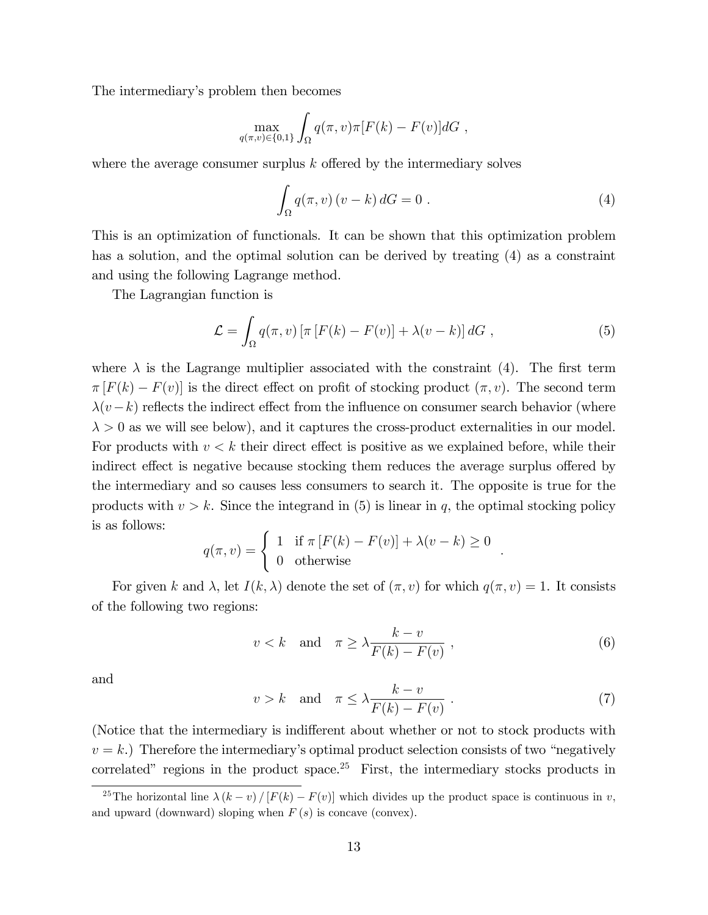The intermediary's problem then becomes

$$
\max_{q(\pi,v)\in\{0,1\}} \int_{\Omega} q(\pi,v)\pi[F(k)-F(v)]dG,
$$

where the average consumer surplus  $k$  offered by the intermediary solves

$$
\int_{\Omega} q(\pi, v) (v - k) dG = 0.
$$
\n(4)

This is an optimization of functionals. It can be shown that this optimization problem has a solution, and the optimal solution can be derived by treating (4) as a constraint and using the following Lagrange method.

The Lagrangian function is

$$
\mathcal{L} = \int_{\Omega} q(\pi, v) \left[ \pi \left[ F(k) - F(v) \right] + \lambda (v - k) \right] dG , \qquad (5)
$$

where  $\lambda$  is the Lagrange multiplier associated with the constraint (4). The first term  $\pi[F(k) - F(v)]$  is the direct effect on profit of stocking product  $(\pi, v)$ . The second term  $\lambda(v-k)$  reflects the indirect effect from the influence on consumer search behavior (where  $\lambda > 0$  as we will see below), and it captures the cross-product externalities in our model. For products with  $v < k$  their direct effect is positive as we explained before, while their indirect effect is negative because stocking them reduces the average surplus offered by the intermediary and so causes less consumers to search it. The opposite is true for the products with  $v > k$ . Since the integrand in (5) is linear in q, the optimal stocking policy is as follows:

$$
q(\pi, v) = \begin{cases} 1 & \text{if } \pi [F(k) - F(v)] + \lambda (v - k) \ge 0 \\ 0 & \text{otherwise} \end{cases}
$$

For given k and  $\lambda$ , let  $I(k, \lambda)$  denote the set of  $(\pi, v)$  for which  $q(\pi, v) = 1$ . It consists of the following two regions:

$$
v < k \quad \text{and} \quad \pi \ge \lambda \frac{k - v}{F(k) - F(v)},\tag{6}
$$

:

and

$$
v > k \quad \text{and} \quad \pi \le \lambda \frac{k - v}{F(k) - F(v)} \,. \tag{7}
$$

(Notice that the intermediary is indifferent about whether or not to stock products with  $v = k$ .) Therefore the intermediary's optimal product selection consists of two "negatively" correlated" regions in the product space.<sup>25</sup> First, the intermediary stocks products in

<sup>&</sup>lt;sup>25</sup>The horizontal line  $\lambda (k - v) / [F(k) - F(v)]$  which divides up the product space is continuous in v, and upward (downward) sloping when  $F(s)$  is concave (convex).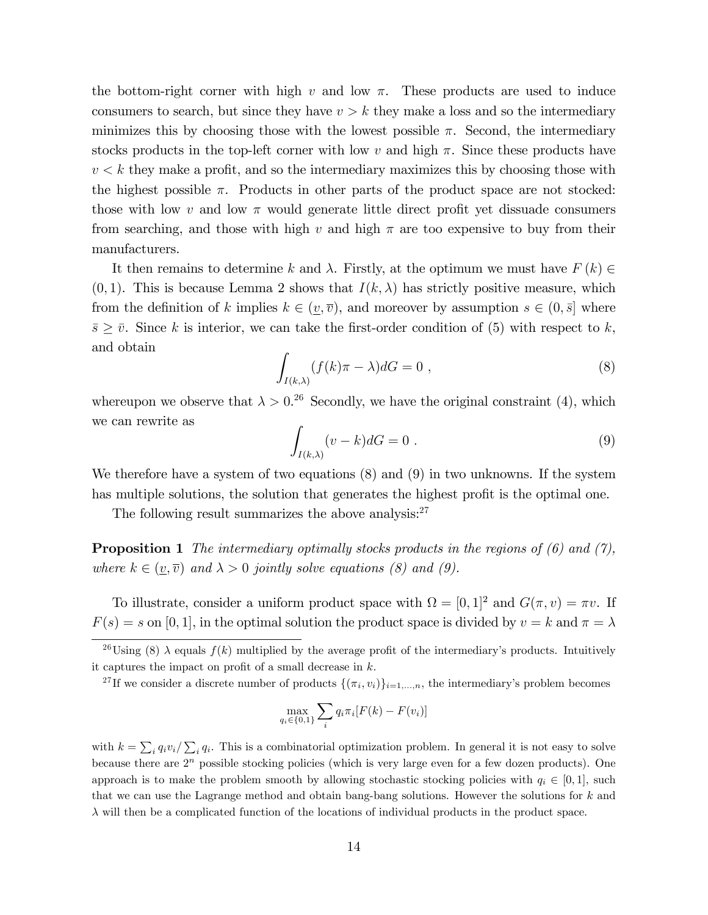the bottom-right corner with high v and low  $\pi$ . These products are used to induce consumers to search, but since they have  $v > k$  they make a loss and so the intermediary minimizes this by choosing those with the lowest possible  $\pi$ . Second, the intermediary stocks products in the top-left corner with low v and high  $\pi$ . Since these products have  $v < k$  they make a profit, and so the intermediary maximizes this by choosing those with the highest possible  $\pi$ . Products in other parts of the product space are not stocked: those with low v and low  $\pi$  would generate little direct profit yet dissuade consumers from searching, and those with high v and high  $\pi$  are too expensive to buy from their manufacturers.

It then remains to determine k and  $\lambda$ . Firstly, at the optimum we must have  $F(k) \in$  $(0, 1)$ . This is because Lemma 2 shows that  $I(k, \lambda)$  has strictly positive measure, which from the definition of k implies  $k \in (v, \overline{v})$ , and moreover by assumption  $s \in (0, \overline{s}]$  where  $\bar{s} \geq \bar{v}$ . Since k is interior, we can take the first-order condition of (5) with respect to k, and obtain

$$
\int_{I(k,\lambda)} (f(k)\pi - \lambda)dG = 0 ,
$$
\n(8)

whereupon we observe that  $\lambda > 0.26$  Secondly, we have the original constraint (4), which we can rewrite as

$$
\int_{I(k,\lambda)} (v-k)dG = 0.
$$
\n(9)

We therefore have a system of two equations (8) and (9) in two unknowns. If the system has multiple solutions, the solution that generates the highest profit is the optimal one.

The following result summarizes the above analysis: $27$ 

**Proposition 1** The intermediary optimally stocks products in the regions of  $(6)$  and  $(7)$ , where  $k \in (\underline{v}, \overline{v})$  and  $\lambda > 0$  jointly solve equations (8) and (9).

To illustrate, consider a uniform product space with  $\Omega = [0, 1]^2$  and  $G(\pi, v) = \pi v$ . If  $F(s) = s$  on [0, 1], in the optimal solution the product space is divided by  $v = k$  and  $\pi = \lambda$ 

$$
\max_{q_i \in \{0,1\}} \sum_i q_i \pi_i [F(k) - F(v_i)]
$$

with  $k = \sum_i q_i v_i / \sum_i q_i$ . This is a combinatorial optimization problem. In general it is not easy to solve because there are  $2<sup>n</sup>$  possible stocking policies (which is very large even for a few dozen products). One approach is to make the problem smooth by allowing stochastic stocking policies with  $q_i \in [0, 1]$ , such that we can use the Lagrange method and obtain bang-bang solutions. However the solutions for  $k$  and  $\lambda$  will then be a complicated function of the locations of individual products in the product space.

<sup>&</sup>lt;sup>26</sup>Using (8)  $\lambda$  equals  $f(k)$  multiplied by the average profit of the intermediary's products. Intuitively it captures the impact on profit of a small decrease in  $k$ .

<sup>&</sup>lt;sup>27</sup>If we consider a discrete number of products  $\{(\pi_i, v_i)\}_{i=1,\dots,n}$ , the intermediary's problem becomes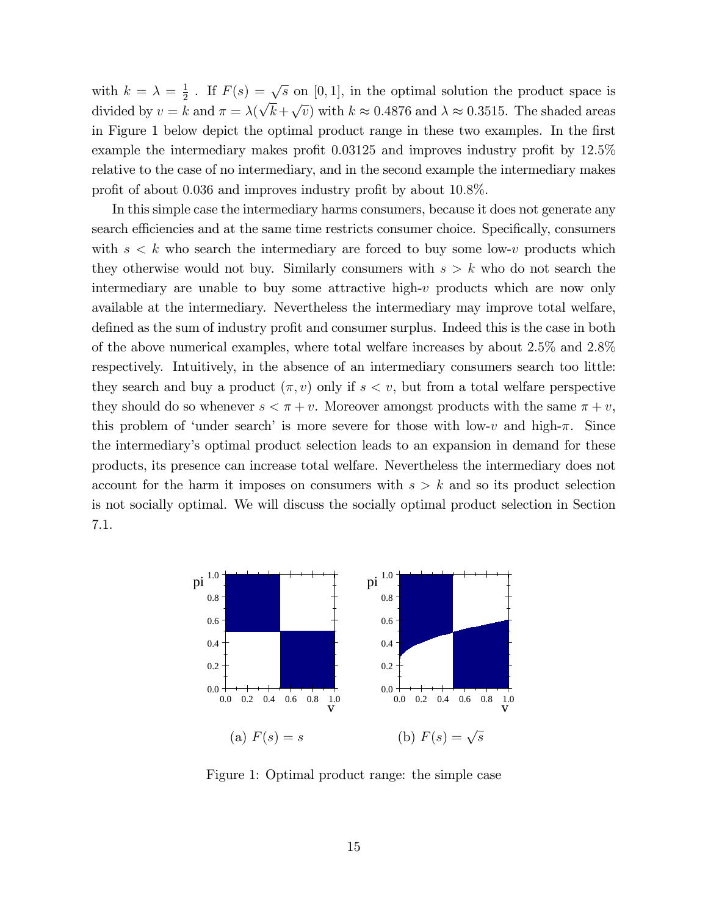with  $k = \lambda = \frac{1}{2}$  $\frac{1}{2}$ . If  $F(s) = \sqrt{s}$  on [0,1], in the optimal solution the product space is divided by  $v = k$  and  $\pi = \lambda(\sqrt{k} + \sqrt{v})$  with  $k \approx 0.4876$  and  $\lambda \approx 0.3515$ . The shaded areas in Figure 1 below depict the optimal product range in these two examples. In the first example the intermediary makes profit  $0.03125$  and improves industry profit by  $12.5\%$ relative to the case of no intermediary, and in the second example the intermediary makes profit of about 0.036 and improves industry profit by about  $10.8\%$ .

In this simple case the intermediary harms consumers, because it does not generate any search efficiencies and at the same time restricts consumer choice. Specifically, consumers with  $s < k$  who search the intermediary are forced to buy some low-v products which they otherwise would not buy. Similarly consumers with  $s > k$  who do not search the intermediary are unable to buy some attractive high-v products which are now only available at the intermediary. Nevertheless the intermediary may improve total welfare, defined as the sum of industry profit and consumer surplus. Indeed this is the case in both of the above numerical examples, where total welfare increases by about 2:5% and 2:8% respectively. Intuitively, in the absence of an intermediary consumers search too little: they search and buy a product  $(\pi, v)$  only if  $s < v$ , but from a total welfare perspective they should do so whenever  $s < \pi + v$ . Moreover amongst products with the same  $\pi + v$ , this problem of 'under search' is more severe for those with low-v and high- $\pi$ . Since the intermediaryís optimal product selection leads to an expansion in demand for these products, its presence can increase total welfare. Nevertheless the intermediary does not account for the harm it imposes on consumers with  $s > k$  and so its product selection is not socially optimal. We will discuss the socially optimal product selection in Section 7.1.



Figure 1: Optimal product range: the simple case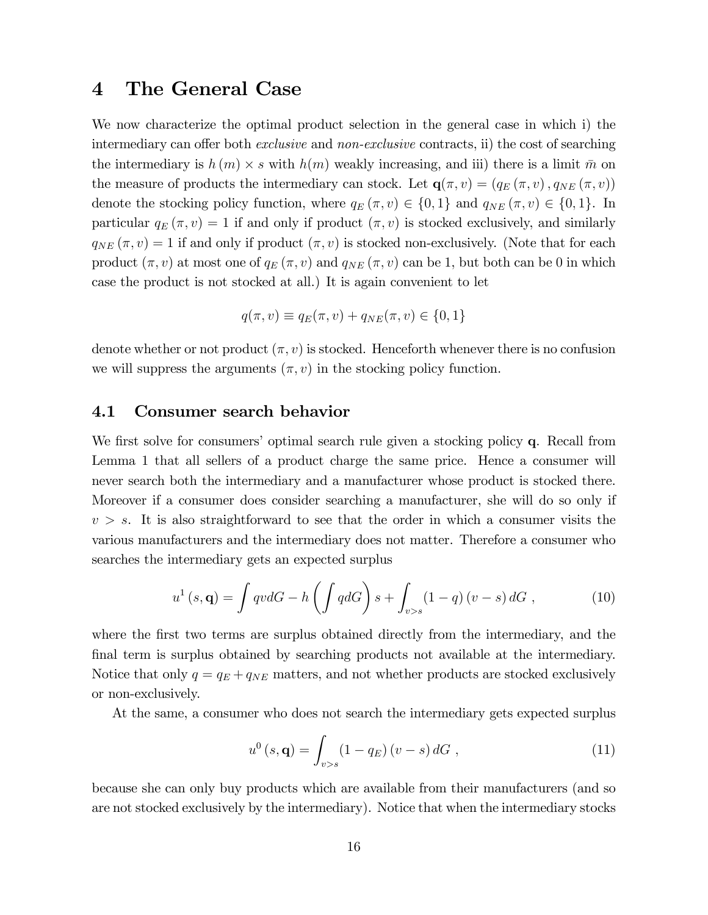### 4 The General Case

We now characterize the optimal product selection in the general case in which i) the intermediary can offer both *exclusive* and *non-exclusive* contracts, ii) the cost of searching the intermediary is  $h(m) \times s$  with  $h(m)$  weakly increasing, and iii) there is a limit  $\bar{m}$  on the measure of products the intermediary can stock. Let  $\mathbf{q}(\pi, v) = (q_E(\pi, v), q_{NE}(\pi, v))$ denote the stocking policy function, where  $q_E(\pi, v) \in \{0, 1\}$  and  $q_{NE}(\pi, v) \in \{0, 1\}$ . In particular  $q_E(\pi, v) = 1$  if and only if product  $(\pi, v)$  is stocked exclusively, and similarly  $q_{NE}(\pi, v) = 1$  if and only if product  $(\pi, v)$  is stocked non-exclusively. (Note that for each product  $(\pi, v)$  at most one of  $q_E(\pi, v)$  and  $q_{NE}(\pi, v)$  can be 1, but both can be 0 in which case the product is not stocked at all.) It is again convenient to let

$$
q(\pi, v) \equiv q_E(\pi, v) + q_{NE}(\pi, v) \in \{0, 1\}
$$

denote whether or not product  $(\pi, v)$  is stocked. Henceforth whenever there is no confusion we will suppress the arguments  $(\pi, v)$  in the stocking policy function.

#### 4.1 Consumer search behavior

We first solve for consumers' optimal search rule given a stocking policy q. Recall from Lemma 1 that all sellers of a product charge the same price. Hence a consumer will never search both the intermediary and a manufacturer whose product is stocked there. Moreover if a consumer does consider searching a manufacturer, she will do so only if  $v > s$ . It is also straightforward to see that the order in which a consumer visits the various manufacturers and the intermediary does not matter. Therefore a consumer who searches the intermediary gets an expected surplus

$$
u^{1}(s,\mathbf{q}) = \int qv dG - h\left(\int qdG\right)s + \int_{v>s} (1-q)(v-s) dG , \qquad (10)
$$

where the first two terms are surplus obtained directly from the intermediary, and the final term is surplus obtained by searching products not available at the intermediary. Notice that only  $q = q_E + q_{NE}$  matters, and not whether products are stocked exclusively or non-exclusively.

At the same, a consumer who does not search the intermediary gets expected surplus

$$
u^{0}(s, \mathbf{q}) = \int_{v>s} (1 - q_{E})(v - s) dG , \qquad (11)
$$

because she can only buy products which are available from their manufacturers (and so are not stocked exclusively by the intermediary). Notice that when the intermediary stocks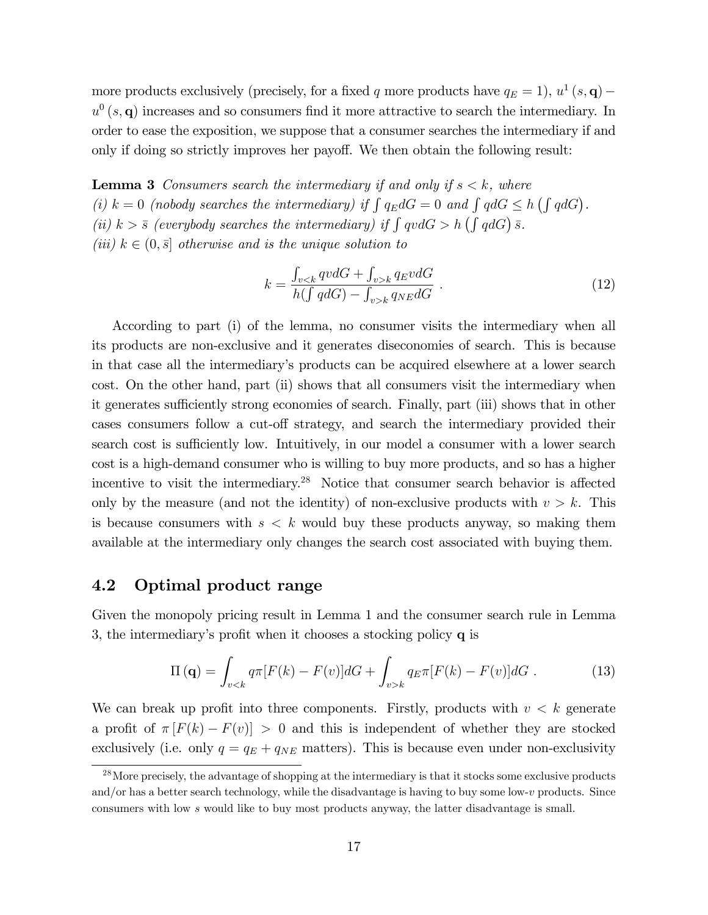more products exclusively (precisely, for a fixed q more products have  $q_E = 1$ ),  $u^1(s, \mathbf{q})$  –  $u^0(s, \mathbf{q})$  increases and so consumers find it more attractive to search the intermediary. In order to ease the exposition, we suppose that a consumer searches the intermediary if and only if doing so strictly improves her payoff. We then obtain the following result:

**Lemma 3** Consumers search the intermediary if and only if  $s < k$ , where (i)  $k = 0$  (nobody searches the intermediary) if  $\int q_E dG = 0$  and  $\int q dG \le h \left( \int q dG \right)$ . (ii)  $k > \bar{s}$  (everybody searches the intermediary) if  $\int qv dG > h(\int qdG) \bar{s}$ . (iii)  $k \in (0, \bar{s}]$  otherwise and is the unique solution to

$$
k = \frac{\int_{v < k} qv dG + \int_{v > k} q_E v dG}{h(\int q dG) - \int_{v > k} q_{NE} dG} \tag{12}
$$

According to part (i) of the lemma, no consumer visits the intermediary when all its products are non-exclusive and it generates diseconomies of search. This is because in that case all the intermediaryís products can be acquired elsewhere at a lower search cost. On the other hand, part (ii) shows that all consumers visit the intermediary when it generates sufficiently strong economies of search. Finally, part (iii) shows that in other cases consumers follow a cut-off strategy, and search the intermediary provided their search cost is sufficiently low. Intuitively, in our model a consumer with a lower search cost is a high-demand consumer who is willing to buy more products, and so has a higher incentive to visit the intermediary.<sup>28</sup> Notice that consumer search behavior is affected only by the measure (and not the identity) of non-exclusive products with  $v > k$ . This is because consumers with  $s < k$  would buy these products anyway, so making them available at the intermediary only changes the search cost associated with buying them.

#### 4.2 Optimal product range

Given the monopoly pricing result in Lemma 1 and the consumer search rule in Lemma 3, the intermediary's profit when it chooses a stocking policy  $q$  is

$$
\Pi(\mathbf{q}) = \int_{v < k} q \pi [F(k) - F(v)] dG + \int_{v > k} q \pi [F(k) - F(v)] dG \,. \tag{13}
$$

We can break up profit into three components. Firstly, products with  $v < k$  generate a profit of  $\pi |F(k) - F(v)| > 0$  and this is independent of whether they are stocked exclusively (i.e. only  $q = q_E + q_{NE}$  matters). This is because even under non-exclusivity

<sup>&</sup>lt;sup>28</sup>More precisely, the advantage of shopping at the intermediary is that it stocks some exclusive products and/or has a better search technology, while the disadvantage is having to buy some low-v products. Since consumers with low s would like to buy most products anyway, the latter disadvantage is small.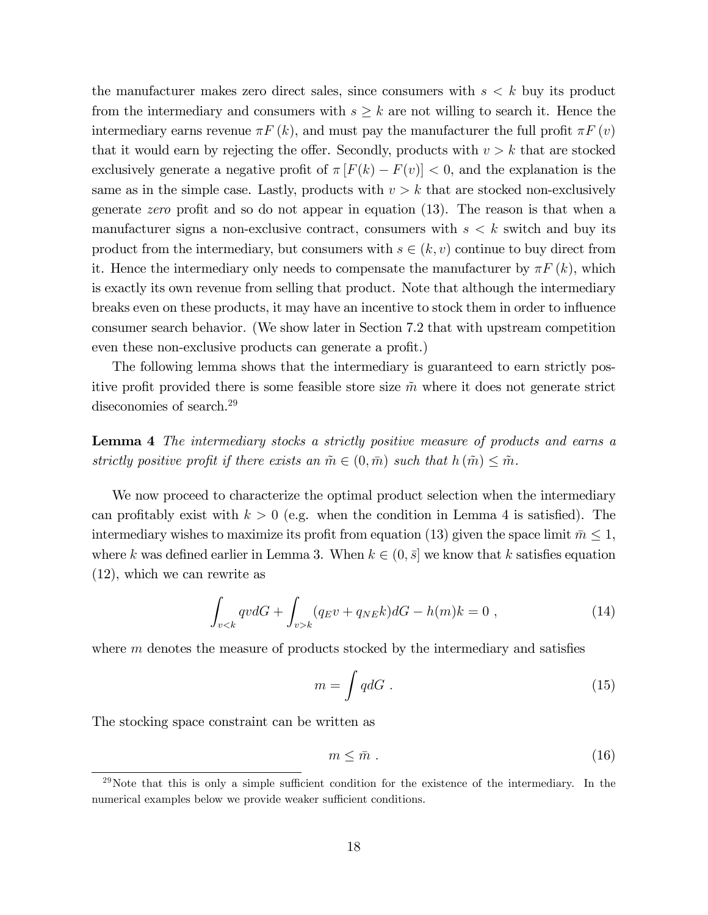the manufacturer makes zero direct sales, since consumers with  $s < k$  buy its product from the intermediary and consumers with  $s \geq k$  are not willing to search it. Hence the intermediary earns revenue  $\pi F(k)$ , and must pay the manufacturer the full profit  $\pi F(v)$ that it would earn by rejecting the offer. Secondly, products with  $v > k$  that are stocked exclusively generate a negative profit of  $\pi [F(k) - F(v)] < 0$ , and the explanation is the same as in the simple case. Lastly, products with  $v > k$  that are stocked non-exclusively generate zero profit and so do not appear in equation  $(13)$ . The reason is that when a manufacturer signs a non-exclusive contract, consumers with  $s < k$  switch and buy its product from the intermediary, but consumers with  $s \in (k, v)$  continue to buy direct from it. Hence the intermediary only needs to compensate the manufacturer by  $\pi F(k)$ , which is exactly its own revenue from selling that product. Note that although the intermediary breaks even on these products, it may have an incentive to stock them in order to ináuence consumer search behavior. (We show later in Section 7.2 that with upstream competition even these non-exclusive products can generate a profit.)

The following lemma shows that the intermediary is guaranteed to earn strictly positive profit provided there is some feasible store size  $\tilde{m}$  where it does not generate strict diseconomies of search.<sup>29</sup>

Lemma 4 The intermediary stocks a strictly positive measure of products and earns a strictly positive profit if there exists an  $\tilde{m} \in (0, \bar{m})$  such that  $h(\tilde{m}) \leq \tilde{m}$ .

We now proceed to characterize the optimal product selection when the intermediary can profitably exist with  $k > 0$  (e.g. when the condition in Lemma 4 is satisfied). The intermediary wishes to maximize its profit from equation (13) given the space limit  $m \leq 1$ , where k was defined earlier in Lemma 3. When  $k \in (0, \bar{s}]$  we know that k satisfies equation (12), which we can rewrite as

$$
\int_{v < k} qv dG + \int_{v > k} (q_E v + q_{NE} k) dG - h(m)k = 0 \tag{14}
$$

where  $m$  denotes the measure of products stocked by the intermediary and satisfies

$$
m = \int q dG \tag{15}
$$

The stocking space constraint can be written as

$$
m \leq \bar{m} \tag{16}
$$

 $^{29}$ Note that this is only a simple sufficient condition for the existence of the intermediary. In the numerical examples below we provide weaker sufficient conditions.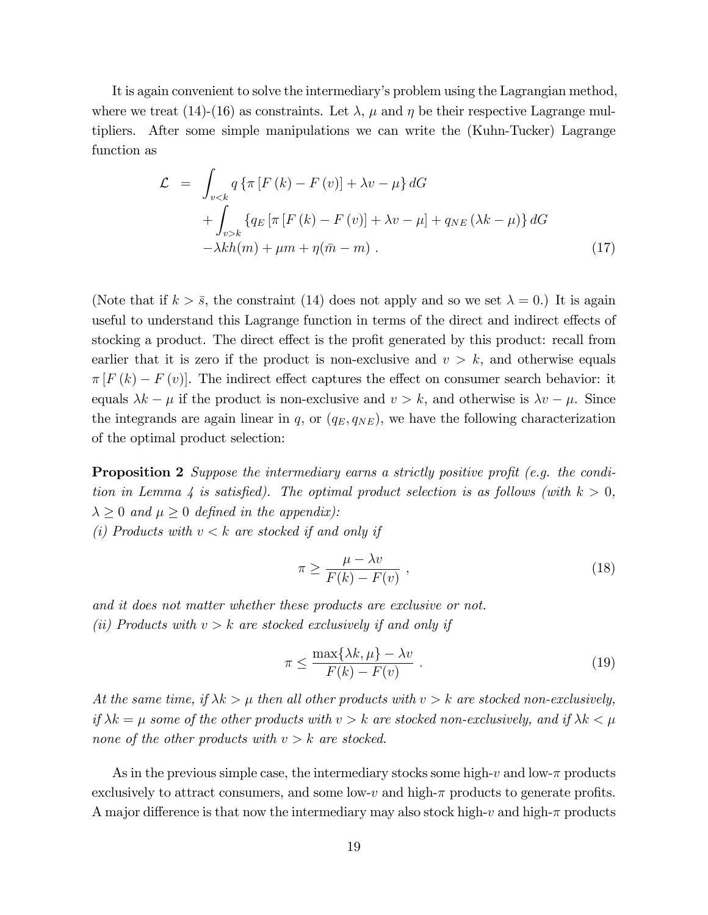It is again convenient to solve the intermediaryís problem using the Lagrangian method, where we treat (14)-(16) as constraints. Let  $\lambda$ ,  $\mu$  and  $\eta$  be their respective Lagrange multipliers. After some simple manipulations we can write the (Kuhn-Tucker) Lagrange function as

$$
\mathcal{L} = \int_{v < k} q \left\{ \pi \left[ F \left( k \right) - F \left( v \right) \right] + \lambda v - \mu \right\} dG
$$
\n
$$
+ \int_{v > k} \left\{ q_E \left[ \pi \left[ F \left( k \right) - F \left( v \right) \right] + \lambda v - \mu \right] + q_{NE} \left( \lambda k - \mu \right) \right\} dG
$$
\n
$$
- \lambda k h(m) + \mu m + \eta(\bar{m} - m) \ . \tag{17}
$$

(Note that if  $k > \bar{s}$ , the constraint (14) does not apply and so we set  $\lambda = 0$ .) It is again useful to understand this Lagrange function in terms of the direct and indirect effects of stocking a product. The direct effect is the profit generated by this product: recall from earlier that it is zero if the product is non-exclusive and  $v > k$ , and otherwise equals  $\pi [F (k) - F (v)].$  The indirect effect captures the effect on consumer search behavior: it equals  $\lambda k - \mu$  if the product is non-exclusive and  $v > k$ , and otherwise is  $\lambda v - \mu$ . Since the integrands are again linear in q, or  $(q_E, q_{NE})$ , we have the following characterization of the optimal product selection:

**Proposition 2** Suppose the intermediary earns a strictly positive profit (e.g. the condition in Lemma 4 is satisfied). The optimal product selection is as follows (with  $k > 0$ ,  $\lambda \geq 0$  and  $\mu \geq 0$  defined in the appendix):

(i) Products with  $v < k$  are stocked if and only if

$$
\pi \ge \frac{\mu - \lambda v}{F(k) - F(v)},
$$
\n(18)

and it does not matter whether these products are exclusive or not. (ii) Products with  $v > k$  are stocked exclusively if and only if

$$
\pi \le \frac{\max\{\lambda k, \mu\} - \lambda v}{F(k) - F(v)} . \tag{19}
$$

At the same time, if  $\lambda k > \mu$  then all other products with  $v > k$  are stocked non-exclusively, if  $\lambda k = \mu$  some of the other products with  $v > k$  are stocked non-exclusively, and if  $\lambda k < \mu$ none of the other products with  $v > k$  are stocked.

As in the previous simple case, the intermediary stocks some high-v and low- $\pi$  products exclusively to attract consumers, and some low-v and high- $\pi$  products to generate profits. A major difference is that now the intermediary may also stock high-v and high- $\pi$  products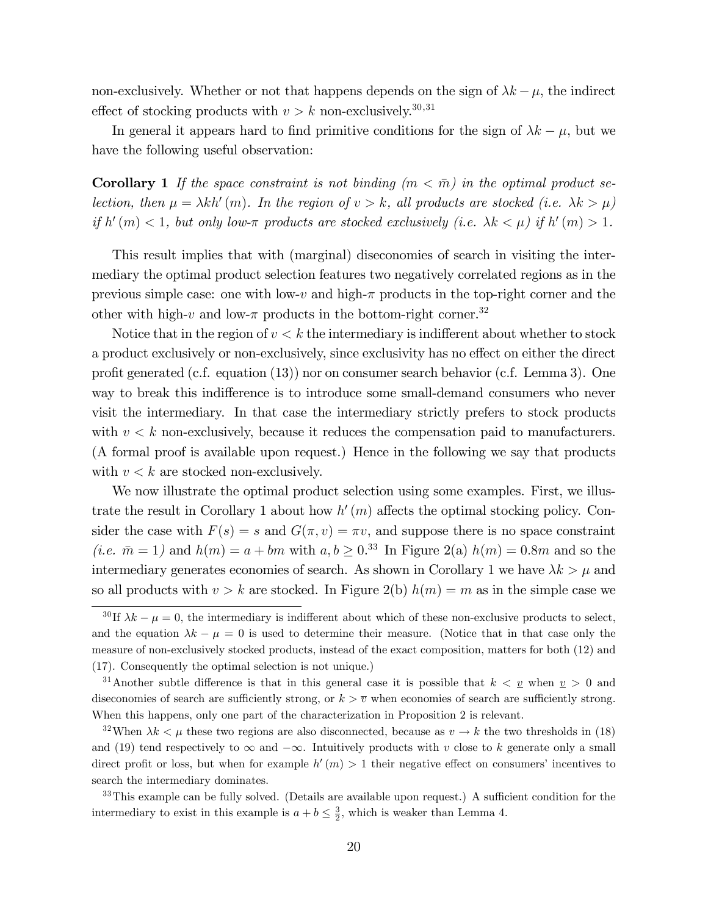non-exclusively. Whether or not that happens depends on the sign of  $\lambda k - \mu$ , the indirect effect of stocking products with  $v > k$  non-exclusively.<sup>30,31</sup>

In general it appears hard to find primitive conditions for the sign of  $\lambda k - \mu$ , but we have the following useful observation:

**Corollary 1** If the space constraint is not binding  $(m < \bar{m})$  in the optimal product selection, then  $\mu = \lambda kh'(m)$ . In the region of  $v > k$ , all products are stocked (i.e.  $\lambda k > \mu$ ) if  $h'(m) < 1$ , but only low- $\pi$  products are stocked exclusively (i.e.  $\lambda k < \mu$ ) if  $h'(m) > 1$ .

This result implies that with (marginal) diseconomies of search in visiting the intermediary the optimal product selection features two negatively correlated regions as in the previous simple case: one with low-v and high- $\pi$  products in the top-right corner and the other with high-v and low- $\pi$  products in the bottom-right corner.<sup>32</sup>

Notice that in the region of  $v < k$  the intermediary is indifferent about whether to stock a product exclusively or non-exclusively, since exclusivity has no effect on either the direct profit generated (c.f. equation  $(13)$ ) nor on consumer search behavior (c.f. Lemma 3). One way to break this indifference is to introduce some small-demand consumers who never visit the intermediary. In that case the intermediary strictly prefers to stock products with  $v < k$  non-exclusively, because it reduces the compensation paid to manufacturers. (A formal proof is available upon request.) Hence in the following we say that products with  $v < k$  are stocked non-exclusively.

We now illustrate the optimal product selection using some examples. First, we illustrate the result in Corollary 1 about how  $h'(m)$  affects the optimal stocking policy. Consider the case with  $F(s) = s$  and  $G(\pi, v) = \pi v$ , and suppose there is no space constraint (*i.e.*  $\bar{m} = 1$ ) and  $h(m) = a + bm$  with  $a, b \ge 0.33$  In Figure 2(a)  $h(m) = 0.8m$  and so the intermediary generates economies of search. As shown in Corollary 1 we have  $\lambda k > \mu$  and so all products with  $v > k$  are stocked. In Figure 2(b)  $h(m) = m$  as in the simple case we

 $33$ This example can be fully solved. (Details are available upon request.) A sufficient condition for the intermediary to exist in this example is  $a + b \leq \frac{3}{2}$ , which is weaker than Lemma 4.

<sup>&</sup>lt;sup>30</sup>If  $\lambda k - \mu = 0$ , the intermediary is indifferent about which of these non-exclusive products to select, and the equation  $\lambda k - \mu = 0$  is used to determine their measure. (Notice that in that case only the measure of non-exclusively stocked products, instead of the exact composition, matters for both (12) and (17). Consequently the optimal selection is not unique.)

<sup>&</sup>lt;sup>31</sup>Another subtle difference is that in this general case it is possible that  $k < v$  when  $v > 0$  and diseconomies of search are sufficiently strong, or  $k > \overline{v}$  when economies of search are sufficiently strong. When this happens, only one part of the characterization in Proposition 2 is relevant.

<sup>&</sup>lt;sup>32</sup>When  $\lambda k < \mu$  these two regions are also disconnected, because as  $v \to k$  the two thresholds in (18) and (19) tend respectively to  $\infty$  and  $-\infty$ . Intuitively products with v close to k generate only a small direct profit or loss, but when for example  $h'(m) > 1$  their negative effect on consumers' incentives to search the intermediary dominates.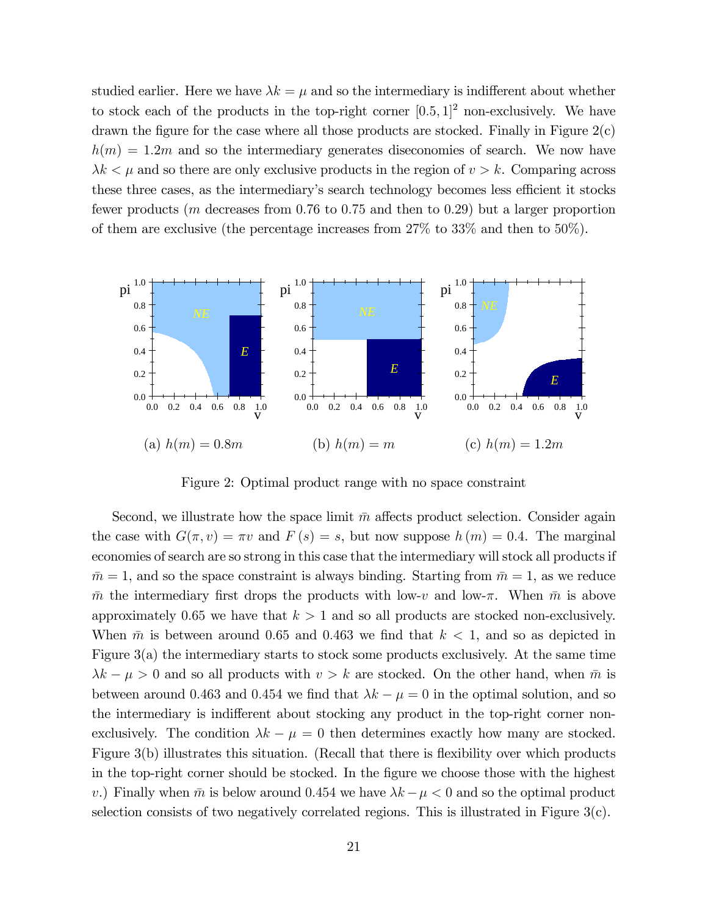studied earlier. Here we have  $\lambda k = \mu$  and so the intermediary is indifferent about whether to stock each of the products in the top-right corner  $[0.5, 1]^2$  non-exclusively. We have drawn the figure for the case where all those products are stocked. Finally in Figure  $2(c)$  $h(m) = 1.2m$  and so the intermediary generates diseconomies of search. We now have  $\lambda k < \mu$  and so there are only exclusive products in the region of  $v > k$ . Comparing across these three cases, as the intermediary's search technology becomes less efficient it stocks fewer products ( $m$  decreases from 0.76 to 0.75 and then to 0.29) but a larger proportion of them are exclusive (the percentage increases from 27% to 33% and then to 50%).



Figure 2: Optimal product range with no space constraint

Second, we illustrate how the space limit  $\bar{m}$  affects product selection. Consider again the case with  $G(\pi, v) = \pi v$  and  $F(s) = s$ , but now suppose  $h(m) = 0.4$ . The marginal economies of search are so strong in this case that the intermediary will stock all products if  $\bar{m} = 1$ , and so the space constraint is always binding. Starting from  $\bar{m} = 1$ , as we reduce  $\bar{m}$  the intermediary first drops the products with low-v and low- $\pi$ . When  $\bar{m}$  is above approximately 0.65 we have that  $k > 1$  and so all products are stocked non-exclusively. When  $\bar{m}$  is between around 0.65 and 0.463 we find that  $k < 1$ , and so as depicted in Figure 3(a) the intermediary starts to stock some products exclusively. At the same time  $\lambda k - \mu > 0$  and so all products with  $v > k$  are stocked. On the other hand, when  $\bar{m}$  is between around 0.463 and 0.454 we find that  $\lambda k - \mu = 0$  in the optimal solution, and so the intermediary is indifferent about stocking any product in the top-right corner nonexclusively. The condition  $\lambda k - \mu = 0$  then determines exactly how many are stocked. Figure  $3(b)$  illustrates this situation. (Recall that there is flexibility over which products in the top-right corner should be stocked. In the figure we choose those with the highest v.) Finally when  $\bar{m}$  is below around 0.454 we have  $\lambda k - \mu < 0$  and so the optimal product selection consists of two negatively correlated regions. This is illustrated in Figure 3(c).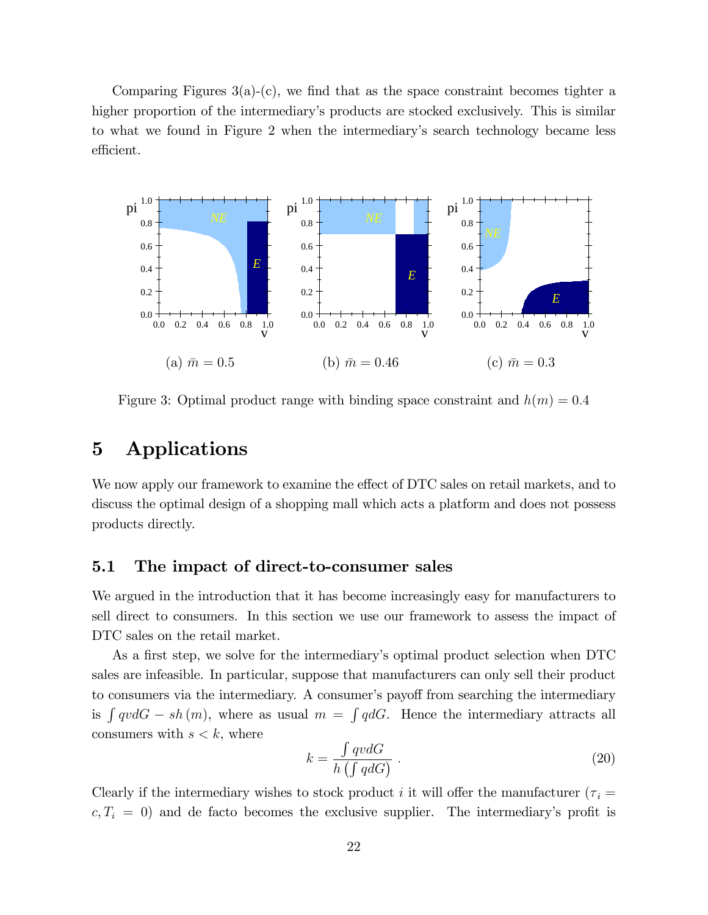Comparing Figures  $3(a)-(c)$ , we find that as the space constraint becomes tighter a higher proportion of the intermediary's products are stocked exclusively. This is similar to what we found in Figure 2 when the intermediaryís search technology became less efficient.



Figure 3: Optimal product range with binding space constraint and  $h(m) = 0.4$ 

### 5 Applications

We now apply our framework to examine the effect of DTC sales on retail markets, and to discuss the optimal design of a shopping mall which acts a platform and does not possess products directly.

#### 5.1 The impact of direct-to-consumer sales

We argued in the introduction that it has become increasingly easy for manufacturers to sell direct to consumers. In this section we use our framework to assess the impact of DTC sales on the retail market.

As a first step, we solve for the intermediary's optimal product selection when DTC sales are infeasible. In particular, suppose that manufacturers can only sell their product to consumers via the intermediary. A consumer's payoff from searching the intermediary is  $\int qv dG - sh(m)$ , where as usual  $m = \int qdG$ . Hence the intermediary attracts all consumers with  $s < k$ , where

$$
k = \frac{\int qv dG}{h \left(\int qdG\right)} \tag{20}
$$

Clearly if the intermediary wishes to stock product i it will offer the manufacturer ( $\tau_i$  =  $c, T_i = 0$ ) and de facto becomes the exclusive supplier. The intermediary's profit is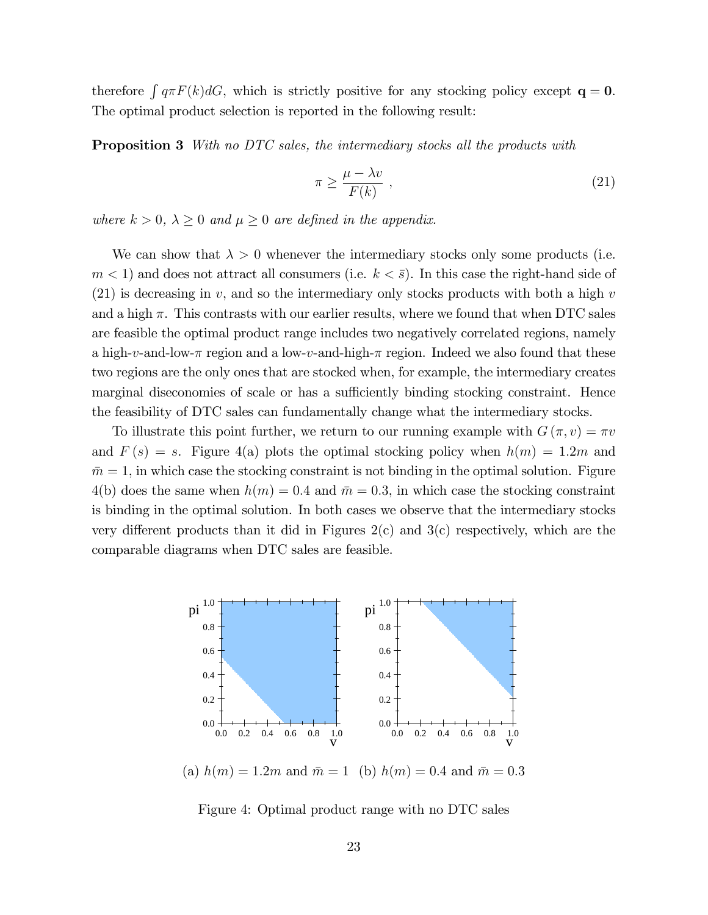therefore  $\int q \pi F(k) dG$ , which is strictly positive for any stocking policy except  $\mathbf{q} = \mathbf{0}$ . The optimal product selection is reported in the following result:

**Proposition 3** With no DTC sales, the intermediary stocks all the products with

$$
\pi \ge \frac{\mu - \lambda v}{F(k)} \tag{21}
$$

where  $k > 0$ ,  $\lambda \geq 0$  and  $\mu \geq 0$  are defined in the appendix.

We can show that  $\lambda > 0$  whenever the intermediary stocks only some products (i.e.  $m < 1$ ) and does not attract all consumers (i.e.  $k < \bar{s}$ ). In this case the right-hand side of  $(21)$  is decreasing in v, and so the intermediary only stocks products with both a high v and a high  $\pi$ . This contrasts with our earlier results, where we found that when DTC sales are feasible the optimal product range includes two negatively correlated regions, namely a high-v-and-low- $\pi$  region and a low-v-and-high- $\pi$  region. Indeed we also found that these two regions are the only ones that are stocked when, for example, the intermediary creates marginal diseconomies of scale or has a sufficiently binding stocking constraint. Hence the feasibility of DTC sales can fundamentally change what the intermediary stocks.

To illustrate this point further, we return to our running example with  $G(\pi, v) = \pi v$ and  $F(s) = s$ . Figure 4(a) plots the optimal stocking policy when  $h(m) = 1.2m$  and  $\bar{m} = 1$ , in which case the stocking constraint is not binding in the optimal solution. Figure 4(b) does the same when  $h(m) = 0.4$  and  $\bar{m} = 0.3$ , in which case the stocking constraint is binding in the optimal solution. In both cases we observe that the intermediary stocks very different products than it did in Figures  $2(c)$  and  $3(c)$  respectively, which are the comparable diagrams when DTC sales are feasible.



(a)  $h(m) = 1.2m$  and  $\bar{m} = 1$  (b)  $h(m) = 0.4$  and  $\bar{m} = 0.3$ 

Figure 4: Optimal product range with no DTC sales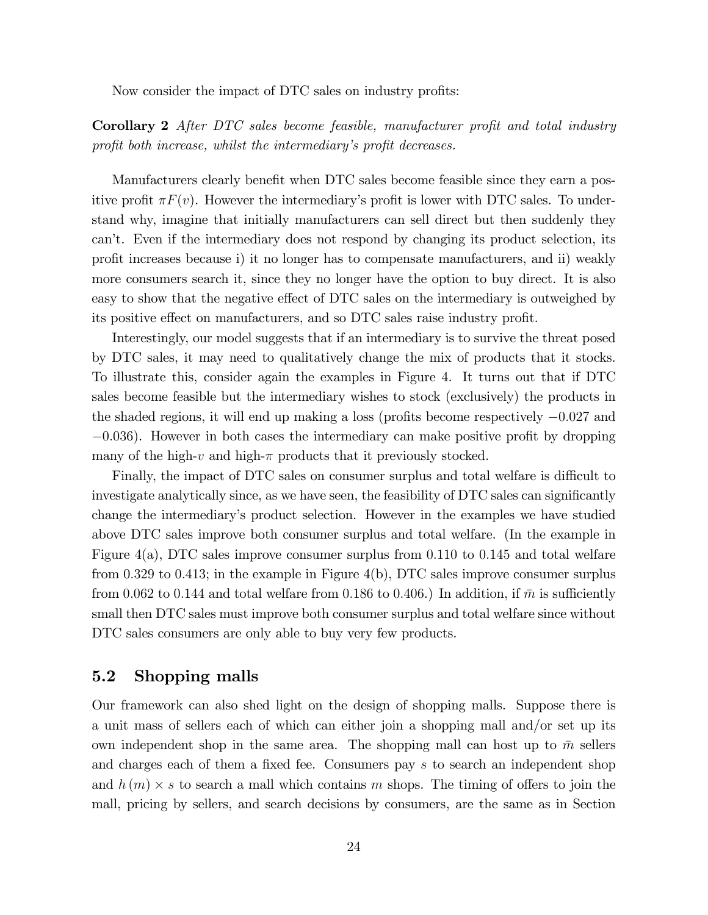Now consider the impact of DTC sales on industry profits:

Corollary 2 After DTC sales become feasible, manufacturer profit and total industry profit both increase, whilst the intermediary's profit decreases.

Manufacturers clearly benefit when DTC sales become feasible since they earn a positive profit  $\pi F(v)$ . However the intermediary's profit is lower with DTC sales. To understand why, imagine that initially manufacturers can sell direct but then suddenly they canít. Even if the intermediary does not respond by changing its product selection, its profit increases because i) it no longer has to compensate manufacturers, and ii) weakly more consumers search it, since they no longer have the option to buy direct. It is also easy to show that the negative effect of DTC sales on the intermediary is outweighed by its positive effect on manufacturers, and so DTC sales raise industry profit.

Interestingly, our model suggests that if an intermediary is to survive the threat posed by DTC sales, it may need to qualitatively change the mix of products that it stocks. To illustrate this, consider again the examples in Figure 4. It turns out that if DTC sales become feasible but the intermediary wishes to stock (exclusively) the products in the shaded regions, it will end up making a loss (profits become respectively  $-0.027$  and  $-0.036$ ). However in both cases the intermediary can make positive profit by dropping many of the high-v and high- $\pi$  products that it previously stocked.

Finally, the impact of DTC sales on consumer surplus and total welfare is difficult to investigate analytically since, as we have seen, the feasibility of DTC sales can significantly change the intermediaryís product selection. However in the examples we have studied above DTC sales improve both consumer surplus and total welfare. (In the example in Figure  $4(a)$ , DTC sales improve consumer surplus from 0.110 to 0.145 and total welfare from 0.329 to 0.413; in the example in Figure  $4(b)$ , DTC sales improve consumer surplus from 0.062 to 0.144 and total welfare from 0.186 to 0.406.) In addition, if  $\bar{m}$  is sufficiently small then DTC sales must improve both consumer surplus and total welfare since without DTC sales consumers are only able to buy very few products.

#### 5.2 Shopping malls

Our framework can also shed light on the design of shopping malls. Suppose there is a unit mass of sellers each of which can either join a shopping mall and/or set up its own independent shop in the same area. The shopping mall can host up to  $\bar{m}$  sellers and charges each of them a fixed fee. Consumers pay  $s$  to search an independent shop and  $h(m) \times s$  to search a mall which contains m shops. The timing of offers to join the mall, pricing by sellers, and search decisions by consumers, are the same as in Section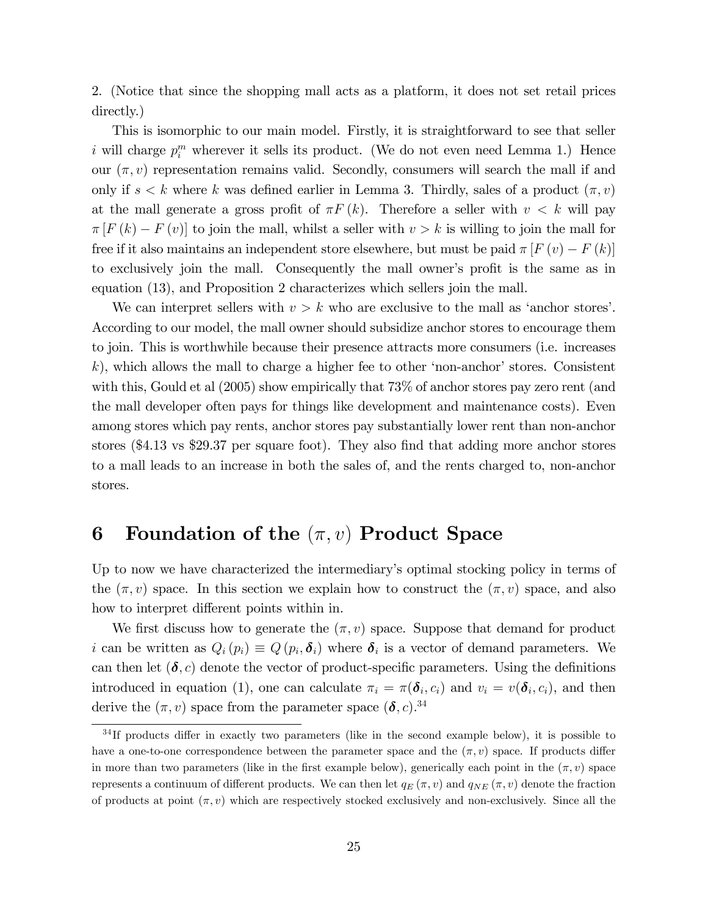2. (Notice that since the shopping mall acts as a platform, it does not set retail prices directly.)

This is isomorphic to our main model. Firstly, it is straightforward to see that seller i will charge  $p_i^m$  wherever it sells its product. (We do not even need Lemma 1.) Hence our  $(\pi, v)$  representation remains valid. Secondly, consumers will search the mall if and only if  $s < k$  where k was defined earlier in Lemma 3. Thirdly, sales of a product  $(\pi, v)$ at the mall generate a gross profit of  $\pi F(k)$ . Therefore a seller with  $v < k$  will pay  $\pi [F (k) - F (v)]$  to join the mall, whilst a seller with  $v > k$  is willing to join the mall for free if it also maintains an independent store elsewhere, but must be paid  $\pi [F(v) - F(k)]$ to exclusively join the mall. Consequently the mall owner's profit is the same as in equation (13), and Proposition 2 characterizes which sellers join the mall.

We can interpret sellers with  $v > k$  who are exclusive to the mall as 'anchor stores'. According to our model, the mall owner should subsidize anchor stores to encourage them to join. This is worthwhile because their presence attracts more consumers (i.e. increases  $k$ ), which allows the mall to charge a higher fee to other 'non-anchor' stores. Consistent with this, Gould et al (2005) show empirically that 73% of anchor stores pay zero rent (and the mall developer often pays for things like development and maintenance costs). Even among stores which pay rents, anchor stores pay substantially lower rent than non-anchor stores  $(\$4.13$  vs \$29.37 per square foot). They also find that adding more anchor stores to a mall leads to an increase in both the sales of, and the rents charged to, non-anchor stores.

### 6 Foundation of the  $(\pi, v)$  Product Space

Up to now we have characterized the intermediary's optimal stocking policy in terms of the  $(\pi, v)$  space. In this section we explain how to construct the  $(\pi, v)$  space, and also how to interpret different points within in.

We first discuss how to generate the  $(\pi, v)$  space. Suppose that demand for product i can be written as  $Q_i(p_i) \equiv Q(p_i, \delta_i)$  where  $\delta_i$  is a vector of demand parameters. We can then let  $(\delta, c)$  denote the vector of product-specific parameters. Using the definitions introduced in equation (1), one can calculate  $\pi_i = \pi(\boldsymbol{\delta}_i, c_i)$  and  $v_i = v(\boldsymbol{\delta}_i, c_i)$ , and then derive the  $(\pi, v)$  space from the parameter space  $(\delta, c)$ .<sup>34</sup>

 $34$ If products differ in exactly two parameters (like in the second example below), it is possible to have a one-to-one correspondence between the parameter space and the  $(\pi, v)$  space. If products differ in more than two parameters (like in the first example below), generically each point in the  $(\pi, v)$  space represents a continuum of different products. We can then let  $q_E(\pi, v)$  and  $q_{NE}(\pi, v)$  denote the fraction of products at point  $(\pi, v)$  which are respectively stocked exclusively and non-exclusively. Since all the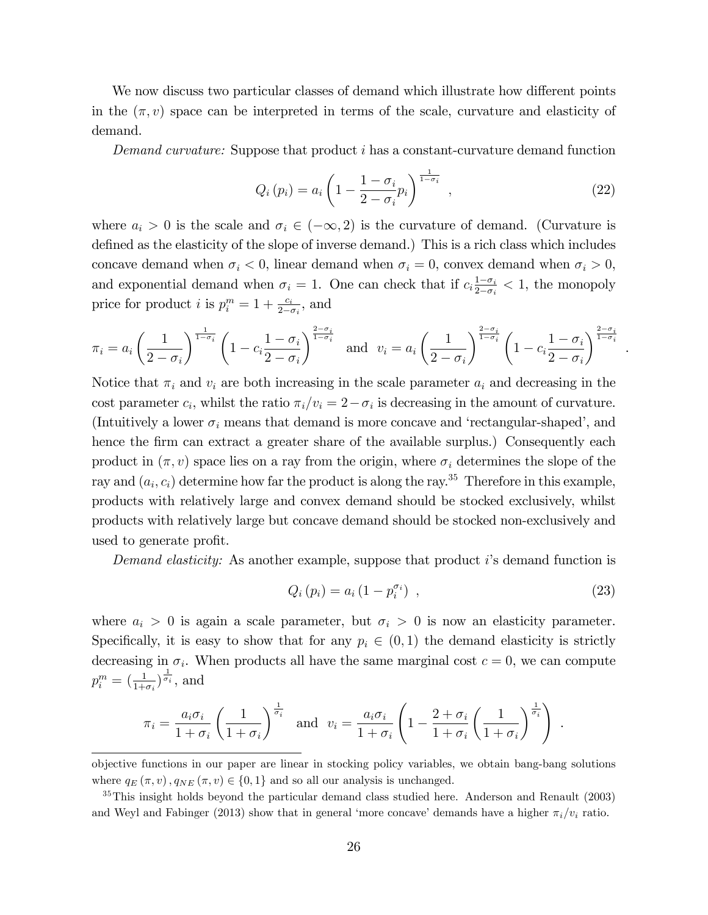We now discuss two particular classes of demand which illustrate how different points in the  $(\pi, v)$  space can be interpreted in terms of the scale, curvature and elasticity of demand.

Demand curvature: Suppose that product i has a constant-curvature demand function

$$
Q_i(p_i) = a_i \left( 1 - \frac{1 - \sigma_i}{2 - \sigma_i} p_i \right)^{\frac{1}{1 - \sigma_i}}, \qquad (22)
$$

.

where  $a_i > 0$  is the scale and  $\sigma_i \in (-\infty, 2)$  is the curvature of demand. (Curvature is defined as the elasticity of the slope of inverse demand.) This is a rich class which includes concave demand when  $\sigma_i < 0$ , linear demand when  $\sigma_i = 0$ , convex demand when  $\sigma_i > 0$ , and exponential demand when  $\sigma_i = 1$ . One can check that if  $c_i \frac{1-\sigma_i}{2-\sigma_i}$  $\frac{1-\sigma_i}{2-\sigma_i} < 1$ , the monopoly price for product *i* is  $p_i^m = 1 + \frac{c_i}{2 - \sigma_i}$ , and

$$
\pi_i = a_i \left(\frac{1}{2-\sigma_i}\right)^{\frac{1}{1-\sigma_i}} \left(1 - c_i \frac{1-\sigma_i}{2-\sigma_i}\right)^{\frac{2-\sigma_i}{1-\sigma_i}} \quad \text{and} \quad v_i = a_i \left(\frac{1}{2-\sigma_i}\right)^{\frac{2-\sigma_i}{1-\sigma_i}} \left(1 - c_i \frac{1-\sigma_i}{2-\sigma_i}\right)^{\frac{2-\sigma_i}{1-\sigma_i}}
$$

Notice that  $\pi_i$  and  $v_i$  are both increasing in the scale parameter  $a_i$  and decreasing in the cost parameter  $c_i$ , whilst the ratio  $\pi_i/v_i = 2 - \sigma_i$  is decreasing in the amount of curvature. (Intuitively a lower  $\sigma_i$  means that demand is more concave and 'rectangular-shaped', and hence the firm can extract a greater share of the available surplus.) Consequently each product in  $(\pi, v)$  space lies on a ray from the origin, where  $\sigma_i$  determines the slope of the ray and  $(a_i, c_i)$  determine how far the product is along the ray.<sup>35</sup> Therefore in this example, products with relatively large and convex demand should be stocked exclusively, whilst products with relatively large but concave demand should be stocked non-exclusively and used to generate profit.

Demand elasticity: As another example, suppose that product i's demand function is

$$
Q_i(p_i) = a_i (1 - p_i^{\sigma_i}) \t\t(23)
$$

where  $a_i > 0$  is again a scale parameter, but  $\sigma_i > 0$  is now an elasticity parameter. Specifically, it is easy to show that for any  $p_i \in (0, 1)$  the demand elasticity is strictly decreasing in  $\sigma_i$ . When products all have the same marginal cost  $c = 0$ , we can compute  $p_i^m = \left(\frac{1}{1+\sigma_i}\right)^{\frac{1}{\sigma_i}}, \text{ and}$ 

$$
\pi_i = \frac{a_i \sigma_i}{1 + \sigma_i} \left(\frac{1}{1 + \sigma_i}\right)^{\frac{1}{\sigma_i}} \quad \text{and} \quad v_i = \frac{a_i \sigma_i}{1 + \sigma_i} \left(1 - \frac{2 + \sigma_i}{1 + \sigma_i} \left(\frac{1}{1 + \sigma_i}\right)^{\frac{1}{\sigma_i}}\right) \; .
$$

objective functions in our paper are linear in stocking policy variables, we obtain bang-bang solutions where  $q_E(\pi, v)$ ,  $q_{NE}(\pi, v) \in \{0, 1\}$  and so all our analysis is unchanged.

<sup>&</sup>lt;sup>35</sup>This insight holds beyond the particular demand class studied here. Anderson and Renault (2003) and Weyl and Fabinger (2013) show that in general 'more concave' demands have a higher  $\pi_i/v_i$  ratio.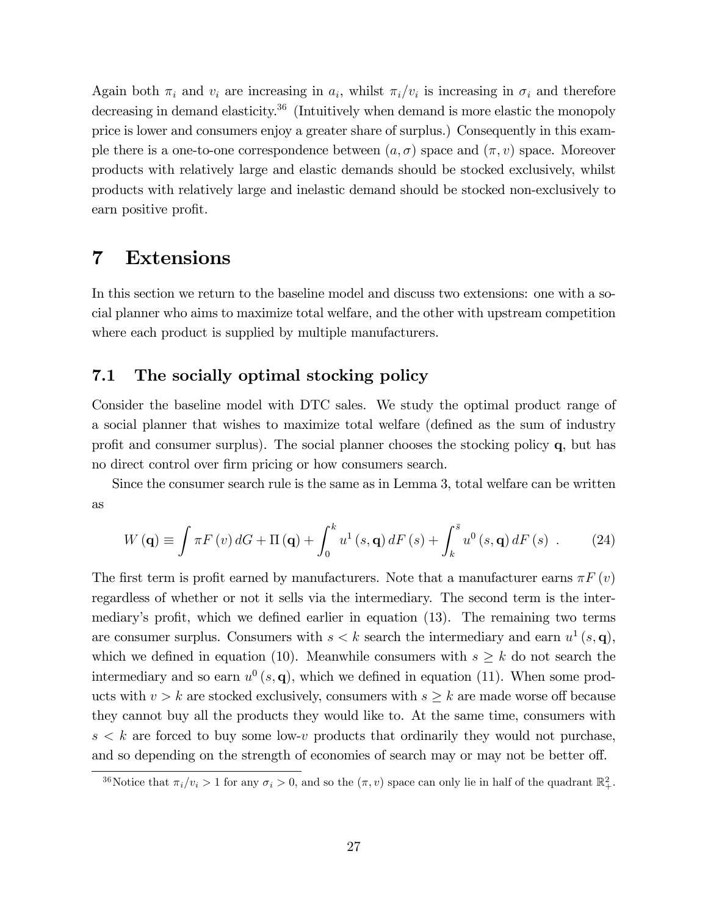Again both  $\pi_i$  and  $v_i$  are increasing in  $a_i$ , whilst  $\pi_i/v_i$  is increasing in  $\sigma_i$  and therefore decreasing in demand elasticity.<sup>36</sup> (Intuitively when demand is more elastic the monopoly price is lower and consumers enjoy a greater share of surplus.) Consequently in this example there is a one-to-one correspondence between  $(a, \sigma)$  space and  $(\pi, v)$  space. Moreover products with relatively large and elastic demands should be stocked exclusively, whilst products with relatively large and inelastic demand should be stocked non-exclusively to earn positive profit.

# 7 Extensions

In this section we return to the baseline model and discuss two extensions: one with a social planner who aims to maximize total welfare, and the other with upstream competition where each product is supplied by multiple manufacturers.

#### 7.1 The socially optimal stocking policy

Consider the baseline model with DTC sales. We study the optimal product range of a social planner that wishes to maximize total welfare (defined as the sum of industry profit and consumer surplus). The social planner chooses the stocking policy  $q$ , but has no direct control over firm pricing or how consumers search.

Since the consumer search rule is the same as in Lemma 3, total welfare can be written as

$$
W\left(\mathbf{q}\right) \equiv \int \pi F\left(v\right) dG + \Pi\left(\mathbf{q}\right) + \int_0^k u^1\left(s, \mathbf{q}\right) dF\left(s\right) + \int_k^{\bar{s}} u^0\left(s, \mathbf{q}\right) dF\left(s\right) \ . \tag{24}
$$

The first term is profit earned by manufacturers. Note that a manufacturer earns  $\pi F(v)$ regardless of whether or not it sells via the intermediary. The second term is the intermediary's profit, which we defined earlier in equation (13). The remaining two terms are consumer surplus. Consumers with  $s < k$  search the intermediary and earn  $u^1(s, \mathbf{q})$ , which we defined in equation (10). Meanwhile consumers with  $s \geq k$  do not search the intermediary and so earn  $u^0(s, \mathbf{q})$ , which we defined in equation (11). When some products with  $v > k$  are stocked exclusively, consumers with  $s \geq k$  are made worse off because they cannot buy all the products they would like to. At the same time, consumers with  $s < k$  are forced to buy some low-v products that ordinarily they would not purchase, and so depending on the strength of economies of search may or may not be better off.

<sup>&</sup>lt;sup>36</sup>Notice that  $\pi_i/v_i > 1$  for any  $\sigma_i > 0$ , and so the  $(\pi, v)$  space can only lie in half of the quadrant  $\mathbb{R}^2_+$ .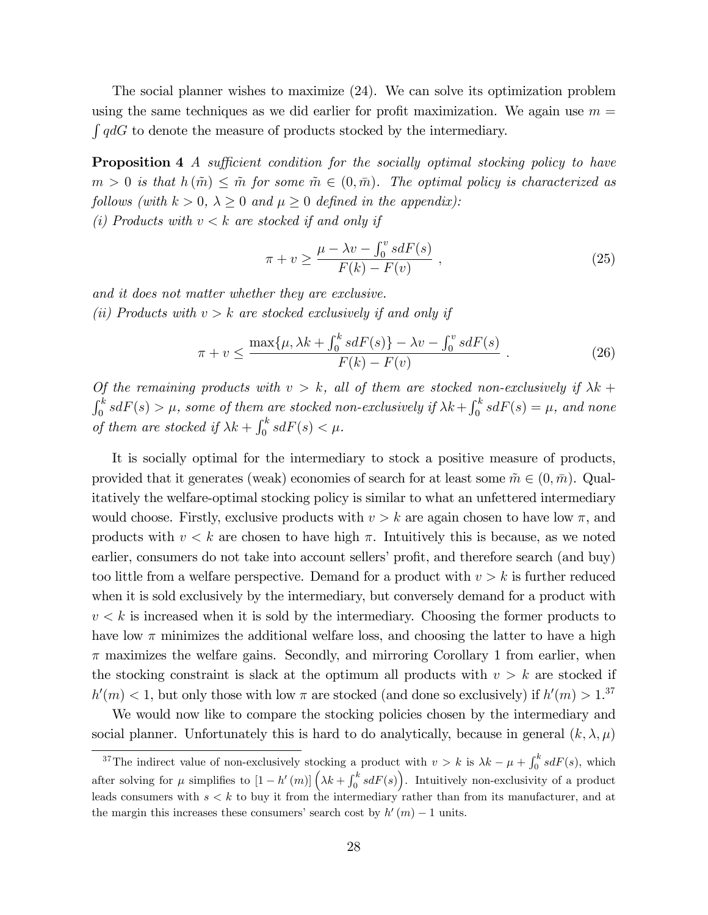The social planner wishes to maximize (24). We can solve its optimization problem using the same techniques as we did earlier for profit maximization. We again use  $m =$  $\int q dG$  to denote the measure of products stocked by the intermediary.

**Proposition 4** A sufficient condition for the socially optimal stocking policy to have  $m > 0$  is that  $h(m) \leq \tilde{m}$  for some  $\tilde{m} \in (0, \bar{m})$ . The optimal policy is characterized as follows (with  $k > 0$ ,  $\lambda \geq 0$  and  $\mu \geq 0$  defined in the appendix):

(i) Products with  $v < k$  are stocked if and only if

$$
\pi + v \ge \frac{\mu - \lambda v - \int_0^v s dF(s)}{F(k) - F(v)},
$$
\n(25)

and it does not matter whether they are exclusive.

(ii) Products with  $v > k$  are stocked exclusively if and only if

$$
\pi + v \le \frac{\max\{\mu, \lambda k + \int_0^k s dF(s)\} - \lambda v - \int_0^v s dF(s)}{F(k) - F(v)}.
$$
\n(26)

Of the remaining products with  $v > k$ , all of them are stocked non-exclusively if  $\lambda k$  +  $\int_0^k s dF(s) > \mu$ , some of them are stocked non-exclusively if  $\lambda k + \int_0^k s dF(s) = \mu$ , and none of them are stocked if  $\lambda k + \int_0^k s dF(s) < \mu$ .

It is socially optimal for the intermediary to stock a positive measure of products, provided that it generates (weak) economies of search for at least some  $\tilde{m} \in (0, \bar{m})$ . Qualitatively the welfare-optimal stocking policy is similar to what an unfettered intermediary would choose. Firstly, exclusive products with  $v > k$  are again chosen to have low  $\pi$ , and products with  $v < k$  are chosen to have high  $\pi$ . Intuitively this is because, as we noted earlier, consumers do not take into account sellers' profit, and therefore search (and buy) too little from a welfare perspective. Demand for a product with  $v > k$  is further reduced when it is sold exclusively by the intermediary, but conversely demand for a product with  $v < k$  is increased when it is sold by the intermediary. Choosing the former products to have low  $\pi$  minimizes the additional welfare loss, and choosing the latter to have a high  $\pi$  maximizes the welfare gains. Secondly, and mirroring Corollary 1 from earlier, when the stocking constraint is slack at the optimum all products with  $v > k$  are stocked if  $h'(m) < 1$ , but only those with low  $\pi$  are stocked (and done so exclusively) if  $h'(m) > 1$ .<sup>37</sup>

We would now like to compare the stocking policies chosen by the intermediary and social planner. Unfortunately this is hard to do analytically, because in general  $(k, \lambda, \mu)$ 

<sup>&</sup>lt;sup>37</sup>The indirect value of non-exclusively stocking a product with  $v > k$  is  $\lambda k - \mu + \int_0^k s dF(s)$ , which after solving for  $\mu$  simplifies to  $[1-h'(m)](\lambda k + \int_0^k s dF(s))$ . Intuitively non-exclusivity of a product leads consumers with  $s < k$  to buy it from the intermediary rather than from its manufacturer, and at the margin this increases these consumers' search cost by  $h'(m) - 1$  units.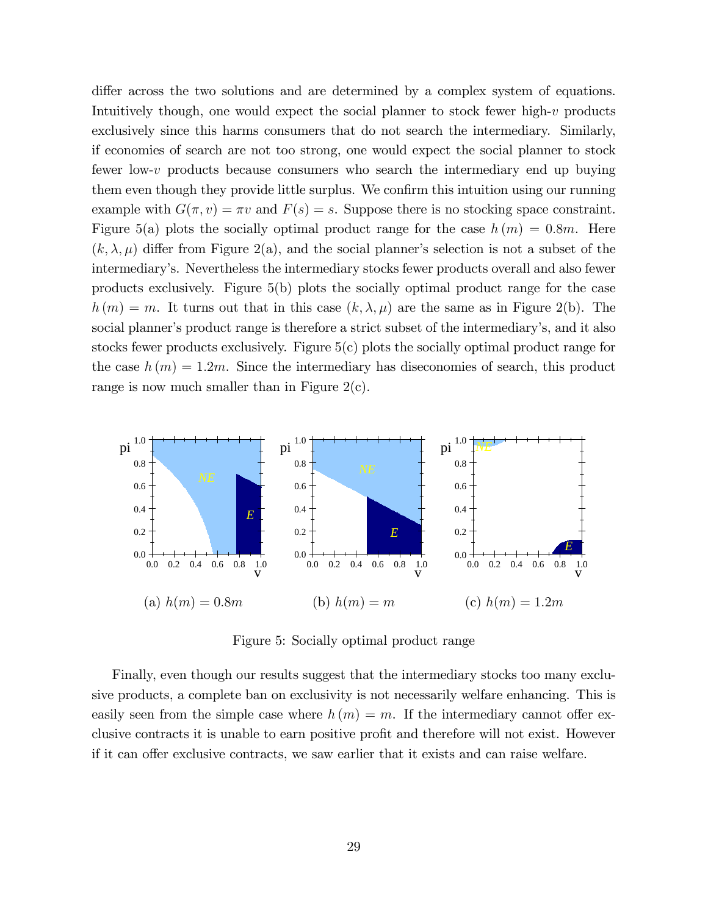differ across the two solutions and are determined by a complex system of equations. Intuitively though, one would expect the social planner to stock fewer high-v products exclusively since this harms consumers that do not search the intermediary. Similarly, if economies of search are not too strong, one would expect the social planner to stock fewer low-v products because consumers who search the intermediary end up buying them even though they provide little surplus. We confirm this intuition using our running example with  $G(\pi, v) = \pi v$  and  $F(s) = s$ . Suppose there is no stocking space constraint. Figure 5(a) plots the socially optimal product range for the case  $h(m) = 0.8m$ . Here  $(k, \lambda, \mu)$  differ from Figure 2(a), and the social planner's selection is not a subset of the intermediaryís. Nevertheless the intermediary stocks fewer products overall and also fewer products exclusively. Figure 5(b) plots the socially optimal product range for the case  $h(m) = m$ . It turns out that in this case  $(k, \lambda, \mu)$  are the same as in Figure 2(b). The social planner's product range is therefore a strict subset of the intermediary's, and it also stocks fewer products exclusively. Figure 5(c) plots the socially optimal product range for the case  $h(m) = 1.2m$ . Since the intermediary has diseconomies of search, this product range is now much smaller than in Figure  $2(c)$ .



Figure 5: Socially optimal product range

Finally, even though our results suggest that the intermediary stocks too many exclusive products, a complete ban on exclusivity is not necessarily welfare enhancing. This is easily seen from the simple case where  $h(m) = m$ . If the intermediary cannot offer exclusive contracts it is unable to earn positive profit and therefore will not exist. However if it can offer exclusive contracts, we saw earlier that it exists and can raise welfare.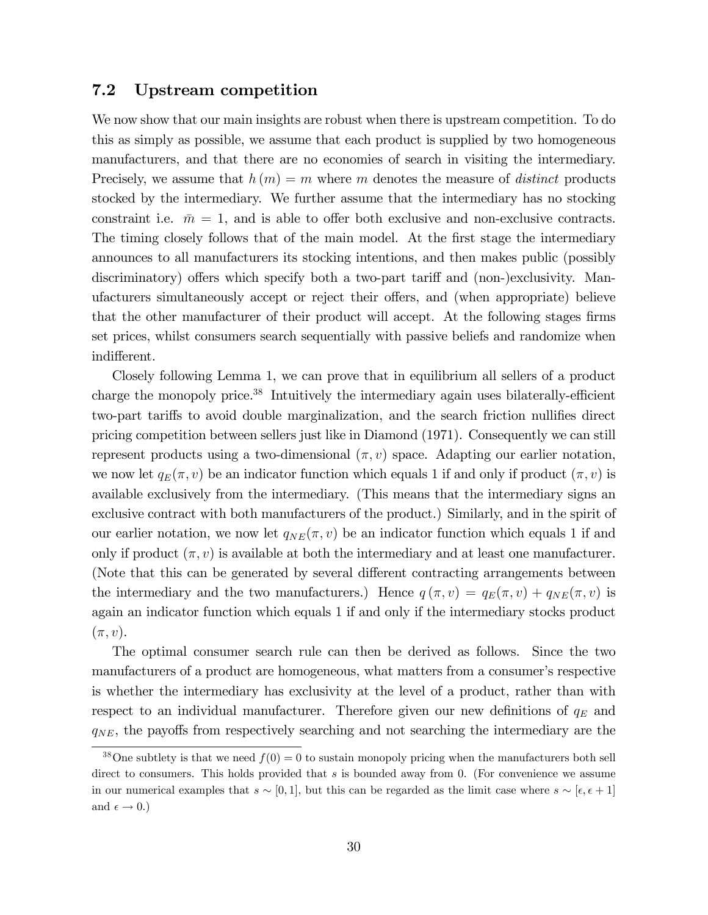#### 7.2 Upstream competition

We now show that our main insights are robust when there is upstream competition. To do this as simply as possible, we assume that each product is supplied by two homogeneous manufacturers, and that there are no economies of search in visiting the intermediary. Precisely, we assume that  $h(m) = m$  where m denotes the measure of *distinct* products stocked by the intermediary. We further assume that the intermediary has no stocking constraint i.e.  $\bar{m} = 1$ , and is able to offer both exclusive and non-exclusive contracts. The timing closely follows that of the main model. At the first stage the intermediary announces to all manufacturers its stocking intentions, and then makes public (possibly discriminatory) offers which specify both a two-part tariff and (non-)exclusivity. Manufacturers simultaneously accept or reject their offers, and (when appropriate) believe that the other manufacturer of their product will accept. At the following stages firms set prices, whilst consumers search sequentially with passive beliefs and randomize when indifferent.

Closely following Lemma 1, we can prove that in equilibrium all sellers of a product charge the monopoly price.<sup>38</sup> Intuitively the intermediary again uses bilaterally-efficient two-part tariffs to avoid double marginalization, and the search friction nullifies direct pricing competition between sellers just like in Diamond (1971). Consequently we can still represent products using a two-dimensional  $(\pi, v)$  space. Adapting our earlier notation, we now let  $q_E(\pi, v)$  be an indicator function which equals 1 if and only if product  $(\pi, v)$  is available exclusively from the intermediary. (This means that the intermediary signs an exclusive contract with both manufacturers of the product.) Similarly, and in the spirit of our earlier notation, we now let  $q_{NE}(\pi, v)$  be an indicator function which equals 1 if and only if product  $(\pi, v)$  is available at both the intermediary and at least one manufacturer. (Note that this can be generated by several different contracting arrangements between the intermediary and the two manufacturers.) Hence  $q(\pi, v) = q_E(\pi, v) + q_{NE}(\pi, v)$  is again an indicator function which equals 1 if and only if the intermediary stocks product  $(\pi, v).$ 

The optimal consumer search rule can then be derived as follows. Since the two manufacturers of a product are homogeneous, what matters from a consumer's respective is whether the intermediary has exclusivity at the level of a product, rather than with respect to an individual manufacturer. Therefore given our new definitions of  $q_E$  and  $q_{NE}$ , the payoffs from respectively searching and not searching the intermediary are the

<sup>&</sup>lt;sup>38</sup>One subtlety is that we need  $f(0) = 0$  to sustain monopoly pricing when the manufacturers both sell direct to consumers. This holds provided that  $s$  is bounded away from 0. (For convenience we assume in our numerical examples that  $s \sim [0, 1]$ , but this can be regarded as the limit case where  $s \sim [\epsilon, \epsilon + 1]$ and  $\epsilon \to 0.$ )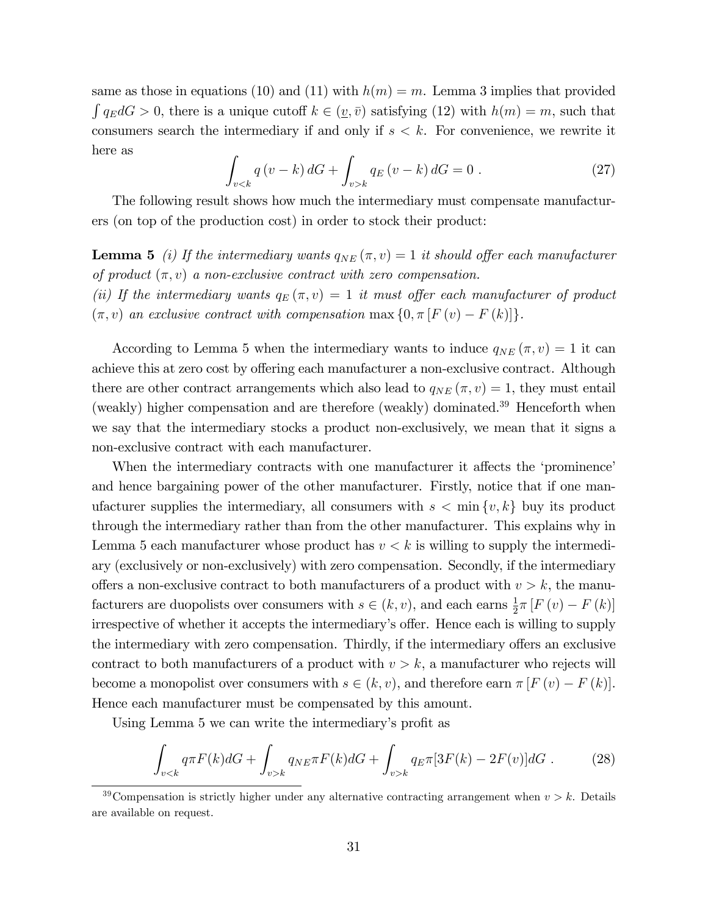same as those in equations (10) and (11) with  $h(m) = m$ . Lemma 3 implies that provided  $\int q_E dG > 0$ , there is a unique cutoff  $k \in (\underline{v}, \overline{v})$  satisfying (12) with  $h(m) = m$ , such that consumers search the intermediary if and only if  $s < k$ . For convenience, we rewrite it here as

$$
\int_{v < k} q(v - k) dG + \int_{v > k} q_E(v - k) dG = 0 \tag{27}
$$

The following result shows how much the intermediary must compensate manufacturers (on top of the production cost) in order to stock their product:

**Lemma 5** (i) If the intermediary wants  $q_{NE}(\pi, v) = 1$  it should offer each manufacturer of product  $(\pi, v)$  a non-exclusive contract with zero compensation.

(ii) If the intermediary wants  $q_E(\pi, v) = 1$  it must offer each manufacturer of product  $(\pi, v)$  an exclusive contract with compensation max  $\{0, \pi | F(v) - F(k)|\}.$ 

According to Lemma 5 when the intermediary wants to induce  $q_{NE}(\pi, v) = 1$  it can achieve this at zero cost by offering each manufacturer a non-exclusive contract. Although there are other contract arrangements which also lead to  $q_{NE}(\pi, v) = 1$ , they must entail (weakly) higher compensation and are therefore (weakly) dominated.<sup>39</sup> Henceforth when we say that the intermediary stocks a product non-exclusively, we mean that it signs a non-exclusive contract with each manufacturer.

When the intermediary contracts with one manufacturer it affects the 'prominence' and hence bargaining power of the other manufacturer. Firstly, notice that if one manufacturer supplies the intermediary, all consumers with  $s < \min \{v, k\}$  buy its product through the intermediary rather than from the other manufacturer. This explains why in Lemma 5 each manufacturer whose product has  $v < k$  is willing to supply the intermediary (exclusively or non-exclusively) with zero compensation. Secondly, if the intermediary offers a non-exclusive contract to both manufacturers of a product with  $v > k$ , the manufacturers are duopolists over consumers with  $s \in (k, v)$ , and each earns  $\frac{1}{2} \pi [F(v) - F(k)]$ irrespective of whether it accepts the intermediary's offer. Hence each is willing to supply the intermediary with zero compensation. Thirdly, if the intermediary offers an exclusive contract to both manufacturers of a product with  $v > k$ , a manufacturer who rejects will become a monopolist over consumers with  $s \in (k, v)$ , and therefore earn  $\pi [F(v) - F(k)]$ . Hence each manufacturer must be compensated by this amount.

Using Lemma 5 we can write the intermediary's profit as

$$
\int_{v < k} q \pi F(k) dG + \int_{v > k} q_{NE} \pi F(k) dG + \int_{v > k} q_E \pi [3F(k) - 2F(v)] dG \,. \tag{28}
$$

<sup>&</sup>lt;sup>39</sup>Compensation is strictly higher under any alternative contracting arrangement when  $v > k$ . Details are available on request.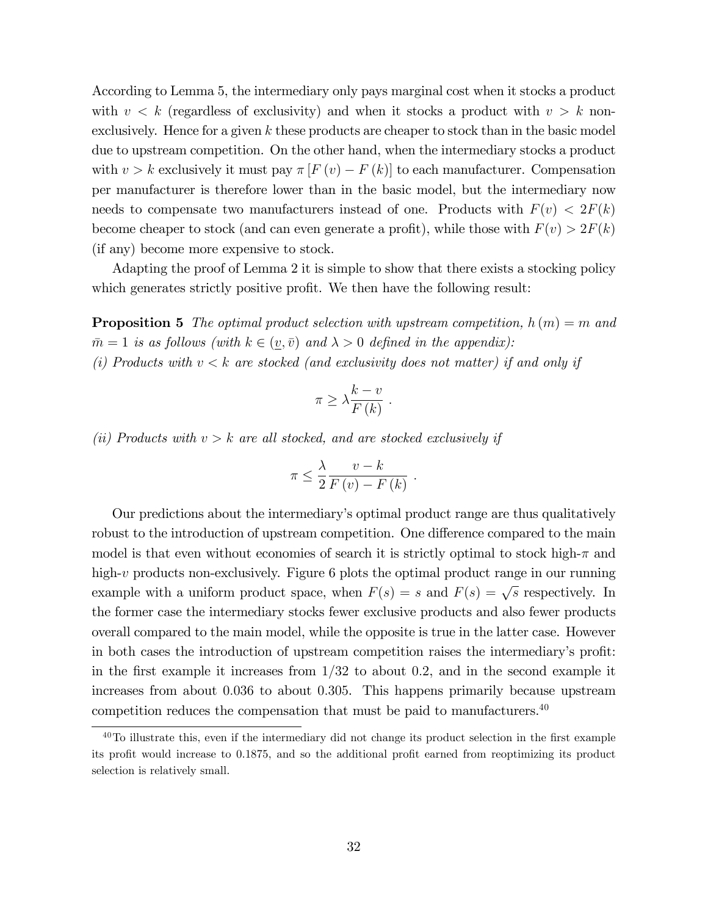According to Lemma 5, the intermediary only pays marginal cost when it stocks a product with  $v < k$  (regardless of exclusivity) and when it stocks a product with  $v > k$  nonexclusively. Hence for a given  $k$  these products are cheaper to stock than in the basic model due to upstream competition. On the other hand, when the intermediary stocks a product with  $v > k$  exclusively it must pay  $\pi [F(v) - F(k)]$  to each manufacturer. Compensation per manufacturer is therefore lower than in the basic model, but the intermediary now needs to compensate two manufacturers instead of one. Products with  $F(v) < 2F(k)$ become cheaper to stock (and can even generate a profit), while those with  $F(v) > 2F(k)$ (if any) become more expensive to stock.

Adapting the proof of Lemma 2 it is simple to show that there exists a stocking policy which generates strictly positive profit. We then have the following result:

**Proposition 5** The optimal product selection with upstream competition,  $h(m) = m$  and  $\bar{m} = 1$  is as follows (with  $k \in (\underline{v}, \bar{v})$  and  $\lambda > 0$  defined in the appendix): (i) Products with  $v < k$  are stocked (and exclusivity does not matter) if and only if

$$
\pi \geq \lambda \frac{k-v}{F(k)}.
$$

(ii) Products with  $v > k$  are all stocked, and are stocked exclusively if

$$
\pi \leq \frac{\lambda}{2} \frac{v - k}{F(v) - F(k)}.
$$

Our predictions about the intermediary's optimal product range are thus qualitatively robust to the introduction of upstream competition. One difference compared to the main model is that even without economies of search it is strictly optimal to stock high- $\pi$  and high-v products non-exclusively. Figure 6 plots the optimal product range in our running example with a uniform product space, when  $F(s) = s$  and  $F(s) = \sqrt{s}$  respectively. In the former case the intermediary stocks fewer exclusive products and also fewer products overall compared to the main model, while the opposite is true in the latter case. However in both cases the introduction of upstream competition raises the intermediary's profit: in the first example it increases from  $1/32$  to about 0.2, and in the second example it increases from about 0:036 to about 0:305. This happens primarily because upstream competition reduces the compensation that must be paid to manufacturers.  $40$ 

 $40$ To illustrate this, even if the intermediary did not change its product selection in the first example its profit would increase to 0.1875, and so the additional profit earned from reoptimizing its product selection is relatively small.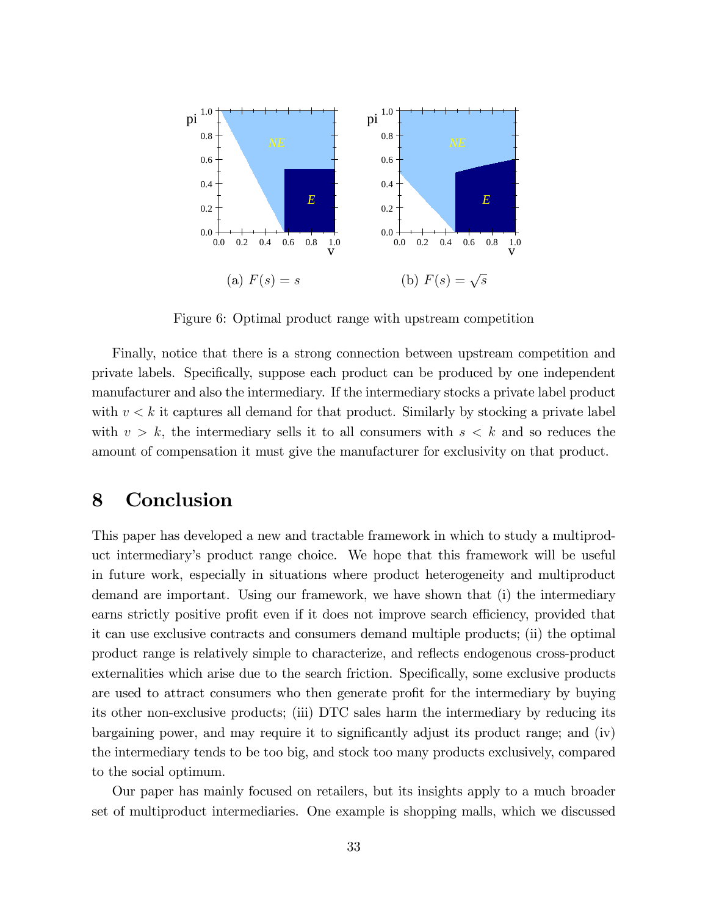

Figure 6: Optimal product range with upstream competition

Finally, notice that there is a strong connection between upstream competition and private labels. Specifically, suppose each product can be produced by one independent manufacturer and also the intermediary. If the intermediary stocks a private label product with  $v < k$  it captures all demand for that product. Similarly by stocking a private label with  $v > k$ , the intermediary sells it to all consumers with  $s < k$  and so reduces the amount of compensation it must give the manufacturer for exclusivity on that product.

## 8 Conclusion

This paper has developed a new and tractable framework in which to study a multiproduct intermediaryís product range choice. We hope that this framework will be useful in future work, especially in situations where product heterogeneity and multiproduct demand are important. Using our framework, we have shown that (i) the intermediary earns strictly positive profit even if it does not improve search efficiency, provided that it can use exclusive contracts and consumers demand multiple products; (ii) the optimal product range is relatively simple to characterize, and reflects endogenous cross-product externalities which arise due to the search friction. Specifically, some exclusive products are used to attract consumers who then generate profit for the intermediary by buying its other non-exclusive products; (iii) DTC sales harm the intermediary by reducing its bargaining power, and may require it to significantly adjust its product range; and (iv) the intermediary tends to be too big, and stock too many products exclusively, compared to the social optimum.

Our paper has mainly focused on retailers, but its insights apply to a much broader set of multiproduct intermediaries. One example is shopping malls, which we discussed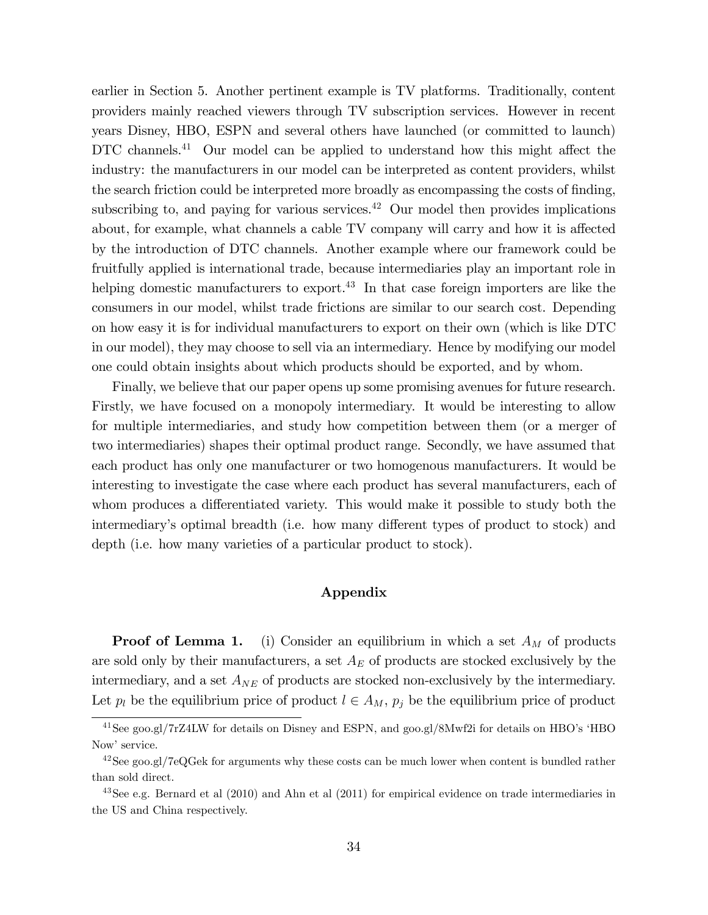earlier in Section 5. Another pertinent example is TV platforms. Traditionally, content providers mainly reached viewers through TV subscription services. However in recent years Disney, HBO, ESPN and several others have launched (or committed to launch) DTC channels.<sup>41</sup> Our model can be applied to understand how this might affect the industry: the manufacturers in our model can be interpreted as content providers, whilst the search friction could be interpreted more broadly as encompassing the costs of finding, subscribing to, and paying for various services.<sup>42</sup> Our model then provides implications about, for example, what channels a cable TV company will carry and how it is affected by the introduction of DTC channels. Another example where our framework could be fruitfully applied is international trade, because intermediaries play an important role in helping domestic manufacturers to export.<sup>43</sup> In that case foreign importers are like the consumers in our model, whilst trade frictions are similar to our search cost. Depending on how easy it is for individual manufacturers to export on their own (which is like DTC in our model), they may choose to sell via an intermediary. Hence by modifying our model one could obtain insights about which products should be exported, and by whom.

Finally, we believe that our paper opens up some promising avenues for future research. Firstly, we have focused on a monopoly intermediary. It would be interesting to allow for multiple intermediaries, and study how competition between them (or a merger of two intermediaries) shapes their optimal product range. Secondly, we have assumed that each product has only one manufacturer or two homogenous manufacturers. It would be interesting to investigate the case where each product has several manufacturers, each of whom produces a differentiated variety. This would make it possible to study both the intermediary's optimal breadth (i.e. how many different types of product to stock) and depth (i.e. how many varieties of a particular product to stock).

#### Appendix

**Proof of Lemma 1.** (i) Consider an equilibrium in which a set  $A_M$  of products are sold only by their manufacturers, a set  $A_E$  of products are stocked exclusively by the intermediary, and a set  $A_{NE}$  of products are stocked non-exclusively by the intermediary. Let  $p_l$  be the equilibrium price of product  $l \in A_M$ ,  $p_j$  be the equilibrium price of product

<sup>&</sup>lt;sup>41</sup>See goo.gl/7rZ4LW for details on Disney and ESPN, and goo.gl/8Mwf2i for details on HBO's 'HBO Now' service.

<sup>&</sup>lt;sup>42</sup>See goo.gl/7eQGek for arguments why these costs can be much lower when content is bundled rather than sold direct.

 $43$ See e.g. Bernard et al  $(2010)$  and Ahn et al  $(2011)$  for empirical evidence on trade intermediaries in the US and China respectively.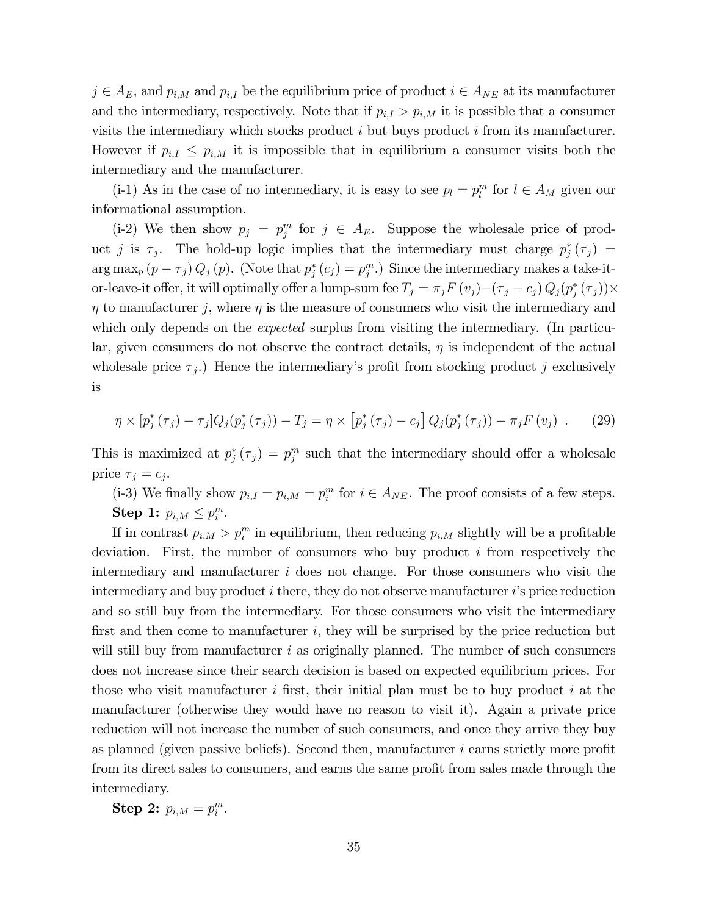$j \in A_E$ , and  $p_{i,M}$  and  $p_{i,I}$  be the equilibrium price of product  $i \in A_{NE}$  at its manufacturer and the intermediary, respectively. Note that if  $p_{i,I} > p_{i,M}$  it is possible that a consumer visits the intermediary which stocks product  $i$  but buys product  $i$  from its manufacturer. However if  $p_{i,I} \leq p_{i,M}$  it is impossible that in equilibrium a consumer visits both the intermediary and the manufacturer.

(i-1) As in the case of no intermediary, it is easy to see  $p_l = p_l^m$  for  $l \in A_M$  given our informational assumption.

(i-2) We then show  $p_j = p_j^m$  for  $j \in A_E$ . Suppose the wholesale price of product j is  $\tau_j$ . The hold-up logic implies that the intermediary must charge  $p_j^*(\tau_j)$  =  $\arg \max_{p} (p - \tau_j) Q_j(p)$ . (Note that  $p_j^*(c_j) = p_j^m$ .) Since the intermediary makes a take-itor-leave-it offer, it will optimally offer a lump-sum fee  $T_j = \pi_j F(v_j) - (\tau_j - c_j) Q_j (p_j^*(\tau_j)) \times$  $\eta$  to manufacturer j, where  $\eta$  is the measure of consumers who visit the intermediary and which only depends on the *expected* surplus from visiting the intermediary. (In particular, given consumers do not observe the contract details,  $\eta$  is independent of the actual wholes ale price  $\tau_j$ .) Hence the intermediary's profit from stocking product j exclusively is

$$
\eta \times [p_j^*(\tau_j) - \tau_j] Q_j(p_j^*(\tau_j)) - T_j = \eta \times [p_j^*(\tau_j) - c_j] Q_j(p_j^*(\tau_j)) - \pi_j F(v_j) . \tag{29}
$$

This is maximized at  $p_j^*(\tau_j) = p_j^m$  such that the intermediary should offer a wholesale price  $\tau_j = c_j$ .

(i-3) We finally show  $p_{i,I} = p_{i,M} = p_i^m$  for  $i \in A_{NE}$ . The proof consists of a few steps. Step 1:  $p_{i,M} \leq p_i^m$ .

If in contrast  $p_{i,M} > p_i^m$  in equilibrium, then reducing  $p_{i,M}$  slightly will be a profitable deviation. First, the number of consumers who buy product i from respectively the intermediary and manufacturer  $i$  does not change. For those consumers who visit the intermediary and buy product  $i$  there, they do not observe manufacturer  $i$ 's price reduction and so still buy from the intermediary. For those consumers who visit the intermediary first and then come to manufacturer  $i$ , they will be surprised by the price reduction but will still buy from manufacturer  $i$  as originally planned. The number of such consumers does not increase since their search decision is based on expected equilibrium prices. For those who visit manufacturer  $i$  first, their initial plan must be to buy product  $i$  at the manufacturer (otherwise they would have no reason to visit it). Again a private price reduction will not increase the number of such consumers, and once they arrive they buy as planned (given passive beliefs). Second then, manufacturer  $i$  earns strictly more profit from its direct sales to consumers, and earns the same profit from sales made through the intermediary.

**Step 2:**  $p_{i,M} = p_i^m$ .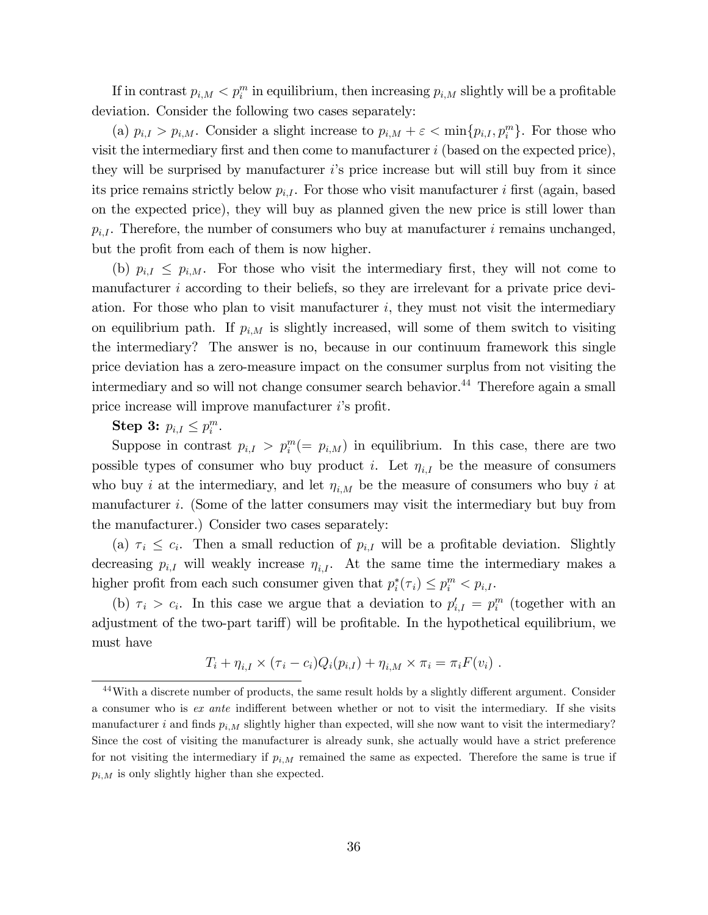If in contrast  $p_{i,M} < p_i^m$  in equilibrium, then increasing  $p_{i,M}$  slightly will be a profitable deviation. Consider the following two cases separately:

(a)  $p_{i,I} > p_{i,M}$ . Consider a slight increase to  $p_{i,M} + \varepsilon < \min\{p_{i,I}, p_i^m\}$ . For those who visit the intermediary first and then come to manufacturer  $i$  (based on the expected price), they will be surprised by manufacturer  $i$ 's price increase but will still buy from it since its price remains strictly below  $p_{i,I}$ . For those who visit manufacturer i first (again, based on the expected price), they will buy as planned given the new price is still lower than  $p_{i,I}$ . Therefore, the number of consumers who buy at manufacturer i remains unchanged, but the profit from each of them is now higher.

(b)  $p_{i,I} \leq p_{i,M}$ . For those who visit the intermediary first, they will not come to manufacturer  $i$  according to their beliefs, so they are irrelevant for a private price deviation. For those who plan to visit manufacturer  $i$ , they must not visit the intermediary on equilibrium path. If  $p_{i,M}$  is slightly increased, will some of them switch to visiting the intermediary? The answer is no, because in our continuum framework this single price deviation has a zero-measure impact on the consumer surplus from not visiting the intermediary and so will not change consumer search behavior.<sup>44</sup> Therefore again a small price increase will improve manufacturer  $i$ 's profit.

# Step 3:  $p_{i,I} \leq p_i^m$ .

Suppose in contrast  $p_{i,I} > p_i^m (= p_{i,M})$  in equilibrium. In this case, there are two possible types of consumer who buy product *i*. Let  $\eta_{i,I}$  be the measure of consumers who buy *i* at the intermediary, and let  $\eta_{i,M}$  be the measure of consumers who buy *i* at manufacturer i. (Some of the latter consumers may visit the intermediary but buy from the manufacturer.) Consider two cases separately:

(a)  $\tau_i \leq c_i$ . Then a small reduction of  $p_{i,I}$  will be a profitable deviation. Slightly decreasing  $p_{i,I}$  will weakly increase  $\eta_{i,I}$ . At the same time the intermediary makes a higher profit from each such consumer given that  $p_i^*(\tau_i) \leq p_i^m < p_{i,I}$ .

(b)  $\tau_i > c_i$ . In this case we argue that a deviation to  $p'_{i,I} = p_i^m$  (together with an adjustment of the two-part tariff) will be profitable. In the hypothetical equilibrium, we must have

$$
T_i + \eta_{i,I} \times (\tau_i - c_i) Q_i(p_{i,I}) + \eta_{i,M} \times \pi_i = \pi_i F(v_i) .
$$

 $44$ With a discrete number of products, the same result holds by a slightly different argument. Consider a consumer who is  $ex$  ante indifferent between whether or not to visit the intermediary. If she visits manufacturer i and finds  $p_{i,M}$  slightly higher than expected, will she now want to visit the intermediary? Since the cost of visiting the manufacturer is already sunk, she actually would have a strict preference for not visiting the intermediary if  $p_{i,M}$  remained the same as expected. Therefore the same is true if  $p_{i,M}$  is only slightly higher than she expected.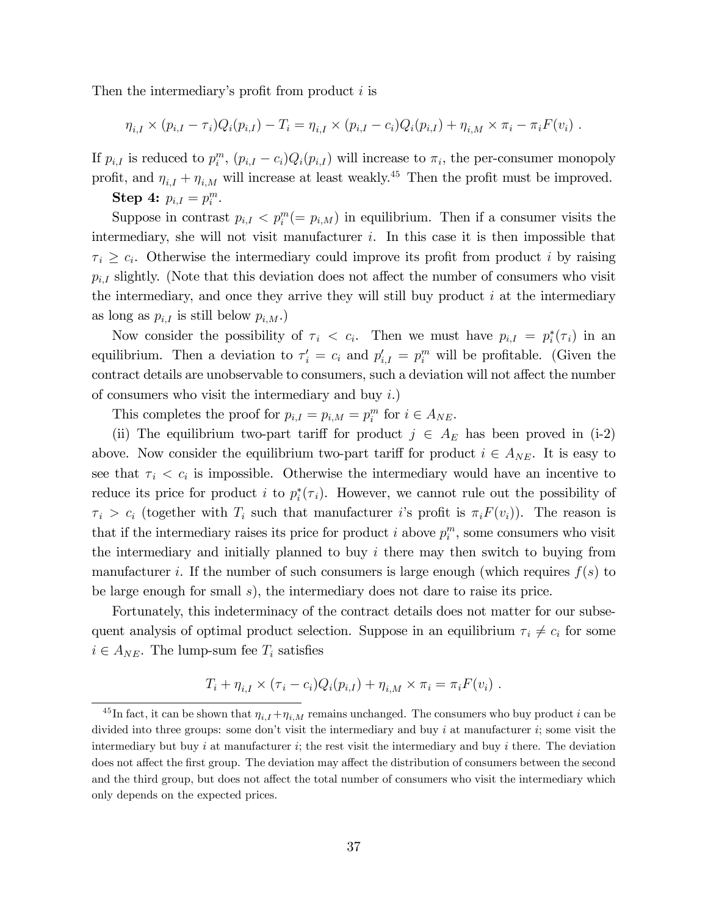Then the intermediary's profit from product  $i$  is

$$
\eta_{i,I} \times (p_{i,I} - \tau_i) Q_i(p_{i,I}) - T_i = \eta_{i,I} \times (p_{i,I} - c_i) Q_i(p_{i,I}) + \eta_{i,M} \times \pi_i - \pi_i F(v_i) .
$$

If  $p_{i,I}$  is reduced to  $p_i^m$ ,  $(p_{i,I} - c_i)Q_i(p_{i,I})$  will increase to  $\pi_i$ , the per-consumer monopoly profit, and  $\eta_{i,I} + \eta_{i,M}$  will increase at least weakly.<sup>45</sup> Then the profit must be improved.

**Step 4:**  $p_{i,I} = p_i^m$ .

Suppose in contrast  $p_{i,I} < p_i^m (= p_{i,M})$  in equilibrium. Then if a consumer visits the intermediary, she will not visit manufacturer i. In this case it is then impossible that  $\tau_i \geq c_i$ . Otherwise the intermediary could improve its profit from product i by raising  $p_{i,I}$  slightly. (Note that this deviation does not affect the number of consumers who visit the intermediary, and once they arrive they will still buy product  $i$  at the intermediary as long as  $p_{i,I}$  is still below  $p_{i,M}$ .)

Now consider the possibility of  $\tau_i < c_i$ . Then we must have  $p_{i,I} = p_i^*(\tau_i)$  in an equilibrium. Then a deviation to  $\tau'_i = c_i$  and  $p'_{i,I} = p_i^m$  will be profitable. (Given the contract details are unobservable to consumers, such a deviation will not affect the number of consumers who visit the intermediary and buy  $i$ .)

This completes the proof for  $p_{i,I} = p_{i,M} = p_i^m$  for  $i \in A_{NE}$ .

(ii) The equilibrium two-part tariff for product  $j \in A_E$  has been proved in (i-2) above. Now consider the equilibrium two-part tariff for product  $i \in A_{NE}$ . It is easy to see that  $\tau_i < c_i$  is impossible. Otherwise the intermediary would have an incentive to reduce its price for product *i* to  $p_i^*(\tau_i)$ . However, we cannot rule out the possibility of  $\tau_i > c_i$  (together with  $T_i$  such that manufacturer is profit is  $\pi_i F(v_i)$ ). The reason is that if the intermediary raises its price for product i above  $p_i^m$ , some consumers who visit the intermediary and initially planned to buy  $i$  there may then switch to buying from manufacturer i. If the number of such consumers is large enough (which requires  $f(s)$  to be large enough for small s), the intermediary does not dare to raise its price.

Fortunately, this indeterminacy of the contract details does not matter for our subsequent analysis of optimal product selection. Suppose in an equilibrium  $\tau_i \neq c_i$  for some  $i \in A_{NE}$ . The lump-sum fee  $T_i$  satisfies

$$
T_i + \eta_{i,I} \times (\tau_i - c_i) Q_i(p_{i,I}) + \eta_{i,M} \times \pi_i = \pi_i F(v_i) .
$$

<sup>&</sup>lt;sup>45</sup>In fact, it can be shown that  $\eta_{i,I} + \eta_{i,M}$  remains unchanged. The consumers who buy product i can be divided into three groups: some don't visit the intermediary and buy i at manufacturer i; some visit the intermediary but buy i at manufacturer i; the rest visit the intermediary and buy i there. The deviation does not affect the first group. The deviation may affect the distribution of consumers between the second and the third group, but does not affect the total number of consumers who visit the intermediary which only depends on the expected prices.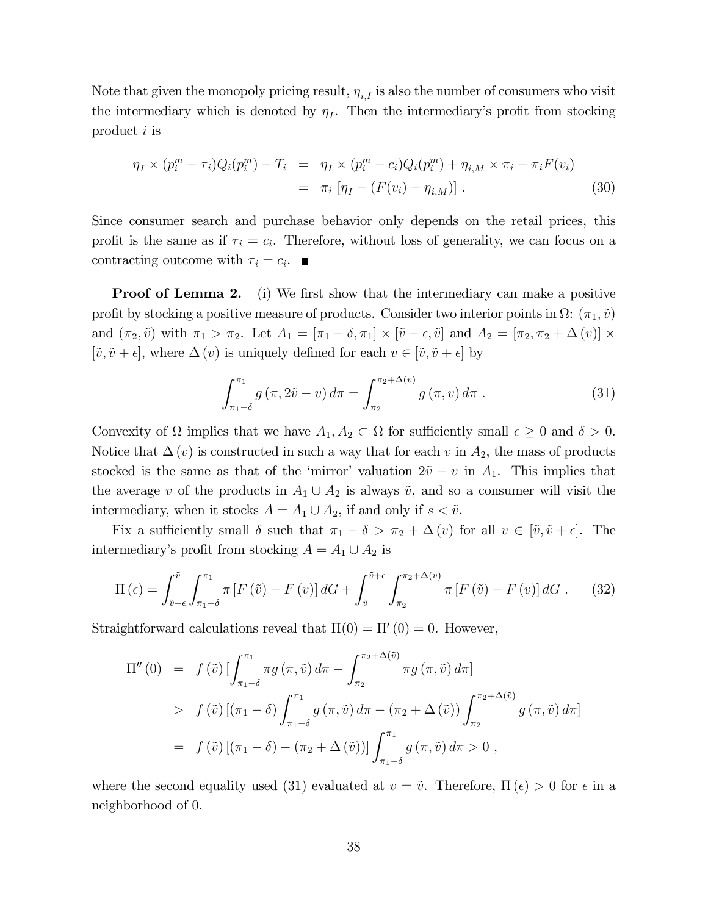Note that given the monopoly pricing result,  $\eta_{i,I}$  is also the number of consumers who visit the intermediary which is denoted by  $\eta_I$ . Then the intermediary's profit from stocking product i is

$$
\eta_I \times (p_i^m - \tau_i) Q_i(p_i^m) - T_i = \eta_I \times (p_i^m - c_i) Q_i(p_i^m) + \eta_{i,M} \times \pi_i - \pi_i F(v_i)
$$
  
=  $\pi_i [\eta_I - (F(v_i) - \eta_{i,M})].$  (30)

Since consumer search and purchase behavior only depends on the retail prices, this profit is the same as if  $\tau_i = c_i$ . Therefore, without loss of generality, we can focus on a contracting outcome with  $\tau_i = c_i$ .

**Proof of Lemma 2.** (i) We first show that the intermediary can make a positive profit by stocking a positive measure of products. Consider two interior points in  $\Omega: (\pi_1, \tilde{v})$ and  $(\pi_2, \tilde{v})$  with  $\pi_1 > \pi_2$ . Let  $A_1 = [\pi_1 - \delta, \pi_1] \times [\tilde{v} - \epsilon, \tilde{v}]$  and  $A_2 = [\pi_2, \pi_2 + \Delta(v)] \times$  $[\tilde{v}, \tilde{v} + \epsilon]$ , where  $\Delta(v)$  is uniquely defined for each  $v \in [\tilde{v}, \tilde{v} + \epsilon]$  by

$$
\int_{\pi_1-\delta}^{\pi_1} g\left(\pi, 2\tilde{v} - v\right) d\pi = \int_{\pi_2}^{\pi_2+\Delta(v)} g\left(\pi, v\right) d\pi \tag{31}
$$

Convexity of  $\Omega$  implies that we have  $A_1, A_2 \subset \Omega$  for sufficiently small  $\epsilon \geq 0$  and  $\delta > 0$ . Notice that  $\Delta(v)$  is constructed in such a way that for each v in  $A_2$ , the mass of products stocked is the same as that of the 'mirror' valuation  $2\tilde{v} - v$  in  $A_1$ . This implies that the average v of the products in  $A_1 \cup A_2$  is always  $\tilde{v}$ , and so a consumer will visit the intermediary, when it stocks  $A = A_1 \cup A_2$ , if and only if  $s < \tilde{v}$ .

Fix a sufficiently small  $\delta$  such that  $\pi_1 - \delta > \pi_2 + \Delta(v)$  for all  $v \in [\tilde{v}, \tilde{v} + \epsilon]$ . The intermediary's profit from stocking  $A = A_1 \cup A_2$  is

$$
\Pi\left(\epsilon\right) = \int_{\tilde{v}-\epsilon}^{\tilde{v}} \int_{\pi_1-\delta}^{\pi_1} \pi \left[F\left(\tilde{v}\right) - F\left(v\right)\right] dG + \int_{\tilde{v}}^{\tilde{v}+\epsilon} \int_{\pi_2}^{\pi_2+\Delta(v)} \pi \left[F\left(\tilde{v}\right) - F\left(v\right)\right] dG \quad (32)
$$

Straightforward calculations reveal that  $\Pi(0) = \Pi'(0) = 0$ . However,

$$
\Pi''(0) = f(\tilde{v}) \left[ \int_{\pi_1 - \delta}^{\pi_1} \pi g(\pi, \tilde{v}) d\pi - \int_{\pi_2}^{\pi_2 + \Delta(\tilde{v})} \pi g(\pi, \tilde{v}) d\pi \right]
$$
  
>  $f(\tilde{v}) \left[ (\pi_1 - \delta) \int_{\pi_1 - \delta}^{\pi_1} g(\pi, \tilde{v}) d\pi - (\pi_2 + \Delta(\tilde{v})) \int_{\pi_2}^{\pi_2 + \Delta(\tilde{v})} g(\pi, \tilde{v}) d\pi \right]$   
=  $f(\tilde{v}) \left[ (\pi_1 - \delta) - (\pi_2 + \Delta(\tilde{v})) \right] \int_{\pi_1 - \delta}^{\pi_1} g(\pi, \tilde{v}) d\pi > 0$ ,

where the second equality used (31) evaluated at  $v = \tilde{v}$ . Therefore,  $\Pi(\epsilon) > 0$  for  $\epsilon$  in a neighborhood of 0.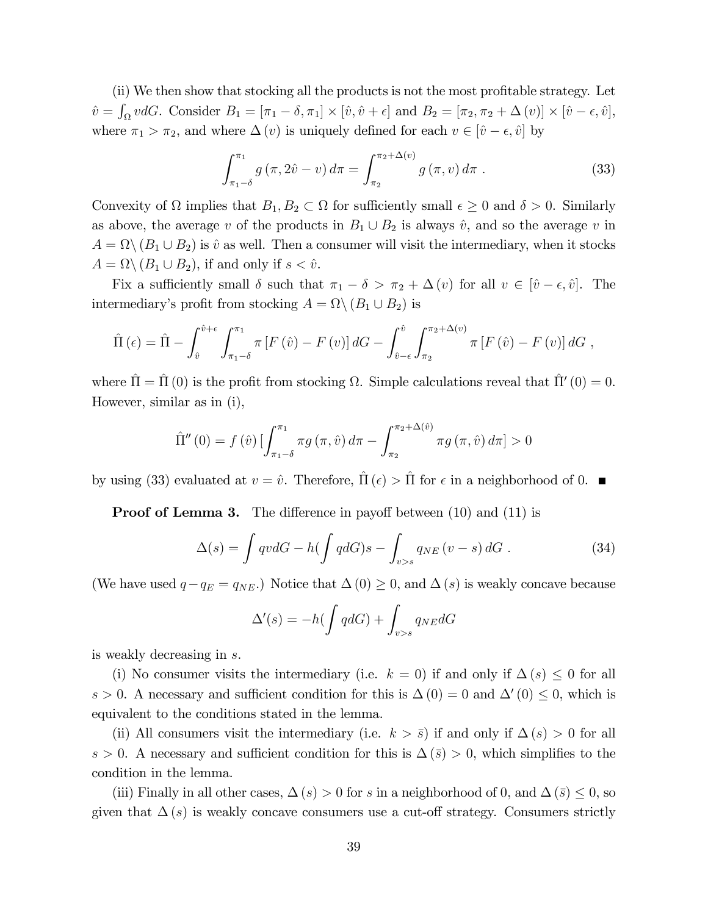(ii) We then show that stocking all the products is not the most profitable strategy. Let  $\hat{v} = \int_{\Omega} v dG$ . Consider  $B_1 = [\pi_1 - \delta, \pi_1] \times [\hat{v}, \hat{v} + \epsilon]$  and  $B_2 = [\pi_2, \pi_2 + \Delta(v)] \times [\hat{v} - \epsilon, \hat{v}],$ where  $\pi_1 > \pi_2$ , and where  $\Delta(v)$  is uniquely defined for each  $v \in [\hat{v} - \epsilon, \hat{v}]$  by

$$
\int_{\pi_1 - \delta}^{\pi_1} g(\pi, 2\hat{v} - v) d\pi = \int_{\pi_2}^{\pi_2 + \Delta(v)} g(\pi, v) d\pi .
$$
 (33)

Convexity of  $\Omega$  implies that  $B_1, B_2 \subset \Omega$  for sufficiently small  $\epsilon \geq 0$  and  $\delta > 0$ . Similarly as above, the average v of the products in  $B_1 \cup B_2$  is always  $\hat{v}$ , and so the average v in  $A = \Omega \setminus (B_1 \cup B_2)$  is  $\hat{v}$  as well. Then a consumer will visit the intermediary, when it stocks  $A = \Omega \backslash (B_1 \cup B_2)$ , if and only if  $s < \hat{v}$ .

Fix a sufficiently small  $\delta$  such that  $\pi_1 - \delta > \pi_2 + \Delta(v)$  for all  $v \in [\hat{v} - \epsilon, \hat{v}]$ . The intermediary's profit from stocking  $A = \Omega \setminus (B_1 \cup B_2)$  is

$$
\hat{\Pi}(\epsilon) = \hat{\Pi} - \int_{\hat{v}}^{\hat{v}+\epsilon} \int_{\pi_1-\delta}^{\pi_1} \pi \left[ F(\hat{v}) - F(v) \right] dG - \int_{\hat{v}-\epsilon}^{\hat{v}} \int_{\pi_2}^{\pi_2+\Delta(v)} \pi \left[ F(\hat{v}) - F(v) \right] dG,
$$

where  $\hat{\Pi} = \hat{\Pi}(0)$  is the profit from stocking  $\Omega$ . Simple calculations reveal that  $\hat{\Pi}'(0) = 0$ . However, similar as in (i),

$$
\hat{\Pi}''(0) = f(\hat{v}) \left[ \int_{\pi_1 - \delta}^{\pi_1} \pi g(\pi, \hat{v}) d\pi - \int_{\pi_2}^{\pi_2 + \Delta(\hat{v})} \pi g(\pi, \hat{v}) d\pi \right] > 0
$$

by using (33) evaluated at  $v = \hat{v}$ . Therefore,  $\Pi (\epsilon) > \Pi$  for  $\epsilon$  in a neighborhood of 0.

**Proof of Lemma 3.** The difference in payoff between  $(10)$  and  $(11)$  is

$$
\Delta(s) = \int qv dG - h(\int qdG)s - \int_{v>s} q_{NE}(v-s) dG.
$$
 (34)

(We have used  $q-q_E = q_{NE}$ .) Notice that  $\Delta(0) \geq 0$ , and  $\Delta(s)$  is weakly concave because

$$
\Delta'(s) = -h \left( \int q dG \right) + \int_{v>s} q_{NE} dG
$$

is weakly decreasing in s.

(i) No consumer visits the intermediary (i.e.  $k = 0$ ) if and only if  $\Delta(s) \leq 0$  for all  $s > 0$ . A necessary and sufficient condition for this is  $\Delta(0) = 0$  and  $\Delta'(0) \leq 0$ , which is equivalent to the conditions stated in the lemma.

(ii) All consumers visit the intermediary (i.e.  $k > \bar{s}$ ) if and only if  $\Delta(s) > 0$  for all  $s > 0$ . A necessary and sufficient condition for this is  $\Delta(\bar{s}) > 0$ , which simplifies to the condition in the lemma.

(iii) Finally in all other cases,  $\Delta(s) > 0$  for s in a neighborhood of 0, and  $\Delta(\bar{s}) \leq 0$ , so given that  $\Delta(s)$  is weakly concave consumers use a cut-off strategy. Consumers strictly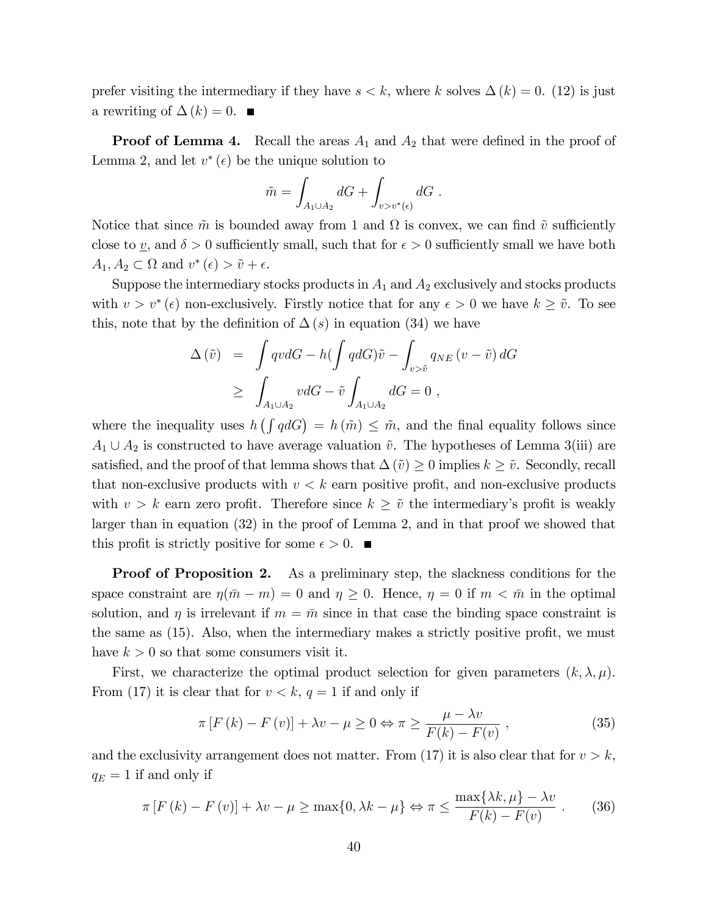prefer visiting the intermediary if they have  $s < k$ , where k solves  $\Delta(k) = 0$ . (12) is just a rewriting of  $\Delta (k) = 0$ .

**Proof of Lemma 4.** Recall the areas  $A_1$  and  $A_2$  that were defined in the proof of Lemma 2, and let  $v^*(\epsilon)$  be the unique solution to

$$
\tilde{m} = \int_{A_1 \cup A_2} dG + \int_{v > v^*(\epsilon)} dG.
$$

Notice that since  $\tilde{m}$  is bounded away from 1 and  $\Omega$  is convex, we can find  $\tilde{v}$  sufficiently close to <u>v</u>, and  $\delta > 0$  sufficiently small, such that for  $\epsilon > 0$  sufficiently small we have both  $A_1, A_2 \subset \Omega \text{ and } v^*(\epsilon) > \tilde{v} + \epsilon.$ 

Suppose the intermediary stocks products in  $A_1$  and  $A_2$  exclusively and stocks products with  $v > v^*(\epsilon)$  non-exclusively. Firstly notice that for any  $\epsilon > 0$  we have  $k \geq \tilde{v}$ . To see this, note that by the definition of  $\Delta(s)$  in equation (34) we have

$$
\begin{array}{lcl} \Delta \left( \tilde{v} \right) & = & \displaystyle \int q v dG - h ( \int q dG ) \tilde{v} - \int_{v > \tilde{v}} q_{NE} \left( v - \tilde{v} \right) dG \\ \\ & \geq & \displaystyle \int_{A_1 \cup A_2} v dG - \tilde{v} \int_{A_1 \cup A_2} dG = 0 \ , \end{array}
$$

where the inequality uses  $h\left(\int q dG\right) = h(m) \leq \tilde{m}$ , and the final equality follows since  $A_1 \cup A_2$  is constructed to have average valuation  $\tilde{v}$ . The hypotheses of Lemma 3(iii) are satisfied, and the proof of that lemma shows that  $\Delta\left(\tilde{v}\right) \geq 0$  implies  $k \geq \tilde{v}$ . Secondly, recall that non-exclusive products with  $v < k$  earn positive profit, and non-exclusive products with  $v > k$  earn zero profit. Therefore since  $k \geq \tilde{v}$  the intermediary's profit is weakly larger than in equation (32) in the proof of Lemma 2, and in that proof we showed that this profit is strictly positive for some  $\epsilon > 0$ .

**Proof of Proposition 2.** As a preliminary step, the slackness conditions for the space constraint are  $\eta(\bar{m} - m) = 0$  and  $\eta \ge 0$ . Hence,  $\eta = 0$  if  $m < \bar{m}$  in the optimal solution, and  $\eta$  is irrelevant if  $m = \bar{m}$  since in that case the binding space constraint is the same as  $(15)$ . Also, when the intermediary makes a strictly positive profit, we must have  $k > 0$  so that some consumers visit it.

First, we characterize the optimal product selection for given parameters  $(k, \lambda, \mu)$ . From (17) it is clear that for  $v < k$ ,  $q = 1$  if and only if

$$
\pi \left[ F\left( k\right) - F\left( v\right) \right] + \lambda v - \mu \ge 0 \Leftrightarrow \pi \ge \frac{\mu - \lambda v}{F(k) - F(v)},\tag{35}
$$

and the exclusivity arrangement does not matter. From (17) it is also clear that for  $v > k$ ,  $q_E = 1$  if and only if

$$
\pi \left[ F\left( k\right) - F\left( v\right) \right] + \lambda v - \mu \ge \max\{0, \lambda k - \mu\} \Leftrightarrow \pi \le \frac{\max\{\lambda k, \mu\} - \lambda v}{F(k) - F(v)} . \tag{36}
$$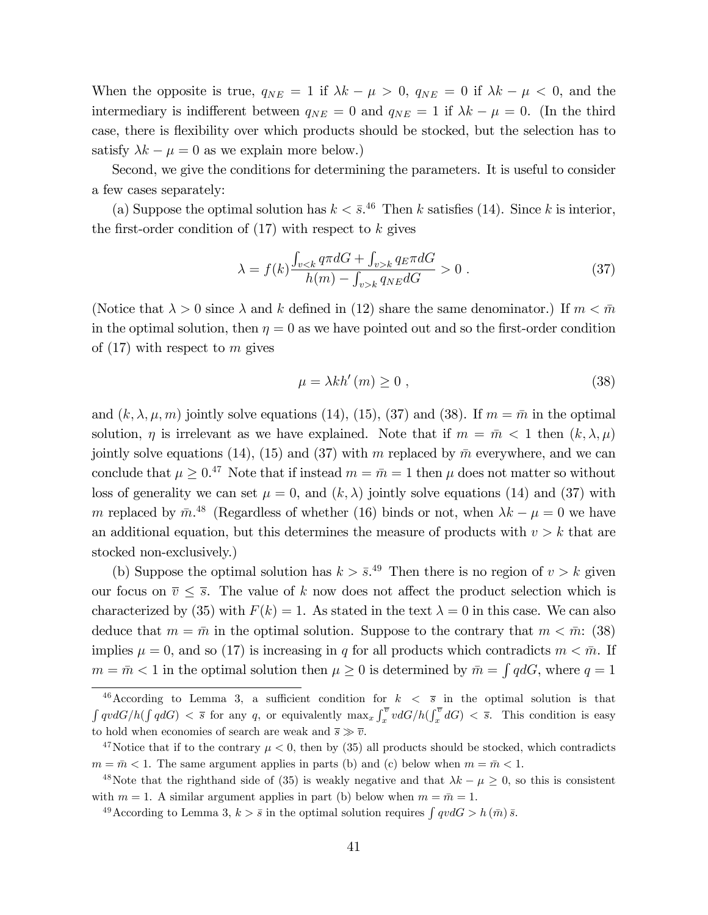When the opposite is true,  $q_{NE} = 1$  if  $\lambda k - \mu > 0$ ,  $q_{NE} = 0$  if  $\lambda k - \mu < 0$ , and the intermediary is indifferent between  $q_{NE} = 0$  and  $q_{NE} = 1$  if  $\lambda k - \mu = 0$ . (In the third case, there is flexibility over which products should be stocked, but the selection has to satisfy  $\lambda k - \mu = 0$  as we explain more below.)

Second, we give the conditions for determining the parameters. It is useful to consider a few cases separately:

(a) Suppose the optimal solution has  $k < \bar{s}$ .<sup>46</sup> Then k satisfies (14). Since k is interior, the first-order condition of  $(17)$  with respect to k gives

$$
\lambda = f(k) \frac{\int_{v < k} q \pi dG + \int_{v > k} q \pi dG}{h(m) - \int_{v > k} q \pi dG} > 0 \tag{37}
$$

(Notice that  $\lambda > 0$  since  $\lambda$  and k defined in (12) share the same denominator.) If  $m < \bar{m}$ in the optimal solution, then  $\eta = 0$  as we have pointed out and so the first-order condition of  $(17)$  with respect to m gives

$$
\mu = \lambda k h'(m) \ge 0 , \qquad (38)
$$

and  $(k, \lambda, \mu, m)$  jointly solve equations (14), (15), (37) and (38). If  $m = \bar{m}$  in the optimal solution,  $\eta$  is irrelevant as we have explained. Note that if  $m = \bar{m} < 1$  then  $(k, \lambda, \mu)$ jointly solve equations (14), (15) and (37) with m replaced by  $\bar{m}$  everywhere, and we can conclude that  $\mu \geq 0.47$  Note that if instead  $m = \bar{m} = 1$  then  $\mu$  does not matter so without loss of generality we can set  $\mu = 0$ , and  $(k, \lambda)$  jointly solve equations (14) and (37) with m replaced by  $\bar{m}$ <sup>48</sup> (Regardless of whether (16) binds or not, when  $\lambda k - \mu = 0$  we have an additional equation, but this determines the measure of products with  $v > k$  that are stocked non-exclusively.)

(b) Suppose the optimal solution has  $k > \bar{s}$ .<sup>49</sup> Then there is no region of  $v > k$  given our focus on  $\overline{v} \leq \overline{s}$ . The value of k now does not affect the product selection which is characterized by (35) with  $F(k) = 1$ . As stated in the text  $\lambda = 0$  in this case. We can also deduce that  $m = \bar{m}$  in the optimal solution. Suppose to the contrary that  $m < \bar{m}$ : (38) implies  $\mu = 0$ , and so (17) is increasing in q for all products which contradicts  $m < \bar{m}$ . If  $m = \bar{m} < 1$  in the optimal solution then  $\mu \geq 0$  is determined by  $\bar{m} = \int q dG$ , where  $q = 1$ 

<sup>&</sup>lt;sup>46</sup>According to Lemma 3, a sufficient condition for  $k < \overline{s}$  in the optimal solution is that  $\int qv dG/h(\int qdG) < \overline{s}$  for any q, or equivalently  $\max_x \int_x^{\overline{v}} v dG/h(\int_x^{\overline{v}} dG) < \overline{s}$ . This condition is easy to hold when economies of search are weak and  $\bar{s} \gg \bar{v}$ .

<sup>&</sup>lt;sup>47</sup>Notice that if to the contrary  $\mu < 0$ , then by (35) all products should be stocked, which contradicts  $m = \bar{m} < 1$ . The same argument applies in parts (b) and (c) below when  $m = \bar{m} < 1$ .

<sup>&</sup>lt;sup>48</sup>Note that the righthand side of (35) is weakly negative and that  $\lambda k - \mu \geq 0$ , so this is consistent with  $m = 1$ . A similar argument applies in part (b) below when  $m = \bar{m} = 1$ .

<sup>&</sup>lt;sup>49</sup> According to Lemma 3,  $k > \bar{s}$  in the optimal solution requires  $\int qv dG > h(\bar{m}) \bar{s}$ .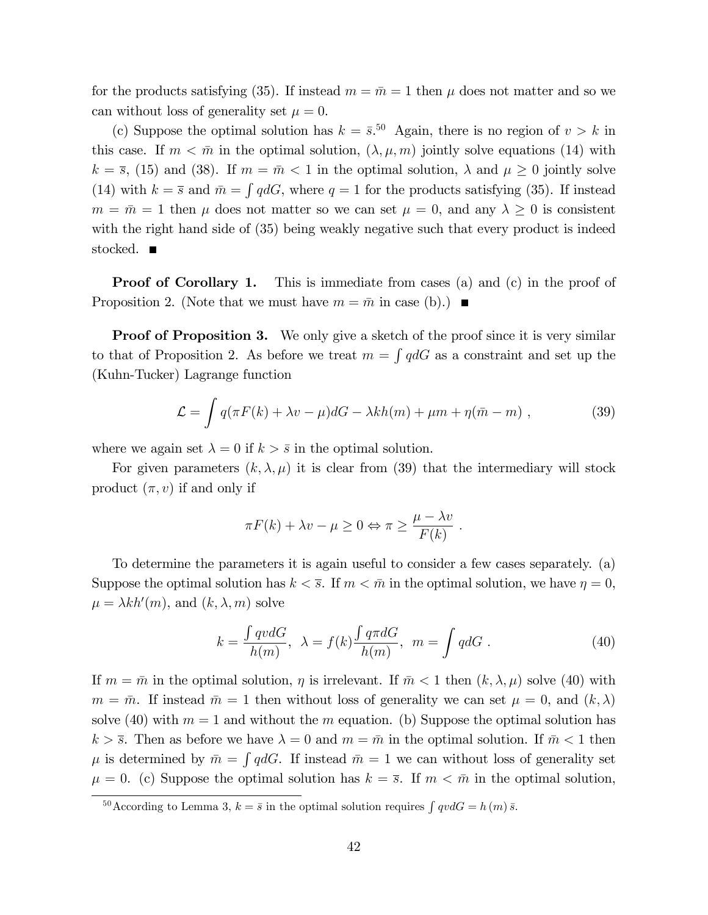for the products satisfying (35). If instead  $m = \bar{m} = 1$  then  $\mu$  does not matter and so we can without loss of generality set  $\mu = 0$ .

(c) Suppose the optimal solution has  $k = \bar{s}^{50}$ . Again, there is no region of  $v > k$  in this case. If  $m < \bar{m}$  in the optimal solution,  $(\lambda, \mu, m)$  jointly solve equations (14) with  $k = \overline{s}$ , (15) and (38). If  $m = \overline{m} < 1$  in the optimal solution,  $\lambda$  and  $\mu \ge 0$  jointly solve (14) with  $k = \overline{s}$  and  $\overline{m} = \int q dG$ , where  $q = 1$  for the products satisfying (35). If instead  $m = \bar{m} = 1$  then  $\mu$  does not matter so we can set  $\mu = 0$ , and any  $\lambda \geq 0$  is consistent with the right hand side of (35) being weakly negative such that every product is indeed stocked.  $\blacksquare$ 

**Proof of Corollary 1.** This is immediate from cases (a) and (c) in the proof of Proposition 2. (Note that we must have  $m = \bar{m}$  in case (b).)

**Proof of Proposition 3.** We only give a sketch of the proof since it is very similar to that of Proposition 2. As before we treat  $m = \int q dG$  as a constraint and set up the (Kuhn-Tucker) Lagrange function

$$
\mathcal{L} = \int q(\pi F(k) + \lambda v - \mu) dG - \lambda kh(m) + \mu m + \eta(\bar{m} - m) , \qquad (39)
$$

where we again set  $\lambda = 0$  if  $k > \overline{s}$  in the optimal solution.

For given parameters  $(k, \lambda, \mu)$  it is clear from (39) that the intermediary will stock product  $(\pi, v)$  if and only if

$$
\pi F(k) + \lambda v - \mu \ge 0 \Leftrightarrow \pi \ge \frac{\mu - \lambda v}{F(k)}.
$$

To determine the parameters it is again useful to consider a few cases separately. (a) Suppose the optimal solution has  $k < \overline{s}$ . If  $m < \overline{m}$  in the optimal solution, we have  $\eta = 0$ ,  $\mu = \lambda k h'(m)$ , and  $(k, \lambda, m)$  solve

$$
k = \frac{\int qvdG}{h(m)}, \ \lambda = f(k)\frac{\int q\pi dG}{h(m)}, \ m = \int qdG.
$$
 (40)

If  $m = \bar{m}$  in the optimal solution,  $\eta$  is irrelevant. If  $\bar{m} < 1$  then  $(k, \lambda, \mu)$  solve (40) with  $m = \bar{m}$ . If instead  $\bar{m} = 1$  then without loss of generality we can set  $\mu = 0$ , and  $(k, \lambda)$ solve (40) with  $m = 1$  and without the m equation. (b) Suppose the optimal solution has  $k > \overline{s}$ . Then as before we have  $\lambda = 0$  and  $m = \overline{m}$  in the optimal solution. If  $\overline{m} < 1$  then  $\mu$  is determined by  $\bar{m} = \int q dG$ . If instead  $\bar{m} = 1$  we can without loss of generality set  $\mu = 0$ . (c) Suppose the optimal solution has  $k = \overline{s}$ . If  $m < \overline{m}$  in the optimal solution,

<sup>&</sup>lt;sup>50</sup>According to Lemma 3,  $k = \bar{s}$  in the optimal solution requires  $\int qv dG = h(m)\bar{s}$ .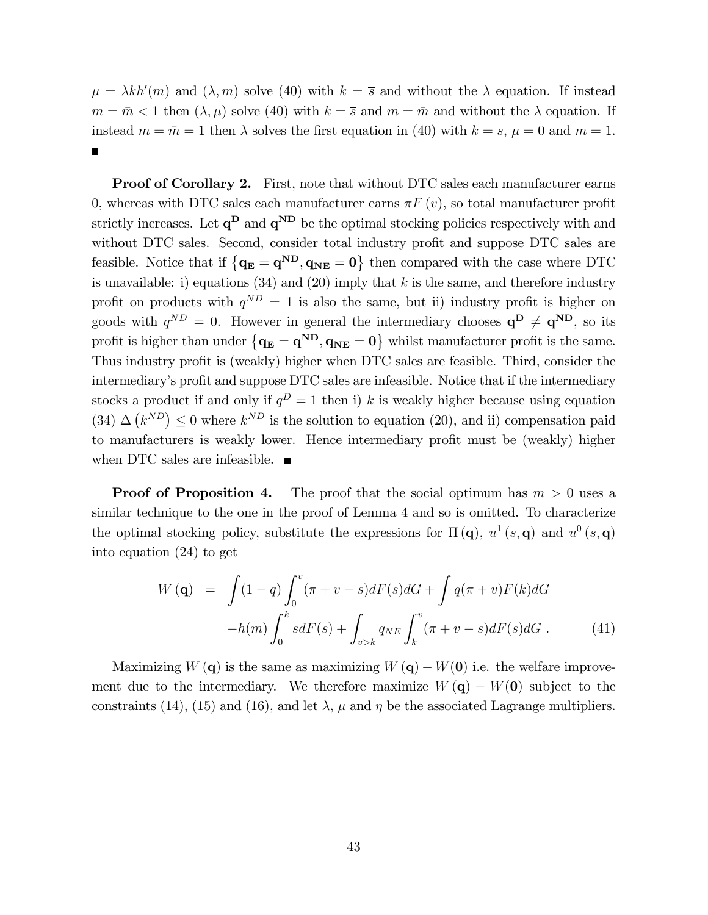$\mu = \lambda kh'(m)$  and  $(\lambda, m)$  solve (40) with  $k = \overline{s}$  and without the  $\lambda$  equation. If instead  $m = \bar{m} < 1$  then  $(\lambda, \mu)$  solve (40) with  $k = \bar{s}$  and  $m = \bar{m}$  and without the  $\lambda$  equation. If instead  $m = \bar{m} = 1$  then  $\lambda$  solves the first equation in (40) with  $k = \bar{s}$ ,  $\mu = 0$  and  $m = 1$ .

Proof of Corollary 2. First, note that without DTC sales each manufacturer earns 0, whereas with DTC sales each manufacturer earns  $\pi F(v)$ , so total manufacturer profit strictly increases. Let  $q^D$  and  $q^{ND}$  be the optimal stocking policies respectively with and without DTC sales. Second, consider total industry profit and suppose DTC sales are feasible. Notice that if  ${q_E = q^{ND}, q_{NE} = 0}$  then compared with the case where DTC is unavailable: i) equations (34) and (20) imply that k is the same, and therefore industry profit on products with  $q^{ND} = 1$  is also the same, but ii) industry profit is higher on goods with  $q^{ND} = 0$ . However in general the intermediary chooses  $q^D \neq q^{ND}$ , so its profit is higher than under  ${q_E = q^{ND}, q_{NE} = 0}$  whilst manufacturer profit is the same. Thus industry profit is (weakly) higher when DTC sales are feasible. Third, consider the intermediary's profit and suppose DTC sales are infeasible. Notice that if the intermediary stocks a product if and only if  $q^D = 1$  then i) k is weakly higher because using equation (34)  $\Delta \left( k^{ND} \right) \leq 0$  where  $k^{ND}$  is the solution to equation (20), and ii) compensation paid to manufacturers is weakly lower. Hence intermediary profit must be (weakly) higher when DTC sales are infeasible. ■

**Proof of Proposition 4.** The proof that the social optimum has  $m > 0$  uses a similar technique to the one in the proof of Lemma 4 and so is omitted. To characterize the optimal stocking policy, substitute the expressions for  $\Pi(q)$ ,  $u^1(s,q)$  and  $u^0(s,q)$ into equation (24) to get

$$
W(\mathbf{q}) = \int (1-q) \int_0^v (\pi + v - s) dF(s) dG + \int q(\pi + v) F(k) dG
$$

$$
-h(m) \int_0^k s dF(s) + \int_{v > k} q_{NE} \int_k^v (\pi + v - s) dF(s) dG.
$$
(41)

Maximizing  $W(\mathbf{q})$  is the same as maximizing  $W(\mathbf{q}) - W(\mathbf{0})$  i.e. the welfare improvement due to the intermediary. We therefore maximize  $W(\mathbf{q}) - W(\mathbf{0})$  subject to the constraints (14), (15) and (16), and let  $\lambda$ ,  $\mu$  and  $\eta$  be the associated Lagrange multipliers.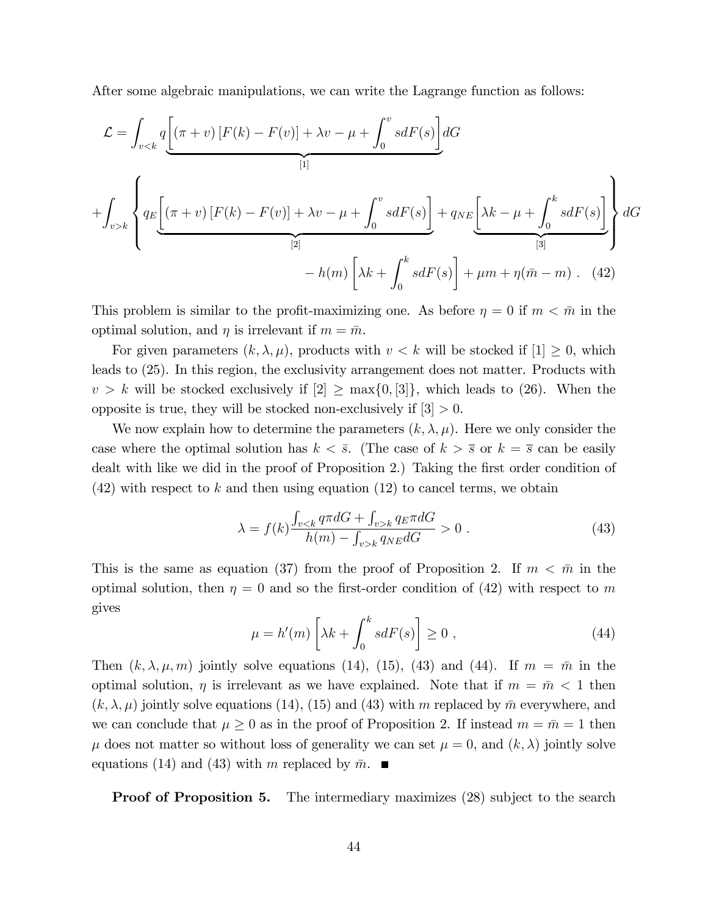After some algebraic manipulations, we can write the Lagrange function as follows:

$$
\mathcal{L} = \int_{v < k} q \left[ (\pi + v) \left[ F(k) - F(v) \right] + \lambda v - \mu + \int_0^v s dF(s) \right] dG
$$
\n
$$
+ \int_{v > k} \left\{ q_E \left[ (\pi + v) \left[ F(k) - F(v) \right] + \lambda v - \mu + \int_0^v s dF(s) \right] + q_{NE} \left[ \lambda k - \mu + \int_0^k s dF(s) \right] \right\} dG
$$
\n
$$
- h(m) \left[ \lambda k + \int_0^k s dF(s) \right] + \mu m + \eta(\bar{m} - m) \quad (42)
$$

This problem is similar to the profit-maximizing one. As before  $\eta = 0$  if  $m < \bar{m}$  in the optimal solution, and  $\eta$  is irrelevant if  $m = \bar{m}$ .

For given parameters  $(k, \lambda, \mu)$ , products with  $v < k$  will be stocked if  $[1] \geq 0$ , which leads to (25). In this region, the exclusivity arrangement does not matter. Products with  $v > k$  will be stocked exclusively if  $[2] \geq \max\{0, 3\}$ , which leads to (26). When the opposite is true, they will be stocked non-exclusively if  $|3| > 0$ .

We now explain how to determine the parameters  $(k, \lambda, \mu)$ . Here we only consider the case where the optimal solution has  $k < \overline{s}$ . (The case of  $k > \overline{s}$  or  $k = \overline{s}$  can be easily dealt with like we did in the proof of Proposition 2.) Taking the first order condition of  $(42)$  with respect to k and then using equation  $(12)$  to cancel terms, we obtain

$$
\lambda = f(k) \frac{\int_{v < k} q \pi dG + \int_{v > k} q \pi dG}{h(m) - \int_{v > k} q \pi dG} > 0 \tag{43}
$$

This is the same as equation (37) from the proof of Proposition 2. If  $m < \bar{m}$  in the optimal solution, then  $\eta = 0$  and so the first-order condition of (42) with respect to m gives

$$
\mu = h'(m) \left[ \lambda k + \int_0^k s dF(s) \right] \ge 0 , \qquad (44)
$$

Then  $(k, \lambda, \mu, m)$  jointly solve equations (14), (15), (43) and (44). If  $m = \bar{m}$  in the optimal solution,  $\eta$  is irrelevant as we have explained. Note that if  $m = \bar{m} < 1$  then  $(k, \lambda, \mu)$  jointly solve equations (14), (15) and (43) with m replaced by  $\bar{m}$  everywhere, and we can conclude that  $\mu \geq 0$  as in the proof of Proposition 2. If instead  $m = \bar{m} = 1$  then  $\mu$  does not matter so without loss of generality we can set  $\mu = 0$ , and  $(k, \lambda)$  jointly solve equations (14) and (43) with m replaced by  $\bar{m}$ .

**Proof of Proposition 5.** The intermediary maximizes (28) subject to the search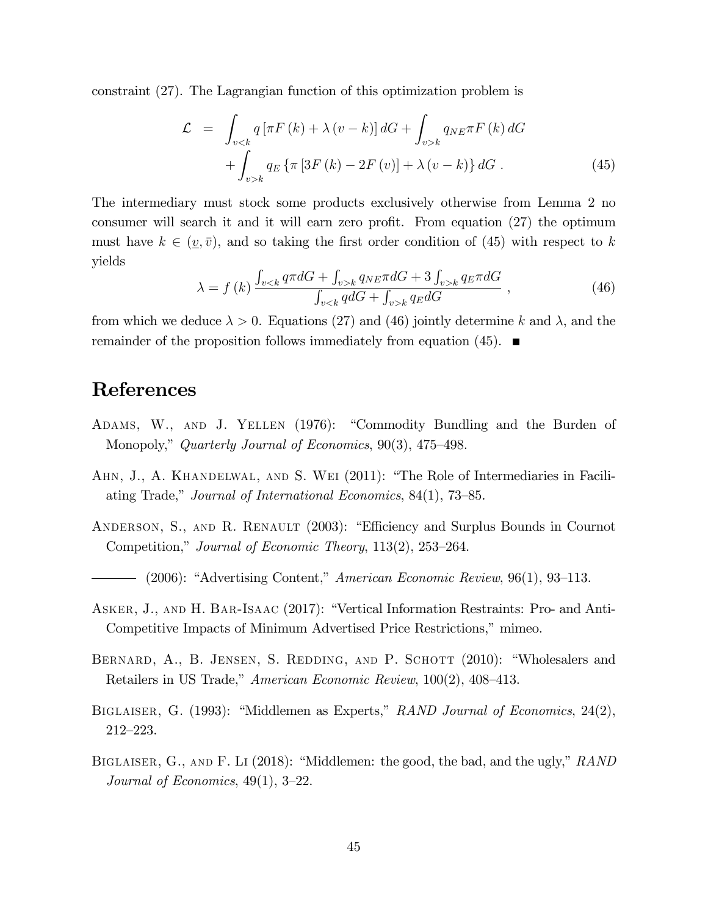constraint (27). The Lagrangian function of this optimization problem is

$$
\mathcal{L} = \int_{v < k} q \left[ \pi F(k) + \lambda (v - k) \right] dG + \int_{v > k} q_{NE} \pi F(k) dG
$$
\n
$$
+ \int_{v > k} q_E \left\{ \pi \left[ 3F(k) - 2F(v) \right] + \lambda (v - k) \right\} dG \,. \tag{45}
$$

The intermediary must stock some products exclusively otherwise from Lemma 2 no consumer will search it and it will earn zero profit. From equation  $(27)$  the optimum must have  $k \in (v, \bar{v})$ , and so taking the first order condition of (45) with respect to k yields

$$
\lambda = f(k) \frac{\int_{v < k} q \pi dG + \int_{v > k} q_{NE} \pi dG + 3 \int_{v > k} q_{E} \pi dG}{\int_{v < k} q dG + \int_{v > k} q_{E} dG}, \tag{46}
$$

from which we deduce  $\lambda > 0$ . Equations (27) and (46) jointly determine k and  $\lambda$ , and the remainder of the proposition follows immediately from equation (45).  $\blacksquare$ 

### References

- ADAMS, W., AND J. YELLEN (1976): "Commodity Bundling and the Burden of Monopoly," Quarterly Journal of Economics,  $90(3)$ , 475–498.
- AHN, J., A. KHANDELWAL, AND S. WEI (2011): "The Role of Intermediaries in Faciliating Trade," Journal of International Economics,  $84(1)$ , 73–85.
- ANDERSON, S., AND R. RENAULT (2003): "Efficiency and Surplus Bounds in Cournot Competition," Journal of Economic Theory,  $113(2)$ ,  $253-264$ .
- (2006): "Advertising Content," American Economic Review, 96(1), 93–113.
- ASKER, J., AND H. BAR-ISAAC (2017): "Vertical Information Restraints: Pro- and Anti-Competitive Impacts of Minimum Advertised Price Restrictions," mimeo.
- BERNARD, A., B. JENSEN, S. REDDING, AND P. SCHOTT (2010): "Wholesalers and Retailers in US Trade," American Economic Review, 100(2), 408–413.
- BIGLAISER, G. (1993): "Middlemen as Experts," RAND Journal of Economics, 24(2),  $212 - 223.$
- BIGLAISER, G., AND F. LI  $(2018)$ : "Middlemen: the good, the bad, and the ugly," RAND Journal of Economics,  $49(1)$ ,  $3-22$ .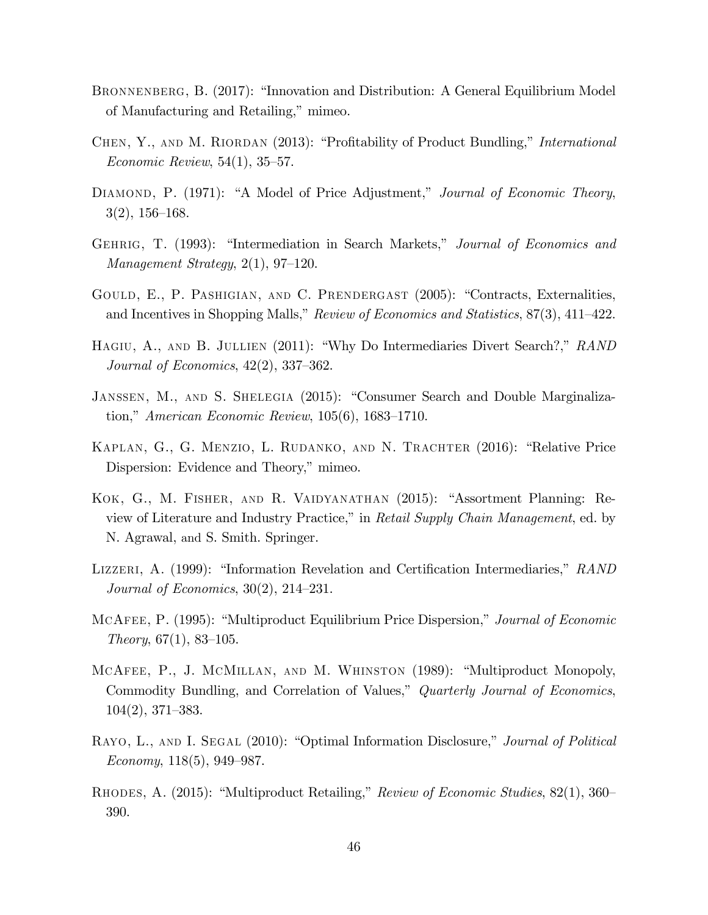- BRONNENBERG, B. (2017): "Innovation and Distribution: A General Equilibrium Model of Manufacturing and Retailing," mimeo.
- CHEN, Y., AND M. RIORDAN (2013): "Profitability of Product Bundling," *International* Economic Review,  $54(1)$ ,  $35-57$ .
- DIAMOND, P. (1971): "A Model of Price Adjustment," Journal of Economic Theory,  $3(2), 156-168.$
- GEHRIG, T. (1993): "Intermediation in Search Markets," Journal of Economics and Management Strategy,  $2(1)$ , 97–120.
- GOULD, E., P. PASHIGIAN, AND C. PRENDERGAST (2005): "Contracts, Externalities, and Incentives in Shopping Malls," Review of Economics and Statistics,  $87(3)$ ,  $411-422$ .
- HAGIU, A., AND B. JULLIEN  $(2011)$ : "Why Do Intermediaries Divert Search?," RAND Journal of Economics,  $42(2)$ ,  $337-362$ .
- JANSSEN, M., AND S. SHELEGIA (2015): "Consumer Search and Double Marginalization," American Economic Review,  $105(6)$ , 1683–1710.
- KAPLAN, G., G. MENZIO, L. RUDANKO, AND N. TRACHTER (2016): "Relative Price Dispersion: Evidence and Theory," mimeo.
- KOK, G., M. FISHER, AND R. VAIDYANATHAN (2015): "Assortment Planning: Review of Literature and Industry Practice," in Retail Supply Chain Management, ed. by N. Agrawal, and S. Smith. Springer.
- LIZZERI, A. (1999): "Information Revelation and Certification Intermediaries," RAND Journal of Economics,  $30(2)$ ,  $214-231$ .
- MCAFEE, P. (1995): "Multiproduct Equilibrium Price Dispersion," Journal of Economic Theory,  $67(1)$ ,  $83-105$ .
- MCAFEE, P., J. MCMILLAN, AND M. WHINSTON (1989): "Multiproduct Monopoly, Commodity Bundling, and Correlation of Values," *Quarterly Journal of Economics*,  $104(2), 371-383.$
- RAYO, L., AND I. SEGAL (2010): "Optimal Information Disclosure," Journal of Political Economy,  $118(5)$ , 949–987.
- RHODES, A. (2015): "Multiproduct Retailing," Review of Economic Studies, 82(1), 360 390.